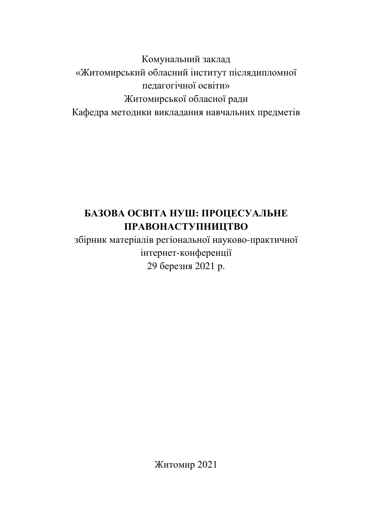Комунальний заклад «Житомирський обласний інститут післядипломної пелагогічної освіти» Житомирської обласної ради Кафедра методики викладання навчальних предметів

# **БАЗОВА ОСВІТА НУШ: ПРОЦЕСУАЛЬНЕ** ПРАВОНАСТУПНИЦТВО

збірник матеріалів регіональної науково-практичної інтернет-конференції 29 березня 2021 р.

Житомир 2021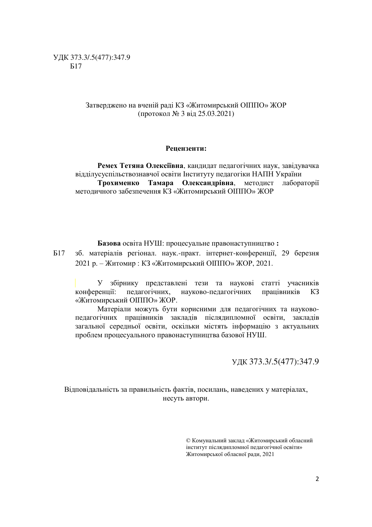### Затверджено на вченій раді КЗ «Житомирський ОПППО» ЖОР (протокол № 3 від 25.03.2021)

#### Репензенти:

Ремех Тетяна Олексіївна, кандидат педагогічних наук, завідувачка відділусуспільствознавчої освіти Інституту педагогіки НАПН України Трохименко Тамара Олександрівна, методист лабораторії методичного забезпечення КЗ «Житомирський ОПППО» ЖОР

Базова освіта НУШ: процесуальне правонаступництво:

Б17 зб. матеріалів регіонал. наук.-практ. інтернет-конференції, 29 березня 2021 p. - Житомир : КЗ «Житомирський ОППО» ЖОР, 2021.

У збірнику представлені тези та наукові статті учасників конференції: педагогічних, науково-педагогічних працівників КЗ «Житомирський ОПППО» ЖОР.

Матеріали можуть бути корисними для педагогічних та науковопедагогічних працівників закладів післядипломної освіти, закладів загальної середньої освіти, оскільки містять інформацію з актуальних проблем процесуального правонаступництва базової НУШ.

ɍȾɄ373.3/.5(477):347.9

Відповідальність за правильність фактів, посилань, наведених у матеріалах, несуть автори.

> © Комунальний заклад «Житомирський обласний інститут післядипломної педагогічної освіти» Житомирської обласної ради, 2021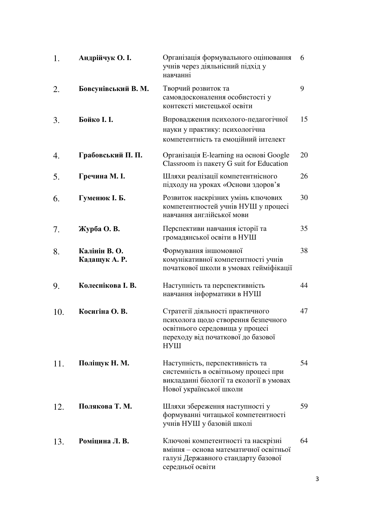| 1.  | Андрійчук О. I.                | Організація формувального оцінювання<br>учнів через діяльнісний підхід у<br>навчанні                                                                    | 6  |
|-----|--------------------------------|---------------------------------------------------------------------------------------------------------------------------------------------------------|----|
| 2.  | Бовсунівський В. М.            | Творчий розвиток та<br>самовдосконалення особистості у<br>контексті мистецької освіти                                                                   | 9  |
| 3.  | Бойко I. I.                    | Впровадження психолого-педагогічної<br>науки у практику: психологічна<br>компетентність та емоційний інтелект                                           | 15 |
| 4.  | Грабовський П. П.              | Організація E-learning на основі Google<br>Classroom is nakery G suit for Education                                                                     | 20 |
| 5.  | Гречина М. I.                  | Шляхи реалізації компетентнісного<br>підходу на уроках «Основи здоров'я                                                                                 | 26 |
| 6.  | Гуменюк І. Б.                  | Розвиток наскрізних умінь ключових<br>компетентностей учнів НУШ у процесі<br>навчання англійської мови                                                  | 30 |
| 7.  | Журба О. В.                    | Перспективи навчання історії та<br>громадянської освіти в НУШ                                                                                           | 35 |
| 8.  | Калінін В. О.<br>Кадащук А. Р. | Формування іншомовної<br>комунікативної компетентності учнів<br>початкової школи в умовах гейміфікації                                                  | 38 |
| 9.  | Колеснікова І. В.              | Наступність та перспективність<br>навчання інформатики в НУШ                                                                                            | 44 |
| 10. | Косигіна О. В.                 | Стратегії діяльності практичного<br>психолога щодо створення безпечного<br>освітнього середовища у процесі<br>переходу від початкової до базової<br>НУШ | 47 |
| 11. | Поліщук Н. М.                  | Наступність, перспективність та<br>системність в освітньому процесі при<br>викладанні біології та екології в умовах<br>Нової української школи          | 54 |
| 12. | Полякова Т. М.                 | Шляхи збереження наступності у<br>формуванні читацької компетентності<br>учнів НУШ у базовій школі                                                      | 59 |
| 13. | Роміцина Л. В.                 | Ключові компетентності та наскрізні<br>вміння - основа математичної освітньої<br>галузі Державного стандарту базової<br>середньої освіти                | 64 |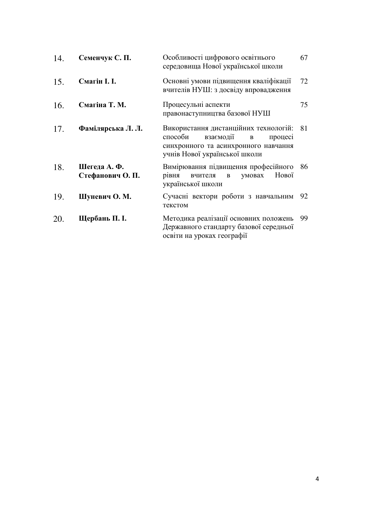| 14. | Семенчук С. П.                   | Особливості цифрового освітнього<br>середовища Нової української школи                                                                                 | 67 |
|-----|----------------------------------|--------------------------------------------------------------------------------------------------------------------------------------------------------|----|
| 15. | Смагін I. I.                     | Основні умови підвищення кваліфікації<br>вчителів НУШ: з досвіду впровадження                                                                          | 72 |
| 16. | Смагіна Т. М.                    | Процесульні аспекти<br>правонаступництва базової НУШ                                                                                                   | 75 |
| 17. | Фамілярська Л. Л.                | Використання дистанційних технологій:<br>взаємодії<br>способи<br>процесі<br>B<br>синхронного та асинхронного навчання<br>учнів Нової української школи | 81 |
| 18. | Шегеда А. Ф.<br>Стефанович О. П. | Вимірювання підвищення професійного<br>Нової<br>умовах<br>рівня<br>вчителя<br>$\, {\bf B}$<br>української школи                                        | 86 |
| 19. | Шуневич О. М.                    | Сучасні вектори роботи з навчальним<br>текстом                                                                                                         | 92 |
| 20. | Щербань П. І.                    | Методика реалізації основних положень<br>Державного стандарту базової середньої<br>освіти на уроках географії                                          | 99 |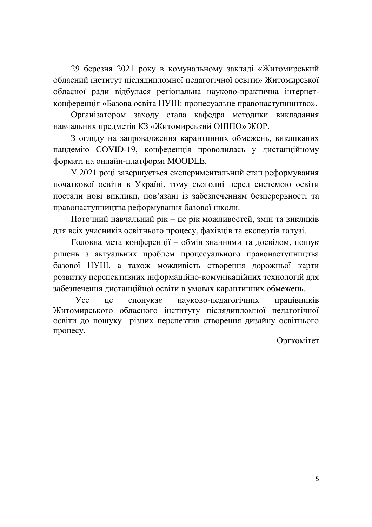29 березня 2021 року в комунальному закладі «Житомирський обласний інститут післядипломної педагогічної освіти» Житомирської обласної ради відбулася регіональна науково-практична інтернетконференція «Базова освіта НУШ: процесуальне правонаступництво».

Організатором заходу стала кафедра методики викладання навчальних предметів КЗ «Житомирський ОІППО» ЖОР.

З огляду на запровадження карантинних обмежень, викликаних пандемію COVID-19, конференція проводилась у дистанційному форматі на онлайн-платформі MOODLE.

У 2021 році завершується експериментальний етап реформування початкової освіти в Україні, тому сьогодні перед системою освіти постали нові виклики, пов'язані із забезпеченням безперервності та правонаступництва реформування базової школи.

Поточний навчальний рік - це рік можливостей, змін та викликів для всіх учасників освітнього процесу, фахівців та експертів галузі.

Головна мета конференції – обмін знаннями та досвідом, пошук рішень з актуальних проблем процесуального правонаступництва базової НУШ, а також можливість створення дорожньої карти розвитку перспективних інформаційно-комунікаційних технологій для забезпечення дистанційної освіти в умовах карантинних обмежень.

Усе це спонукає науково-педагогічних працівників Житомирського обласного інституту післядипломної педагогічної освіти до пошуку різних перспектив створення дизайну освітнього процесу.

Оргкомітет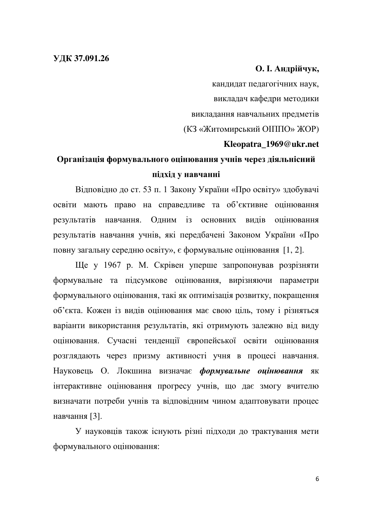### **О. І. Андрійчук,**

кандидат педагогічних наук, викладач кафедри методики викладання навчальних предметів (КЗ «Житомирський ОПППО» ЖОР) **Kleopatra\_1969@ukr.net** 

## Організація формувального оцінювання учнів через діяльнісний підхід v навчанні

Відповідно до ст. 53 п. 1 Закону України «Про освіту» здобувачі освіти мають право на справедливе та об'єктивне оцінювання результатів навчання. Одним із основних видів оцінювання результатів навчання учнів, які передбачені Законом України «Про повну загальну середню освіту», є формувальне оцінювання [1, 2].

Ще у 1967 р. М. Скрівен уперше запропонував розрізняти формувальне та підсумкове оцінювання, вирізняючи параметри формувального оцінювання, такі як оптимізація розвитку, покращення об'єкта. Кожен із видів оцінювання має свою ціль, тому і різняться варіанти використання результатів, які отримують залежно від виду оцінювання. Сучасні тенденції європейської освіти оцінювання розглядають через призму активності учня в процесі навчання. Науковець О. Локшина визначає формувальне оцінювання як інтерактивне оцінювання прогресу учнів, що дає змогу вчителю визначати потреби учнів та відповідним чином адаптовувати процес навчання [3].

У науковців також існують різні підходи до трактування мети формувального оцінювання: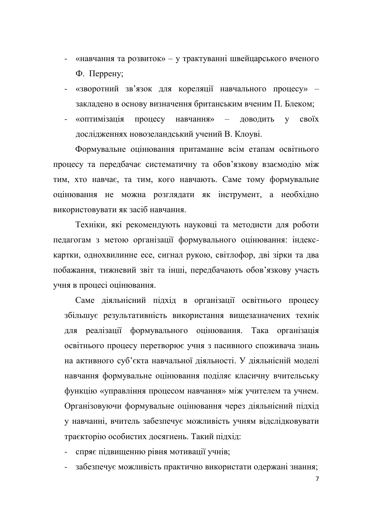- «навчання та розвиток» у трактуванні швейцарського вченого Ф. Перрену;
- «зворотний зв'язок для кореляції навчального процесу» закладено в основу визначення британським вченим П. Блеком;
- «оптимізація процесу навчання» доводить у своїх дослідженнях новозеландський учений В. Клоуві.

Формувальне оцінювання притаманне всім етапам освітнього процесу та передбачає систематичну та обов'язкову взаємодію між тим, хто навчає, та тим, кого навчають. Саме тому формувальне оцінювання не можна розглядати як інструмент, а необхідно використовувати як засіб навчання.

Техніки, які рекомендують науковці та методисти для роботи педагогам з метою організації формувального оцінювання: індекскартки, однохвилинне есе, сигнал рукою, світлофор, дві зірки та два побажання, тижневий звіт та інші, передбачають обов'язкову участь учня в процесі оцінювання.

Саме діяльнісний підхід в організації освітнього процесу збільшує результативність використання вищезазначених технік для реалізації формувального оцінювання. Така організація освітнього процесу перетворює учня з пасивного споживача знань на активного суб'єкта навчальної діяльності. У діяльнісній моделі навчання формувальне оцінювання поділяє класичну вчительську функцію «управління процесом навчання» між учителем та учнем. Організовуючи формувальне оцінювання через діяльнісний підхід у навчанні, вчитель забезпечує можливість учням відслідковувати траєкторію особистих досягнень. Такий підхід:

- спряє підвищенню рівня мотивації учнів;
- забезпечує можливість практично використати одержані знання;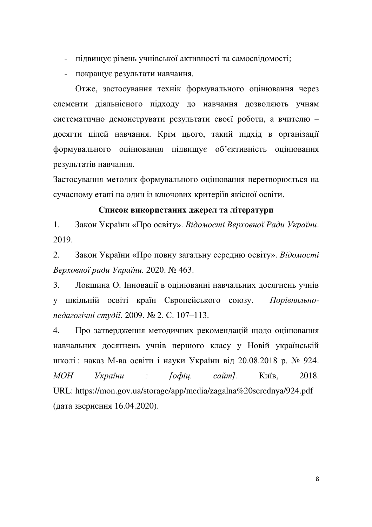- підвищує рівень учнівської активності та самосвідомості;
- покращує результати навчання.

Отже, застосування технік формувального оцінювання через елементи діяльнісного підходу до навчання дозволяють учням систематично демонструвати результати своєї роботи, а вчителю досягти цілей навчання. Крім цього, такий підхід в організації формувального оцінювання підвищує об'єктивність оцінювання результатів навчання.

Застосування методик формувального оцінювання перетворюється на сучасному етапі на один із ключових критеріїв якісної освіти.

### Список використаних джерел та літератури

1. Закон України «Про освіту». Відомості Верховної Ради України. 2019.

2. Закон України «Про повну загальну середню освіту». Відомості  $B$ ерховної ради України. 2020. № 463.

3. Локшина О. Інновації в оцінюванні навчальних досягнень учнів у шкільній освіті країн Європейського союзу. Порівняльно*педагогічні студії.* 2009. № 2. С. 107-113.

4. Про затвердження методичних рекомендацій щодо оцінювання навчальних досягнень учнів першого класу у Новій українській школі: наказ М-ва освіти і науки України від 20.08.2018 р. № 924. *МОН України : [офіц. сайт].* Київ, 2018. URL: https://mon.gov.ua/storage/app/media/zagalna%20serednya/924.pdf (дата звернення 16.04.2020).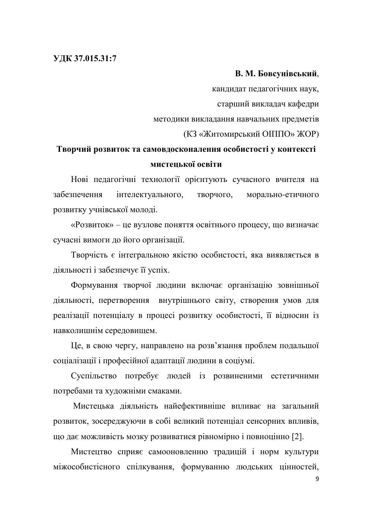### УДК 37.015.31:7

#### **В. М. Бовсунівський,**

кандидат педагогічних наук, старший викладач кафедри методики викладання навчальних предметів

(КЗ «Житомирський ОПППО» ЖОР)

### **Творчий розвиток та самовдосконалення особистості у контексті мистенької освіти**

Нові педагогічні технології орієнтують сучасного вчителя на забезпечення інтелектуального, творчого, морально-етичного розвитку учнівської молоді.

«Розвиток» – це вузлове поняття освітнього процесу, що визначає сучасні вимоги до його організації.

Творчість є інтегральною якістю особистості, яка виявляється в діяльності і забезпечує її успіх.

Формування творчої людини включає організацію зовнішньої діяльності, перетворення внутрішнього світу, створення умов для реалізації потенціалу в процесі розвитку особистості, її відносин із навколишнім середовищем.

Це, в свою чергу, направлено на розв'язання проблем подальшої соціалізації і професійної адаптації людини в соціумі.

Суспільство потребує людей із розвиненими естетичними потребами та художніми смаками.

Мистецька діяльність найефективніше впливає на загальний розвиток, зосереджуючи в собі великий потенціал сенсорних впливів, що дає можливість мозку розвиватися рівномірно і повноцінно [2].

Мистецтво сприяє самооновленню традицій і норм культури міжособистісного спілкування, формуванню людських цінностей,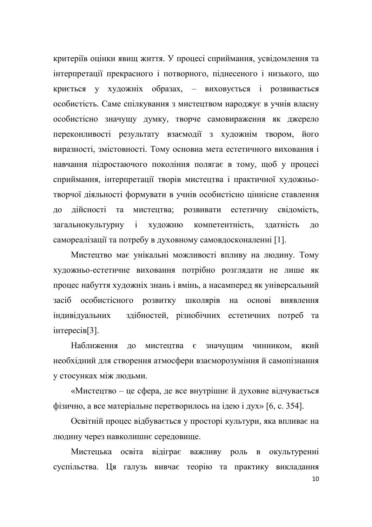критеріїв оцінки явищ життя. У процесі сприймання, усвідомлення та інтерпретації прекрасного і потворного, піднесеного і низького, що криється у художніх образах, - виховується і розвивається особистість. Саме спілкування з мистецтвом народжує в учнів власну особистісно значущу думку, творче самовираження як джерело переконливості результату взаємодії з художнім твором, його виразності, змістовності. Тому основна мета естетичного виховання і навчання підростаючого покоління полягає в тому, щоб у процесі сприймання, інтерпретації творів мистецтва і практичної художньотворчої діяльності формувати в учнів особистісно ціннісне ставлення до дійсності та мистецтва; розвивати естетичну свідомість, загальнокультурну і художню компетентність, здатність до самореалізації та потребу в духовному самовдосконаленні [1].

Мистецтво має унікальні можливості впливу на людину. Тому художньо-естетичне виховання потрібно розглядати не лише як процес набуття художніх знань і вмінь, а насамперед як універсальний засіб особистісного розвитку школярів на основі виявлення індивідуальних здібностей, різнобічних естетичних потреб та iHTepeci<sub>B</sub>[3].

Наближення до мистецтва є значущим чинником, який необхідний для створення атмосфери взаєморозуміння й самопізнання у стосунках між людьми.

«Мистецтво – це сфера, де все внутрішнє й духовне відчувається фізично, а все матеріальне перетворилось на ідею і дух» [6, с. 354].

Освітній процес відбувається у просторі культури, яка впливає на людину через навколишнє середовище.

Мистецька освіта відіграє важливу роль в окультуренні суспільства. Ця галузь вивчає теорію та практику викладання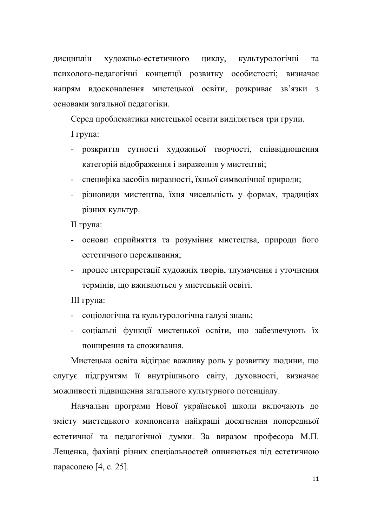дисциплін художньо-естетичного циклу, культурологічні та психолого-педагогічні концепції розвитку особистості; визначає напрям вдосконалення мистецької освіти, розкриває зв'язки з основами загальної пелагогіки.

Серед проблематики мистецької освіти виділяється три групи.

 $I$  група:

- розкриття сутності художньої творчості, співвідношення категорій відображення і вираження у мистецтві;
- специфіка засобів виразності, їхньої символічної природи;
- різновиди мистецтва, їхня чисельність у формах, традиціях різних культур.

II група:

- основи сприйняття та розуміння мистецтва, природи його естетичного переживання;
- процес інтерпретації художніх творів, тлумачення і уточнення термінів, що вживаються у мистецькій освіті.

III група:

- соціологічна та культурологічна галузі знань;
- соціальні функції мистецької освіти, що забезпечують їх поширення та споживання.

Мистецька освіта відіграє важливу роль у розвитку людини, що слугує підгрунтям її внутрішнього світу, духовності, визначає можливості підвищення загального культурного потенціалу.

Навчальні програми Нової української школи включають до змісту мистецького компонента найкращі досягнення попередньої естетичної та педагогічної думки. За виразом професора М.П. Лещенка, фахівці різних спеціальностей опиняються під естетичною парасолею  $[4, c. 25]$ .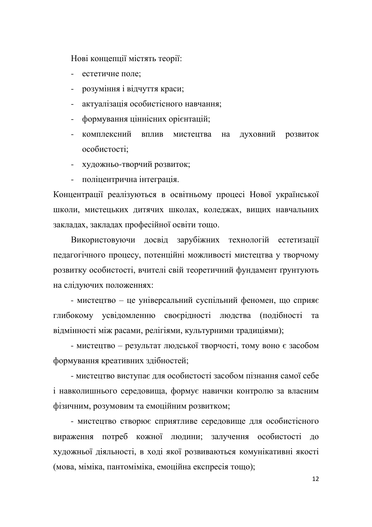Нові концепції містять теорії:

- естетичне поле:
- розуміння і відчуття краси;
- актуалізація особистісного навчання;
- формування ціннісних орієнтацій;
- комплексний вплив мистецтва на духовний розвиток  $\alpha$ собистості:
- художньо-творчий розвиток;
- поліцентрична інтеграція.

Концентрації реалізуються в освітньому процесі Нової української школи, мистецьких дитячих школах, коледжах, вищих навчальних закладах, закладах професійної освіти тощо.

Використовуючи досвід зарубіжних технологій естетизації педагогічного процесу, потенційні можливості мистецтва у творчому розвитку особистості, вчителі свій теоретичний фундамент ґрунтують на слідуючих положеннях:

- мистецтво – це універсальний суспільний феномен, що сприяє глибокому усвідомленню своєрідності людства (подібності та відмінності між расами, релігіями, культурними традиціями);

- мистецтво – результат людської творчості, тому воно є засобом формування креативних здібностей;

- мистецтво виступає для особистості засобом пізнання самої себе і навколишнього середовища, формує навички контролю за власним фізичним, розумовим та емоційним розвитком;

- мистецтво створює сприятливе середовище для особистісного вираження потреб кожної людини; залучення особистості до художньої діяльності, в ході якої розвиваються комунікативні якості (мова, міміка, пантоміміка, емоційна експресія тощо);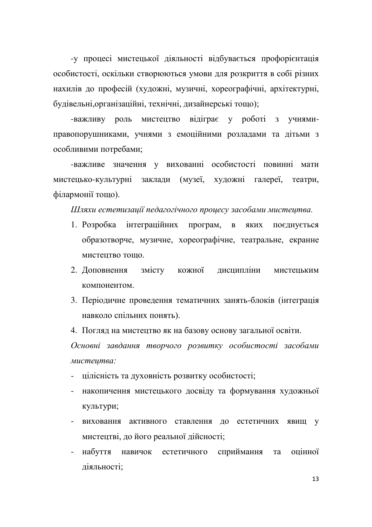- у процесі мистецької діяльності відбувається профорієнтація особистості, оскільки створюються умови для розкриття в собі різних нахилів до професій (художні, музичні, хореографічні, архітектурні, будівельні, організаційні, технічні, дизайнерські тощо);

-важливу роль мистецтво відіграє у роботі з учнямиправопорушниками, учнями з емоційними розладами та дітьми з особливими потребами;

-важливе значення у вихованні особистості повинні мати мистецько-культурні заклади (музеї, художні галереї, театри, філармонії тощо).

Шляхи естетизації педагогічного процесу засобами мистецтва.

- 1. Розробка інтеграційних програм, в яких поєднується образотворче, музичне, хореографічне, театральне, екранне MUCTEUTBO TOILO.
- 2. Доповнення змісту кожної дисципліни мистецьким компонентом.
- 3. Періодичне проведення тематичних занять-блоків (інтеграція навколо спільних понять).
- 4. Погляд на мистецтво як на базову основу загальної освіти.

Основні завдання творчого розвитку особистості засобами  $Mu$ cmeumea:

- цілісність та духовність розвитку особистості;
- накопичення мистецького досвіду та формування художньої культури;
- виховання активного ставлення до естетичних явищ у мистецтві, до його реальної дійсності;
- набуття навичок естетичного сприймання та оцінної діяльності;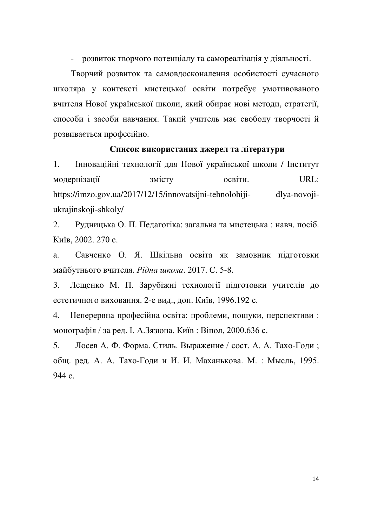- розвиток творчого потенціалу та самореалізація у діяльності.

Творчий розвиток та самовдосконалення особистості сучасного школяра у контексті мистецької освіти потребує умотивованого вчителя Нової української школи, який обирає нові методи, стратегії, способи і засоби навчання. Такий учитель має свободу творчості й розвивається професійно.

### Список використаних джерел та літератури

1. Інноваційні технології для Нової української школи / Інститут модернізації змісту освіти. URL: https://imzo.gov.ua/2017/12/15/innovatsijni-tehnolohiji- dlya-novojiukrajinskoji-shkoly/

2. Рудницька О. П. Педагогіка: загальна та мистецька: навч. посіб. Київ, 2002. 270 с.

а. Савченко О. Я. Шкільна освіта як замовник пілготовки майбутнього вчителя. Рідна школа. 2017. С. 5-8.

3. Лещенко М. П. Зарубіжні технології підготовки учителів до естетичного виховання. 2-е вид., доп. Київ, 1996.192 с.

4. Неперервна професійна освіта: проблеми, пошуки, перспективи: монографія / за ред. І. А.Зязюна. Київ: Віпол, 2000.636 с.

5. Лосев А. Ф. Форма. Стиль. Выражение / сост. А. А. Тахо-Годи; общ. ред. А. А. Тахо-Годи и И. И. Маханькова. М. : Мысль, 1995.  $944 c$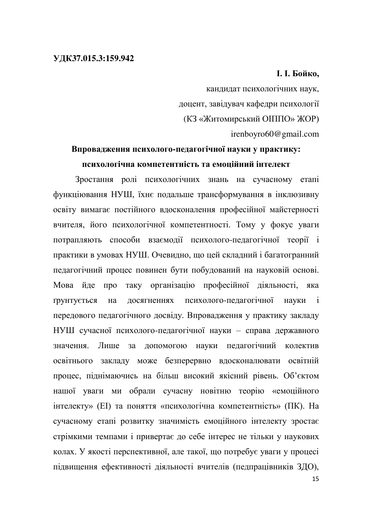### **І. І. Бойко.**

кандидат психологічних наук, доцент, завідувач кафедри психології (КЗ «Житомирський ОПППО» ЖОР) irenboyro60@gmail.com

### Впровадження психолого-педагогічної науки у практику: ПСИХОЛОГ<sup>ічна</sup> КОМПЕТЕНТНІСТЬ ТА ЕМОПІЙНИЙ ІНТЕЛЕКТ

Зростання ролі психологічних знань на сучасному етапі функціювання НУШ, їхнє подальше трансформування в інклюзивну освіту вимагає постійного вдосконалення професійної майстерності вчителя, його психологічної компетентності. Тому у фокус уваги потрапляють способи взаємодії психолого-педагогічної теорії і практики в умовах НУШ. Очевидно, що цей складний і багатогранний педагогічний процес повинен бути побудований на науковій основі. Мова йде про таку організацію професійної діяльності, яка грунтується на досягненнях психолого-педагогічної науки і передового педагогічного досвіду. Впровадження у практику закладу НУШ сучасної психолого-педагогічної науки - справа державного значення. Лише за допомогою науки педагогічний колектив освітнього закладу може безперервно вдосконалювати освітній процес, піднімаючись на більш високий якісний рівень. Об'єктом нашої уваги ми обрали сучасну новітню теорію «емоційного інтелекту» (EI) та поняття «психологічна компетентність» (ПК). На сучасному етапі розвитку значимість емоційного інтелекту зростає стрімкими темпами і привертає до себе інтерес не тільки у наукових колах. У якості перспективної, але такої, що потребує уваги у процесі підвищення ефективності діяльності вчителів (педпрацівників ЗДО),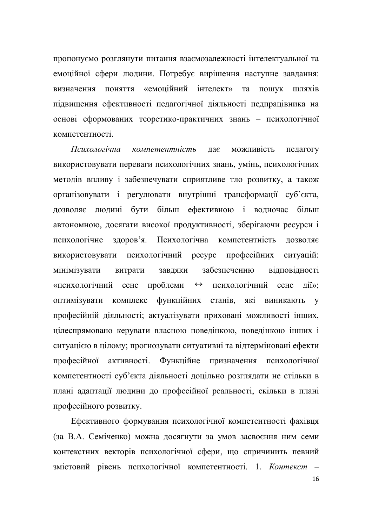пропонуємо розглянути питання взаємозалежності інтелектуальної та емоційної сфери людини. Потребує вирішення наступне завдання: визначення поняття «емоційний інтелект» та пошук шляхів підвищення ефективності педагогічної діяльності педпрацівника на еснові сформованих теоретико-практичних знань - психологічної компетентності

 $\eta$ дас можливість педагогу використовувати переваги психологічних знань, умінь, психологічних методів впливу і забезпечувати сприятливе тло розвитку, а також організовувати і регулювати внутрішні трансформації суб'єкта, дозволяє людині бути більш ефективною і водночас більш автономною, досягати високої продуктивності, зберігаючи ресурси і психологічне здоров'я. Психологічна компетентність дозволяє використовувати психологічний ресурс професійних ситуацій: мінімізувати витрати завдяки забезпеченню відповідності «психологічний сенс проблеми ↔ психологічний сенс дії»; оптимізувати комплекс функційних станів, які виникають у професійній діяльності; актуалізувати приховані можливості інших, цілеспрямовано керувати власною поведінкою, поведінкою інших і ситуацією в цілому; прогнозувати ситуативні та відтерміновані ефекти професійної активності. Функційне призначення психологічної компетентності суб'єкта діяльності доцільно розглядати не стільки в плані адаптації людини до професійної реальності, скільки в плані професійного розвитку.

Ефективного формування психологічної компетентності фахівця (за В.А. Семіченко) можна досягнути за умов засвоєння ним семи контекстних векторів психологічної сфери, що спричинить певний змістовий рівень психологічної компетентності. 1. Контекст -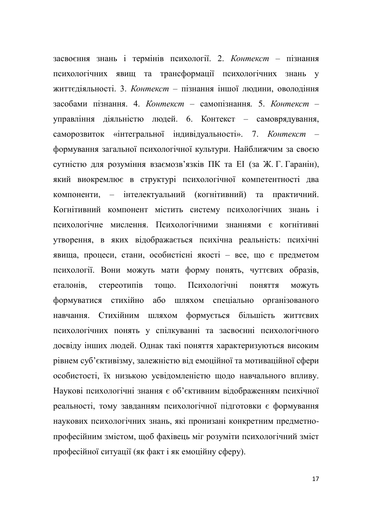засвоєння знань і термінів психології. 2. Контекст - пізнання психологічних явищ та трансформації психологічних знань у життєдіяльності. 3. Контекст - пізнання іншої людини, оволодіння засобами пізнання. 4. Контекст - самопізнання. 5. Контекст үправління діяльністю людей. 6. Контекст - самоврядування, саморозвиток «інтегральної індивідуальності». 7. Контекст формування загальної психологічної культури. Найближчим за своєю сутністю для розуміння взаємозв'язків ПК та ЕІ (за Ж. Г. Гаранін), який виокремлює в структурі психологічної компетентності два компоненти, – інтелектуальний (когнітивний) та практичний. Когнітивний компонент містить систему психологічних знань і психологічне мислення. Психологічними знаннями є когнітивні утворення, в яких відображається психічна реальність: психічні явища, процеси, стани, особистісні якості - все, що є предметом психології. Вони можуть мати форму понять, чуттєвих образів, еталонів, стереотипів тощо. Психологічні поняття можуть формуватися стихійно або шляхом спеціально організованого навчання. Стихійним шляхом формується більшість життєвих психологічних понять у спілкуванні та засвоєнні психологічного досвіду інших людей. Однак такі поняття характеризуються високим рівнем суб'єктивізму, залежністю від емоційної та мотиваційної сфери особистості, їх низькою усвідомленістю щодо навчального впливу. Наукові психологічні знання є об'єктивним відображенням психічної реальності, тому завданням психологічної підготовки є формування наукових психологічних знань, які пронизані конкретним предметнопрофесійним змістом, щоб фахівець міг розуміти психологічний зміст професійної ситуації (як факт і як емоційну сферу).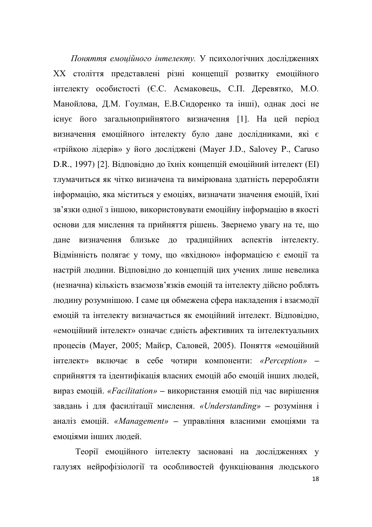Поняття емоційного інтелекту. У психологічних дослідженнях XX століття представлені різні концепції розвитку емоційного інтелекту особистості (Є.С. Асмаковець, С.П. Деревятко, М.О. Манойлова, Д.М. Гоулман, Е.В.Сидоренко та інші), однак досі не існує його загальноприйнятого визначення [1]. На цей період визначення емоційного інтелекту було дане дослідниками, які є «трійкою лідерів» у його досліджені (Mayer J.D., Salovey P., Caruso D.R., 1997) [2]. Відповідно до їхніх концепцій емоційний інтелект (EI) тлумачиться як чітко визначена та вимірювана здатність переробляти інформацію, яка міститься у емоціях, визначати значення емоцій, їхні зв'язки одної з іншою, використовувати емоційну інформацію в якості основи для мислення та прийняття рішень. Звернемо увагу на те, що дане визначення близьке до традиційних аспектів інтелекту. Відмінність полягає у тому, що «вхідною» інформацією є емоції та настрій людини. Відповідно до концепцій цих учених лише невелика незначна) кількість взаємозв'язків емоцій та інтелекту дійсно роблять людину розумнішою. І саме ця обмежена сфера накладення і взаємодії емоцій та інтелекту визначається як емоційний інтелект. Відповідно, «емоційний інтелект» означає єдність афективних та інтелектуальних процесів (Mayer, 2005; Майєр, Саловей, 2005). Поняття «емоційний iнтелект» включає в себе чотири компоненти: «Perception» сприйняття та ідентифікація власних емоцій або емоцій інших людей, вираз емоцій. «Facilitation» – використання емоцій під час вирішення завдань і для фасилітації мислення. «*Understanding*» - розуміння і аналіз емоцій. «Management» - управління власними емоціями та емоціями інших люлей.

Теорії емоційного інтелекту засновані на дослідженнях у галузях нейрофізіології та особливостей функціювання людського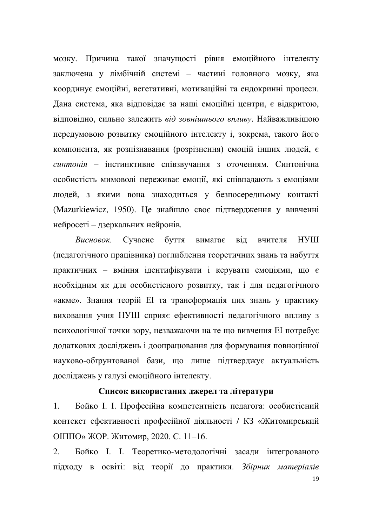мозку. Причина такої значущості рівня емоційного інтелекту заключена у лімбічній системі – частині головного мозку, яка координує емоційні, вегетативні, мотиваційні та ендокринні процеси. Дана система, яка відповідає за наші емоційні центри, є відкритою, відповідно, сильно залежить від зовнішнього впливу. Найважливішою передумовою розвитку емоційного інтелекту і, зокрема, такого його компонента, як розпізнавання (розрізнення) емоцій інших людей, є синтонія - інстинктивне співзвучання з оточенням. Синтонічна особистість мимоволі переживає емоції, які співпадають з емоціями людей, з якими вона знаходиться у безпосередньому контакті (Mazurkiewicz, 1950). Це знайшло своє підтвердження у вивченні нейросеті – дзеркальних нейронів.

Висновок. Сучасне буття вимагає від вчителя НУШ (педагогічного працівника) поглиблення теоретичних знань та набуття практичних – вміння ідентифікувати і керувати емоціями, що є необхідним як для особистісного розвитку, так і для педагогічного «акме». Знання теорій ЕІ та трансформація цих знань у практику виховання учня НУШ сприяє ефективності педагогічного впливу з психологічної точки зору, незважаючи на те що вивчення ЕІ потребує додаткових досліджень і доопрацювання для формування повноцінної науково-обґрунтованої бази, що лише підтверджує актуальність досліджень у галузі емоційного інтелекту.

#### Список використаних джерел та літератури

1. Бойко І. І. Професійна компетентність педагога: особистісний контекст ефективності професійної діяльності / КЗ «Житомирський ОПППО» ЖОР. Житомир, 2020. С. 11-16.

2. Бойко І. І. Теоретико-методологічні засади інтегрованого підходу в освіті: від теорії до практики. Збірник матеріалів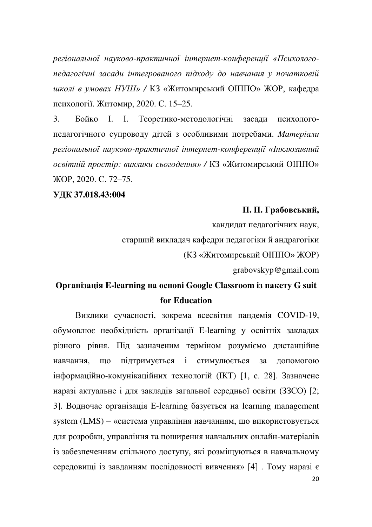регіональної науково-практичної інтернет-конференції «Психологопедагогічні засади інтегрованого підходу до навчання у початковій иколі в умовах НУШ» / КЗ «Житомирський ОПППО» ЖОР, кафедра психології. Житомир, 2020. С. 15-25.

3. Бойко І. І. Теоретико-методологічні засади психологопедагогічного супроводу дітей з особливими потребами. Матеріали  $peziональної науково-практичної інтернет-конференції «Інклюзивний$ *освітній простір: виклики сьогодення»* **/ КЗ «Житомирський ОІППО»** ɀɈɊɋ. 72±75.

### **ɍȾɄ37.018.43:004**

### П. П. Грабовський,

кандидат педагогічних наук,

старший викладач кафедри педагогіки й андрагогіки

(КЗ «Житомирський ОПППО» ЖОР)

grabovskyp@gmail.com

## **Ɉɪɝɚɧɿɡɚɰɿɹ E-learning ɧɚ ɨɫɧɨɜɿ Google Classroom ɿɡ ɩɚɤɟɬɭ G suit for Education**

Виклики сучасності, зокрема всесвітня пандемія COVID-19, обумовлює необхідність організації E-learning у освітніх закладах різного рівня. Під зазначеним терміном розуміємо дистанційне навчання, що підтримується і стимулюється за допомогою інформаційно-комунікаційних технологій (ІКТ) [1, с. 28]. Зазначене наразі актуальне і для закладів загальної середньої освіти (33CO) [2; 3]. Водночас організація E-learning базується на learning management system  $(LMS)$  – «система управління навчанням, що використовується для розробки, управління та поширення навчальних онлайн-матеріалів із забезпеченням спільного доступу, які розміщуються в навчальному середовищі із завданням послідовності вивчення» [4]. Тому наразі є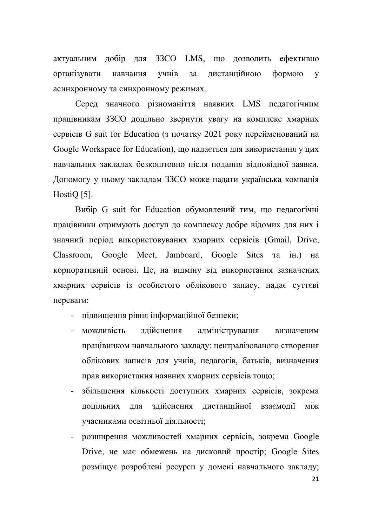актуальним добір для ЗЗСО LMS, що дозволить ефективно організувати навчання учнів за дистанційною формою у асинхронному та синхронному режимах.

Серед значного різноманіття наявних LMS педагогічним працівникам ЗЗСО доцільно звернути увагу на комплекс хмарних cepsicis G suit for Education (3 початку 2021 року перейменований на Google Workspace for Education), що надається для використання у цих навчальних закладах безкоштовно після подання відповідної заявки. Допомогу у цьому закладам ЗЗСО може надати українська компанія Hosti<sub>Q</sub> [5].

Вибір G suit for Education обумовлений тим, що педагогічні працівники отримують доступ до комплексу добре відомих для них і значний період використовуваних хмарних сервісів (Gmail, Drive, Classroom, Google Meet, Jamboard, Google Sites Ta ih.) на корпоративній основі. Це, на відміну від використання зазначених хмарних сервісів із особистого облікового запису, надає суттєві переваги:

- підвищення рівня інформаційної безпеки;
- можливість здійснення адміністрування визначеним працівником навчального закладу: централізованого створення облікових записів для учнів, педагогів, батьків, визначення прав використання наявних хмарних сервісів тощо;
- збільшення кількості доступних хмарних сервісів, зокрема доцільних для здійснення дистанційної взаємодії між учасниками освітньої діяльності;
- розширення можливостей хмарних сервісів, зокрема Google Drive, не має обмежень на дисковий простір; Google Sites розміщує розроблені ресурси у домені навчального закладу;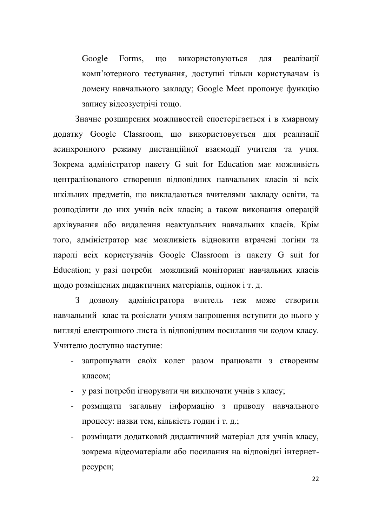Google Forms, що використовуються для реалізації комп'ютерного тестування, доступні тільки користувачам із домену навчального закладу; Google Meet пропонує функцію запису відеозустрічі тощо.

Значне розширення можливостей спостерігається і в хмарному додатку Google Classroom, що використовується для реалізації асинхронного режиму дистанційної взаємодії учителя та учня. Зокрема адміністратор пакету G suit for Education має можливість централізованого створення відповідних навчальних класів зі всіх шкільних предметів, що викладаються вчителями закладу освіти, та розподілити до них учнів всіх класів; а також виконання операцій архівування або видалення неактуальних навчальних класів. Крім того, адміністратор має можливість відновити втрачені логіни та паролі всіх користувачів Google Classroom із пакету G suit for Education; у разі потреби можливий моніторинг навчальних класів щодо розміщених дидактичних матеріалів, оцінок і т. д.

З дозволу адміністратора вчитель теж може створити навчальний клас та розіслати учням запрошення вступити до нього у вигляді електронного листа із відповідним посилання чи кодом класу. Учителю доступно наступне:

- запрошувати своїх колег разом працювати з створеним класом:
- у разі потреби ігнорувати чи виключати учнів з класу;
- розміщати загальну інформацію з приводу навчального процесу: назви тем, кількість годин і т. д.;
- розміщати додатковий дидактичний матеріал для учнів класу, зокрема відеоматеріали або посилання на відповідні інтернетресурси;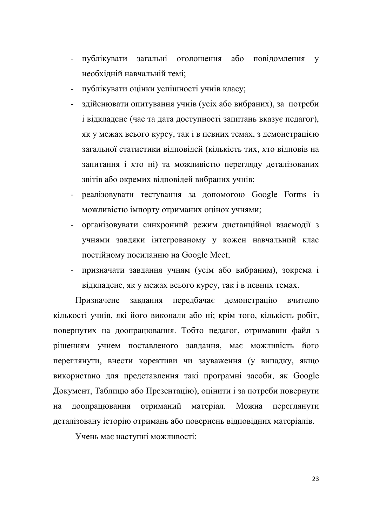- публікувати загальні оголошення або повідомлення у необхідній навчальній темі;
- публікувати оцінки успішності учнів класу;
- здійснювати опитування учнів (усіх або вибраних), за потреби і відкладене (час та дата доступності запитань вказує педагог), як у межах всього курсу, так і в певних темах, з демонстрацією загальної статистики відповідей (кількість тих, хто відповів на запитання і хто ні) та можливістю перегляду деталізованих звітів або окремих відповідей вибраних учнів;
- реалізовувати тестування за допомогою Google Forms із можливістю імпорту отриманих оцінок учнями;
- організовувати синхронний режим дистанційної взаємодії з учнями завдяки інтегрованому у кожен навчальний клас постійному посиланню на Google Meet;
- призначати завдання учням (усім або вибраним), зокрема і відкладене, як у межах всього курсу, так і в певних темах.

Призначене завдання передбачає демонстрацію вчителю кількості учнів, які його виконали або ні; крім того, кількість робіт, повернутих на доопрацювання. Тобто педагог, отримавши файл з рішенням учнем поставленого завдання, має можливість його переглянути, внести корективи чи зауваження (у випадку, якщо використано для представлення такі програмні засоби, як Google Документ, Таблицю або Презентацію), оцінити і за потреби повернути на доопрацювання отриманий матеріал. Можна переглянути деталізовану історію отримань або повернень відповідних матеріалів.

Учень має наступні можливості: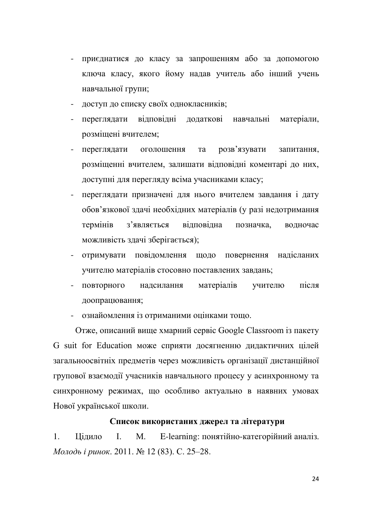- приєднатися до класу за запрошенням або за допомогою ключа класу, якого йому надав учитель або інший учень навчальної групи;
- доступ до списку своїх однокласників;
- переглядати відповідні додаткові навчальні матеріали, розміщені вчителем;
- переглядати оголошення та розв'язувати запитання, розміщенні вчителем, залишати відповідні коментарі до них, доступні для перегляду всіма учасниками класу;
- переглядати призначені для нього вчителем завдання і дату обов'язкової здачі необхідних матеріалів (у разі недотримання термінів з'являється відповідна позначка, водночас можливість здачі зберігається);
- отримувати повідомлення щодо повернення надісланих учителю матеріалів стосовно поставлених завдань;
- повторного надсилання матеріалів учителю після доопрацювання;
- ознайомлення із отриманими оцінками тощо.

Отже, описаний вище хмарний сервіс Google Classroom із пакету G suit for Education може сприяти досягненню дидактичних цілей загальноосвітніх предметів через можливість організації дистанційної групової взаємодії учасників навчального процесу у асинхронному та синхронному режимах, що особливо актуально в наявних умовах Нової української школи.

### Список використаних джерел та літератури

1. Цідило І. М. E-learning: понятійно-категорійний аналіз. *Молодь і ринок*. 2011. № 12 (83). С. 25–28.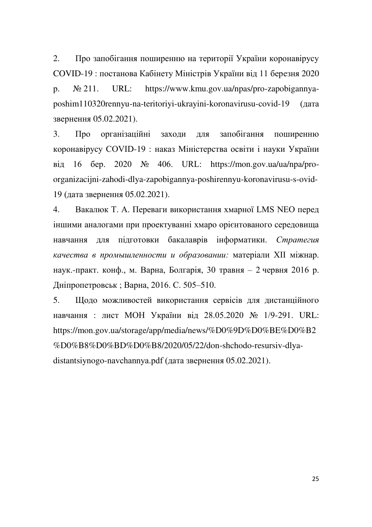2. Про запобігання поширенню на території України коронавірусу COVID-19 : постанова Кабінету Міністрів України від 11 березня 2020 p.  $\mathcal{N}_2$  211. URL: https://www.kmu.gov.ua/npas/pro-zapobigannyaposhim110320rennyu-na-teritoriyi-ukrayini-koronavirusu-covid-19 (дата звернення 05.02.2021).

3. Про організаційні заходи для запобігання поширенню коронавірусу COVID-19 : наказ Міністерства освіти і науки України  $\overline{B}$ ig 16  $\overline{6}$ ep. 2020  $\overline{N}$  406. URL: https://mon.gov.ua/ua/npa/proorganizacijni-zahodi-dlya-zapobigannya-poshirennyu-koronavirusu-s-ovid-19 (дата звернення 05.02.2021).

4. Вакалюк Т. А. Переваги використання хмарної LMS NEO перед іншими аналогами при проектуванні хмаро орієнтованого середовища навчання для підготовки бакалаврів інформатики. Стратегия качества в промышленности и образовании: матеріали XII міжнар. наук.-практ. конф., м. Варна, Болгарія, 30 травня – 2 червня 2016 р. Дніпропетровськ; Варна, 2016. С. 505–510.

5. Щодо можливостей використання сервісів для дистанційного навчання : лист МОН України від 28.05.2020 № 1/9-291. URL: https://mon.gov.ua/storage/app/media/news/%D0%9D%D0%BE%D0%B2 %D0%B8%D0%BD%D0%B8/2020/05/22/don-shchodo-resursiv-dlyadistantsiynogo-navchannya.pdf (дата звернення  $05.02.2021$ ).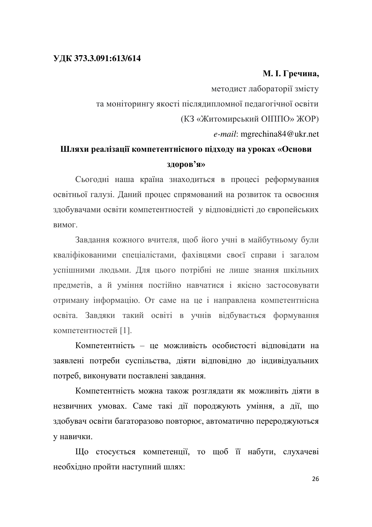### **ɍȾɄ 373.3.091:613/614**

### **М. І. Гречина,**

методист лабораторії змісту та моніторингу якості післядипломної педагогічної освіти (КЗ «Житомирський ОПППО» ЖОР) *e-mail*: mgrechina84@ukr.net

### Шляхи реалізації компетентнісного підходу на уроках «Основи **ЗЛОРОВ'Я»**

Сьогодні наша країна знаходиться в процесі реформування освітньої галузі. Даний процес спрямований на розвиток та освоєння здобувачами освіти компетентностей у відповідністі до європейських **BUMOF** 

Завдання кожного вчителя, щоб його учні в майбутньому були кваліфікованими спеціалістами, фахівцями своєї справи і загалом успішними людьми. Для цього потрібні не лише знання шкільних предметів, а й уміння постійно навчатися і якісно застосовувати отриману інформацію. От саме на це і направлена компетентнісна освіта. Завдяки такий освіті в учнів відбувається формування компетентностей [1].

Компетентність - це можливість особистості вілповілати на заявлені потреби суспільства, діяти відповідно до індивідуальних потреб, виконувати поставлені завдання.

Компетентність можна також розглядати як можливіть діяти в незвичних умовах. Саме такі дії породжують уміння, а дії, що здобувач освіти багаторазово повторює, автоматично перероджуються у навички.

Що стосується компетенції, то щоб її набути, слухачеві необхідно пройти наступний шлях: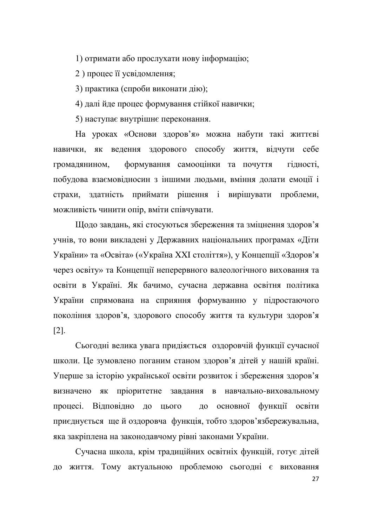1) отримати або прослухати нову інформацію;

2) процес її усвідомлення;

3) практика (спроби виконати дію);

4) далі йде процес формування стійкої навички;

5) наступає внутрішнє переконання.

На уроках «Основи здоров'я» можна набути такі життєві навички, як ведення здорового способу життя, відчути себе громадянином, формування самооцінки та почуття гідності, побудова взаємовідносин з іншими людьми, вміння долати емоції і страхи, здатність приймати рішення і вирішувати проблеми, можливість чинити опір, вміти співчувати.

Щодо завдань, які стосуються збереження та зміцнення здоров'я учнів, то вони викладені у Державних національних програмах «Діти України» та «Освіта» («Україна XXI століття»), у Концепції «Здоров'я через освіту» та Концепції неперервного валеологічного виховання та освіти в Україні. Як бачимо, сучасна державна освітня політика України спрямована на сприяння формуванню у підростаючого покоління здоров'я, здорового способу життя та культури здоров'я [2].

Сьогодні велика увага придіяється оздоровчій функції сучасної школи. Це зумовлено поганим станом здоров'я дітей у нашій країні. Уперше за історію української освіти розвиток і збереження здоров'я визначено як пріоритетне завдання в навчально-виховальному процесі. Відповідно до цього до основної функції освіти приєднується ще й оздоровча функція, тобто здоров'язбережувальна, яка закріплена на законодавчому рівні законами України.

Сучасна школа, крім традиційних освітніх функцій, готує дітей до життя. Тому актуальною проблемою сьогодні є виховання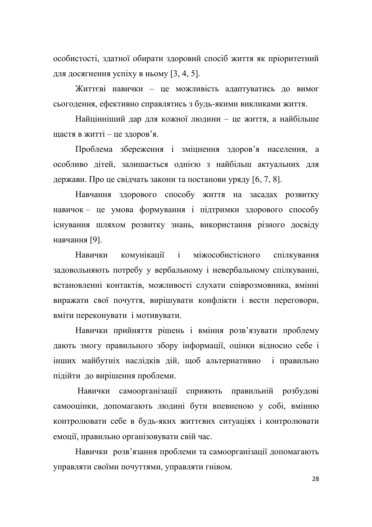особистості, здатної обирати здоровий спосіб життя як пріоритетний для досягнення успіху в ньому  $[3, 4, 5]$ .

Життєві навички - це можливість адаптуватись до вимог сьогодення, ефективно справлятись з будь-якими викликами життя.

Найцінніший дар для кожної людини - це життя, а найбільше щастя в житті — це здоров'я.

Проблема збереження і зміцнення здоров'я населення, а особливо дітей, залишається однією з найбільш актуальних для держави. Про це свідчать закони та постанови уряду [6, 7, 8].

Навчання здорового способу життя на засадах розвитку навичок - це умова формування і підтримки здорового способу існування шляхом розвитку знань, використання різного досвіду навчання [9].

Навички комунікації і міжособистісного спілкування задовольняють потребу у вербальному і невербальному спілкуванні, встановленні контактів, можливості слухати співрозмовника, вмінні виражати свої почуття, вирішувати конфлікти і вести переговори, вміти переконувати і мотивувати.

Навички прийняття рішень і вміння розв'язувати проблему дають змогу правильного збору інформації, оцінки відносно себе і інших майбутніх наслідків дій, щоб альтернативно і правильно підійти до вирішення проблеми.

Навички самоорганізації сприяють правильній розбудові самооцінки, допомагають людині бути впевненою у собі, вмінню контролювати себе в будь-яких життєвих ситуаціях і контролювати емоції, правильно організовувати свій час.

Навички розв'язання проблеми та самоорганізації допомагають управляти своїми почуттями, управляти гнівом.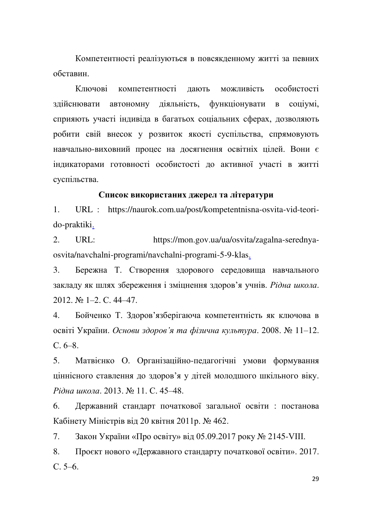Компетентності реалізуються в повсякденному житті за певних обставин

Ключові компетентності дають можливість особистості здійснювати автономну діяльність, функціонувати в соціумі, сприяють участі індивіда в багатьох соціальних сферах, дозволяють робити свій внесок у розвиток якості суспільства, спрямовують навчально-виховний процес на досягнення освітніх цілей. Вони є індикаторами готовності особистості до активної участі в житті суспільства.

### Список використаних джерел та літератури

1. URL : https://naurok.com.ua/post/kompetentnisna-osvita-vid-teorido-praktiki.

2. URL: https://mon.gov.ua/ua/osvita/zagalna-serednyaosvita/navchalni-programi/navchalni-programi-5-9-klas.

3. Бережна Т. Створення здорового середовища навчального закладу як шлях збереження і зміцнення здоров'я учнів. Рідна школа.  $2012$ ,  $\text{Ne}$  1-2, C, 44-47.

4. Бойченко Т. Здоров'язберігаюча компетентність як ключова в **освіті України.** Основи здоров'я та фізична культура. 2008. № 11–12.  $C.6-8.$ 

5. Матвієнко О. Організаційно-педагогічні умови формування ціннісного ставлення до здоров'я у дітей молодшого шкільного віку. *Piдна школа*. 2013. № 11. С. 45–48.

6. Державний стандарт початкової загальної освіти : постанова Кабінету Міністрів від 20 квітня 2011р. № 462.

7. Закон України «Про освіту» від 05.09.2017 року № 2145-VIII.

8. Проєкт нового «Державного стандарту початкової освіти». 2017.  $C, 5-6.$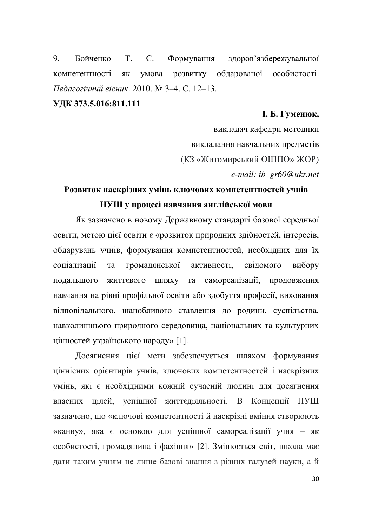9. Бойченко Т. Є. Формування здоров'язбережувальної компетентності як умова розвитку обдарованої особистості.  $\Pi$ едагогічний вісник. 2010. № 3-4. С. 12-13.

### УДК 373.5.016:811.111

### **l. Ь.** Гуменюк,

викладач кафедри методики викладання навчальних предметів (КЗ «Житомирський ОПППО» ЖОР) *e-mail: ib\_gr60@ukr.net* 

### Розвиток наскрізних умінь ключових компетентностей учнів НУШ у процесі навчання англійської мови

Як зазначено в новому Державному стандарті базової середньої освіти, метою цієї освіти є «розвиток природних здібностей, інтересів, обдарувань учнів, формування компетентностей, необхідних для їх соціалізації та громадянської активності, свідомого вибору подальшого життєвого шляху та самореалізації, продовження навчання на рівні профільної освіти або здобуття професії, виховання відповідального, шанобливого ставлення до родини, суспільства, навколишнього природного середовища, національних та культурних цінностей українського народу» [1].

Досягнення цієї мети забезпечується шляхом формування ціннісних орієнтирів учнів, ключових компетентностей і наскрізних умінь, які є необхідними кожній сучасній людині для досягнення власних цілей, успішної життєдіяльності. В Концепції НУШ зазначено, що «ключові компетентності й наскрізні вміння створюють «канву», яка є основою для успішної самореалізації учня - як особистості, громадянина і фахівця» [2]. Змінюється світ, школа має дати таким учням не лише базові знання з різних галузей науки, а й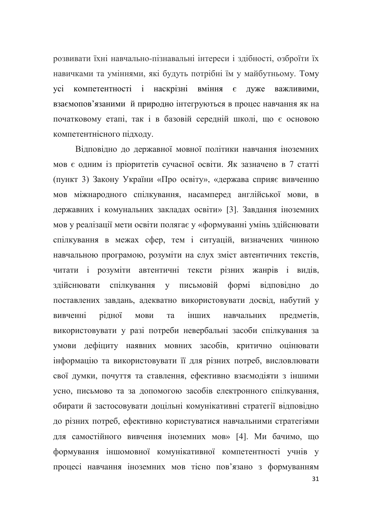розвивати їхні навчально-пізнавальні інтереси і здібності, озброїти їх навичками та уміннями, які будуть потрібні їм у майбутньому. Тому усі компетентності і наскрізні вміння є дуже важливими, взаємопов'язаними й природно інтегруються в процес навчання як на початковому етапі, так і в базовій середній школі, що є основою компетентнісного підходу.

Відповідно до державної мовної політики навчання іноземних мов є одним із пріоритетів сучасної освіти. Як зазначено в 7 статті (пункт 3) Закону України «Про освіту», «держава сприяє вивченню мов міжнародного спілкування, насамперед англійської мови, в державних і комунальних закладах освіти» [3]. Завдання іноземних мов у реалізації мети освіти полягає у «формуванні умінь здійснювати спілкування в межах сфер, тем і ситуацій, визначених чинною навчальною програмою, розуміти на слух зміст автентичних текстів, читати і розуміти автентичні тексти різних жанрів і видів, здійснювати спілкування у письмовій формі відповідно до поставлених завдань, адекватно використовувати досвід, набутий у вивченні рідної мови та інших навчальних предметів, використовувати у разі потреби невербальні засоби спілкування за умови дефіциту наявних мовних засобів, критично оцінювати інформацію та використовувати її для різних потреб, висловлювати свої думки, почуття та ставлення, ефективно взаємодіяти з іншими усно, письмово та за допомогою засобів електронного спілкування, обирати й застосовувати доцільні комунікативні стратегії відповідно до різних потреб, ефективно користуватися навчальними стратегіями для самостійного вивчення іноземних мов» [4]. Ми бачимо, що формування іншомовної комунікативної компетентності учнів у процесі навчання іноземних мов тісно пов'язано з формуванням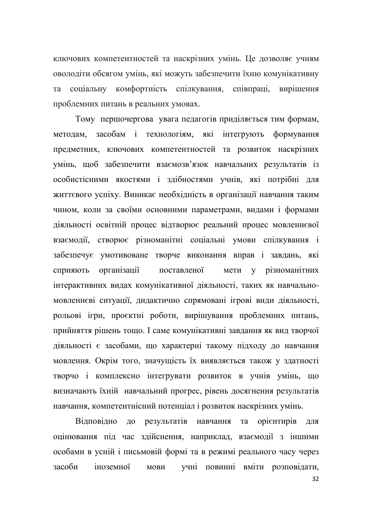ключових компетентностей та наскрізних умінь. Це дозволяє учням оволодіти обсягом умінь, які можуть забезпечити їхню комунікативну та соціальну комфортність спілкування, співпраці, вирішення проблемних питань в реальних умовах.

Тому першочергова увага педагогів приділяється тим формам, методам, засобам і технологіям, які інтегрують формування предметних, ключових компетентностей та розвиток наскрізних умінь, щоб забезпечити взаємозв'язок навчальних результатів із особистісними якостями і здібностями учнів, які потрібні для життєвого успіху. Виникає необхідність в організації навчання таким чином, коли за своїми основними параметрами, видами і формами діяльності освітній процес відтворює реальний процес мовленнєвої взаємодії, створює різноманітні соціальні умови спілкування і забезпечує умотивоване творче виконання вправ і завдань, які сприяють організації поставленої мети у різноманітних інтерактивних видах комунікативної діяльності, таких як навчальномовленнєві ситуації, дидактично спрямовані ігрові види діяльності, рольові ігри, проєктні роботи, вирішування проблемних питань, прийняття рішень тощо. І саме комунікативні завдання як вид творчої діяльності є засобами, що характерні такому підходу до навчання мовлення. Окрім того, значущість їх виявляється також у здатності творчо і комплексно інтегрувати розвиток в учнів умінь, що визначають їхній навчальний прогрес, рівень досягнення результатів навчання, компетентнісний потенціал і розвиток наскрізних умінь.

Відповідно до результатів навчання та орієнтирів для оцінювання під час здійснення, наприклад, взаємодії з іншими особами в усній і письмовій формі та в режимі реального часу через засоби іноземної мови учні повинні вміти розповідати,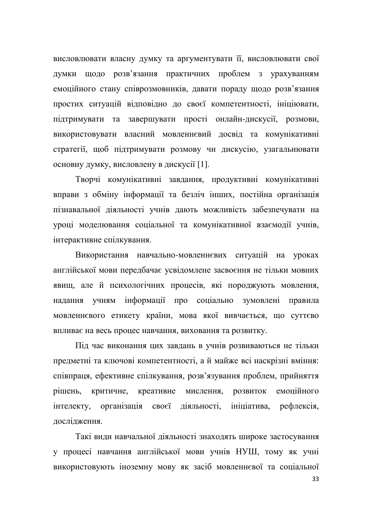висловлювати власну думку та аргументувати її, висловлювати свої думки щодо розв'язання практичних проблем з урахуванням емоційного стану співрозмовників, давати пораду щодо розв'язання простих ситуацій відповідно до своєї компетентності, ініціювати, підтримувати та завершувати прості онлайн-дискусії, розмови, використовувати власний мовленнєвий досвід та комунікативні стратегії, щоб підтримувати розмову чи дискусію, узагальнювати основну думку, висловлену в дискусії [1].

Творчі комунікативні завдання, продуктивні комунікативні вправи з обміну інформації та безліч інших, постійна організація пізнавальної діяльності учнів дають можливість забезпечувати на уроці моделювання соціальної та комунікативної взаємодії учнів, інтерактивне спілкування.

Використання навчально-мовленнєвих ситуацій на уроках англійської мови передбачає усвідомлене засвоєння не тільки мовних явищ, але й психологічних процесів, які породжують мовлення, надання учням інформації про соціально зумовлені правила мовленнєвого етикету країни, мова якої вивчається, що суттєво впливає на весь процес навчання, виховання та розвитку.

Під час виконання цих завдань в учнів розвиваються не тільки предметні та ключові компетентності, а й майже всі наскрізні вміння: співпраця, ефективне спілкування, розв'язування проблем, прийняття рішень, критичне, креативне мислення, розвиток емоційного інтелекту, організація своєї діяльності, ініціатива, рефлексія, дослідження.

Такі види навчальної діяльності знаходять широке застосування у процесі навчання англійської мови учнів НУШ, тому як учні використовують іноземну мову як засіб мовленнєвої та соціальної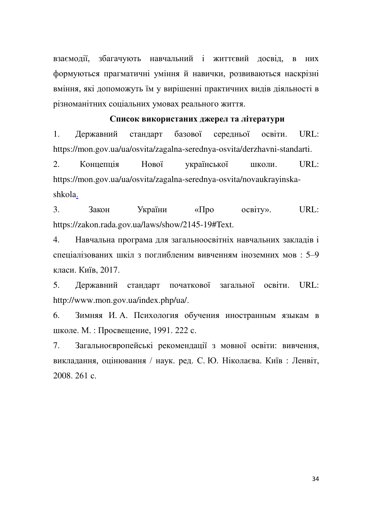взаємодії, збагачують навчальний і життєвий досвід, в них формуються прагматичні уміння й навички, розвиваються наскрізні вміння, які допоможуть їм у вирішенні практичних видів діяльності в різноманітних соціальних умовах реального життя.

### Список використаних джерел та літератури

1. Державний стандарт базової середньої освіти. URL: https://mon.gov.ua/ua/osvita/zagalna-serednya-osvita/derzhavni-standarti.

2. Концепція Нової української школи. URL: https://mon.gov.ua/ua/osvita/zagalna-serednya-osvita/novaukrayinskashkola.

3. Закон України «Про освіту». URL: https://zakon.rada.gov.ua/laws/show/2145-19#Text.

4. Навчальна програма для загальноосвітніх навчальних закладів і спеціалізованих шкіл з поглибленим вивченням іноземних мов: 5-9 класи. Київ. 2017.

5. Державний стандарт початкової загальної освіти. URL: http://www.mon.gov.ua/index.php/ua/.

6. Зимняя И.А. Психология обучения иностранным языкам в школе. М.: Просвещение, 1991. 222 с.

7. Загальноєвропейські рекомендації з мовної освіти: вивчення, викладання, оцінювання / наук. ред. С. Ю. Ніколаєва. Київ: Ленвіт,  $2008.261c$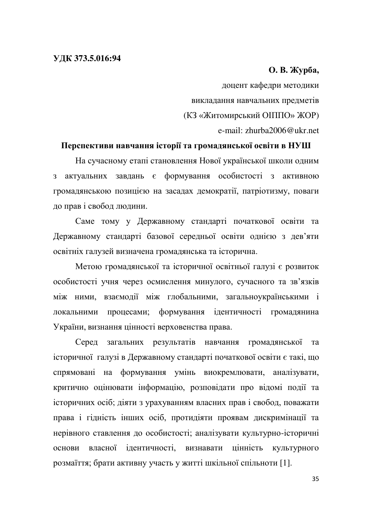### **ɍȾɄ 373.5.016:94**

### **О. В. Журба,**

доцент кафедри методики викладання навчальних предметів (КЗ «Житомирський ОПППО» ЖОР) e-mail: zhurba2006@ukr.net

### Перспективи навчання історії та громадянської освіти в НУШ

На сучасному етапі становлення Нової української школи одним з актуальних завдань є формування особистості з активною громадянською позицією на засадах демократії, патріотизму, поваги до прав і свобод людини.

Саме тому у Державному стандарті початкової освіти та Державному стандарті базової середньої освіти однією з дев'яти освітніх галузей визначена громадянська та історична.

Метою громадянської та історичної освітньої галузі є розвиток особистості учня через осмислення минулого, сучасного та зв'язків між ними, взаємодії між глобальними, загальноукраїнськими і локальними процесами; формування ідентичності громадянина України, визнання цінності верховенства права.

Серед загальних результатів навчання громадянської та історичної галузі в Державному стандарті початкової освіти є такі, що спрямовані на формування умінь виокремлювати, аналізувати, критично оцінювати інформацію, розповідати про відомі події та історичних осіб; діяти з урахуванням власних прав і свобод, поважати права і гідність інших осіб, протидіяти проявам дискримінації та нерівного ставлення до особистості; аналізувати культурно-історичні основи власної ідентичності, визнавати цінність культурного розмаїття; брати активну участь у житті шкільної спільноти [1].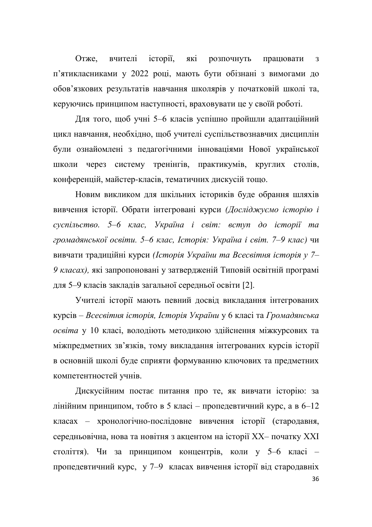Отже, вчителі історії, які розпочнуть працювати з п'ятикласниками у 2022 році, мають бути обізнані з вимогами до обов'язкових результатів навчання школярів у початковій школі та, керуючись принципом наступності, враховувати це у своїй роботі.

Для того, щоб учні 5-6 класів успішно пройшли адаптаційний цикл навчання, необхідно, щоб учителі суспільствознавчих дисциплін були ознайомлені з педагогічними інноваціями Нової української школи через систему тренінгів, практикумів, круглих столів, конференцій, майстер-класів, тематичних дискусій тощо.

Новим викликом для шкільних істориків буде обрання шляхів вивчення історії. Обрати інтегровані курси (Досліджуємо історію і *cycniльство.* 5–6 клас, Україна і світ: вступ до історії та *громадянської освіти.* 5–6 клас, Історія: Україна і світ. 7–9 клас) чи вивчати традиційні курси (Історія України та Всесвітня історія у 7-9 класах), які запропоновані у затвердженій Типовій освітній програмі для 5–9 класів закладів загальної середньої освіти [2].

Учителі історії мають певний досвід викладання інтегрованих курсів – Всесвітня *історія*, Історія України у 6 класі та Громадянська *освіта у 10 класі, володіють методикою здійснення міжкурсових та* міжпредметних зв'язків, тому викладання інтегрованих курсів історії в основній школі буде сприяти формуванню ключових та предметних компетентностей учнів.

Дискусійним постає питання про те, як вивчати історію: за лінійним принципом, тобто в 5 класі - пропедевтичний курс, а в 6-12 класах – хронологічно-послідовне вивчення історії (стародавня, середньовічна, нова та новітня з акцентом на історії XX- початку XXI століття). Чи за принципом концентрів, коли у 5-6 класі – пропедевтичний курс, у 7-9 класах вивчення історії від стародавніх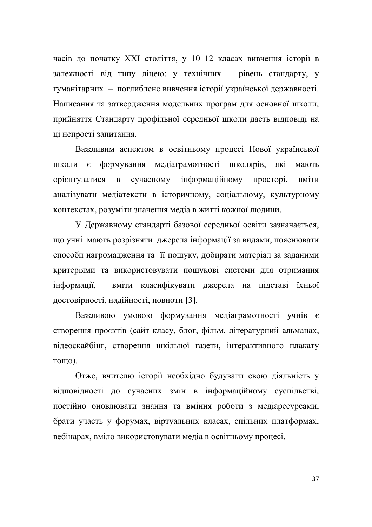часів до початку XXI століття, у 10-12 класах вивчення історії в залежності від типу ліцею: у технічних - рівень стандарту, у гуманітарних – поглиблене вивчення історії української державності. Написання та затвердження модельних програм для основної школи, прийняття Стандарту профільної середньої школи дасть відповіді на ці непрості запитання.

Важливим аспектом в освітньому процесі Нової української школи є формування медіаграмотності школярів, які мають орієнтуватися в сучасному інформаційному просторі, вміти аналізувати медіатексти в історичному, соціальному, культурному контекстах, розуміти значення медіа в житті кожної людини.

У Державному стандарті базової середньої освіти зазначається, що учні мають розрізняти джерела інформації за видами, пояснювати способи нагромадження та її пошуку, добирати матеріал за заданими критеріями та використовувати пошукові системи для отримання інформації, вміти класифікувати джерела на підставі їхньої достовірності, надійності, повноти [3].

Важливою умовою формування медіаграмотності учнів є створення проєктів (сайт класу, блог, фільм, літературний альманах, відеоскайбінг, створення шкільної газети, інтерактивного плакату **тошо**).

Отже, вчителю історії необхідно будувати свою діяльність у відповідності до сучасних змін в інформаційному суспільстві, постійно оновлювати знання та вміння роботи з медіаресурсами, брати участь у форумах, віртуальних класах, спільних платформах, вебінарах, вміло використовувати медіа в освітньому процесі.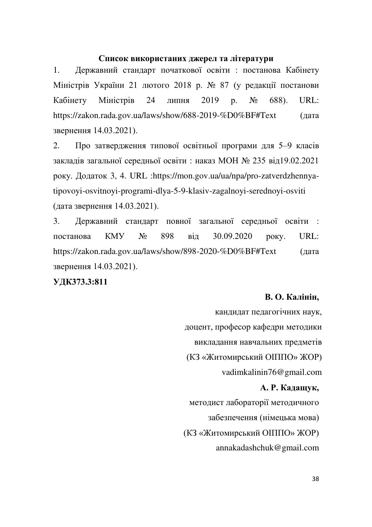# Список використаних джерел та літератури

1. Державний стандарт початкової освіти : постанова Кабінету Міністрів України 21 лютого 2018 р. № 87 (у редакції постанови Кабінету Міністрів 24 липня 2019 р. № 688). URL: https://zakon.rada.gov.ua/laws/show/688-2019-%D0%BF#Text (дата звернення 14.03.2021).

2. Про затвердження типової освітньої програми для 5-9 класів закладів загальної середньої освіти: наказ МОН № 235 від19.02.2021 року. Додаток 3, 4. URL :https://mon.gov.ua/ua/npa/pro-zatverdzhennyatipovoyi-osvitnoyi-programi-dlya-5-9-klasiv-zagalnoyi-serednoyi-osviti (дата звернення 14.03.2021).

3. Державний стандарт повної загальної середньої освіти : постанова КМУ № 898 від 30.09.2020 року. URL: https://zakon.rada.gov.ua/laws/show/898-2020-%D0%BF#Text (дата звернення 14.03.2021).

**УДКЗ73.3:811** 

# **В. О. Калінін,**

кандидат педагогічних наук, доцент, професор кафедри методики викладання навчальних предметів (КЗ «Житомирський ОПППО» ЖОР) vadimkalinin76@gmail.com **А. Р. Кадащук.** методист лабораторії методичного забезпечення (німецька мова) (КЗ «Житомирський ОПППО» ЖОР) annakadashchuk@gmail.com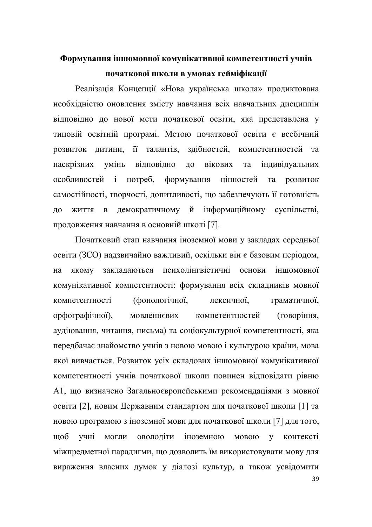# Формування іншомовної комунікативної компетентності учнів початкової школи в умовах гейміфікації

Реалізація Концепції «Нова українська школа» продиктована необхідністю оновлення змісту навчання всіх навчальних дисциплін відповідно до нової мети початкової освіти, яка представлена у типовій освітній програмі. Метою початкової освіти є всебічний розвиток дитини, її талантів, здібностей, компетентностей та наскрізних умінь відповідно до вікових та індивідуальних особливостей і потреб, формування цінностей та розвиток самостійності, творчості, допитливості, що забезпечують її готовність до життя в демократичному й інформаційному суспільстві, продовження навчання в основній школі [7].

Початковий етап навчання іноземної мови у закладах середньої освіти (ЗСО) надзвичайно важливий, оскільки він є базовим періодом, на якому закладаються психолінгвістичні основи іншомовної комунікативної компетентності: формування всіх складників мовної компетентності (фонологічної, лексичної, граматичної, орфографічної), мовленнєвих компетентностей (говоріння, аудіювання, читання, письма) та соціокультурної компетентності, яка передбачає знайомство учнів з новою мовою і культурою країни, мова якої вивчається. Розвиток усіх складових іншомовної комунікативної компетентності учнів початкової школи повинен відповідати рівню А1, що визначено Загальноєвропейськими рекомендаціями з мовної освіти [2], новим Державним стандартом для початкової школи [1] та новою програмою з іноземної мови для початкової школи [7] для того, щоб учні могли оволодіти іноземною мовою у контексті міжпредметної парадигми, що дозволить їм використовувати мову для вираження власних думок у діалозі культур, а також усвідомити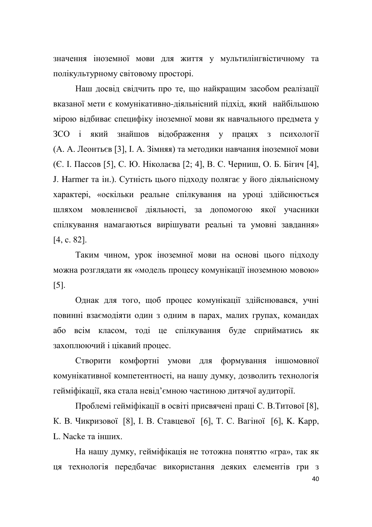значення іноземної мови для життя у мультилінгвістичному та полікультурному світовому просторі.

Наш досвід свідчить про те, що найкращим засобом реалізації вказаної мети є комунікативно-діяльнісний підхід, який найбільшою мірою відбиває специфіку іноземної мови як навчального предмета у ЗСО і який знайшов відображення у працях з психології (А. А. Леонтьєв [3], І. А. Зімняя) та методики навчання іноземної мови  $(C. I. \text{Пассов } [5], C. \text{ Ю. Ніколаєва } [2; 4], B. C. \text{ Чернищ}, O. \text{ Б. Бігич } [4],$ J. Harmer та ін.). Сутність цього підходу полягає у його діяльнісному характері, «оскільки реальне спілкування на уроці здійснюється шляхом мовленнєвої діяльності, за допомогою якої учасники спілкування намагаються вирішувати реальні та умовні завдання»  $[4, c. 82]$ .

Таким чином, урок іноземної мови на основі цього підходу можна розглядати як «модель процесу комунікації іноземною мовою» [5].

Однак для того, щоб процес комунікації здійснювався, учні повинні взаємодіяти один з одним в парах, малих групах, командах або всім класом, тоді це спілкування буде сприйматись як захоплюючий і цікавий процес.

Створити комфортні умови для формування іншомовної комунікативної компетентності, на нашу думку, дозволить технологія гейміфікації, яка стала невід'ємною частиною дитячої аудиторії.

Проблемі гейміфікації в освіті присвячені праці С. В.Титової [8], К. В. Чикризової [8], І. В. Ставцевої [6], Т. С. Вагіної [6], К. Карр, L. Nacke та інших

На нашу думку, гейміфікація не тотожна поняттю «гра», так як ця технологія передбачає використання деяких елементів гри з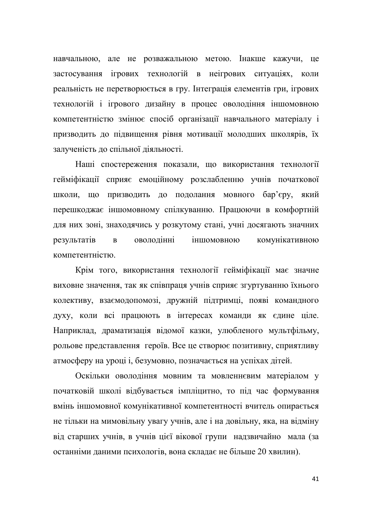навчальною, але не розважальною метою. Інакше кажучи, це застосування ігрових технологій в неігрових ситуаціях, коли реальність не перетворюється в гру. Інтеграція елементів гри, ігрових технологій і ігрового дизайну в процес оволодіння іншомовною компетентністю змінює спосіб організації навчального матеріалу і призводить до підвищення рівня мотивації молодших школярів, їх залученість до спільної діяльності.

Наші спостереження показали, що використання технології гейміфікації сприяє емоційному розслабленню учнів початкової школи, що призводить до подолання мовного бар'єру, який перешкоджає іншомовному спілкуванню. Працюючи в комфортній для них зоні, знаходячись у розкутому стані, учні досягають значних результатів в оволодінні іншомовною комунікативною компетентністю

Крім того, використання технології гейміфікації має значне виховне значення, так як співпраця учнів сприяє згуртуванню їхнього колективу, взаємодопомозі, дружній підтримці, появі командного духу, коли всі працюють в інтересах команди як єдине ціле. Наприклад, драматизація відомої казки, улюбленого мультфільму, рольове представлення героїв. Все це створює позитивну, сприятливу атмосферу на уроці і, безумовно, позначається на успіхах дітей.

Оскільки оволодіння мовним та мовленнєвим матеріалом у початковій школі відбувається імпліцитно, то під час формування вмінь іншомовної комунікативної компетентності вчитель опирається не тільки на мимовільну увагу учнів, але і на довільну, яка, на відміну від старших учнів, в учнів цієї вікової групи надзвичайно мала (за останніми даними психологів, вона складає не більше 20 хвилин).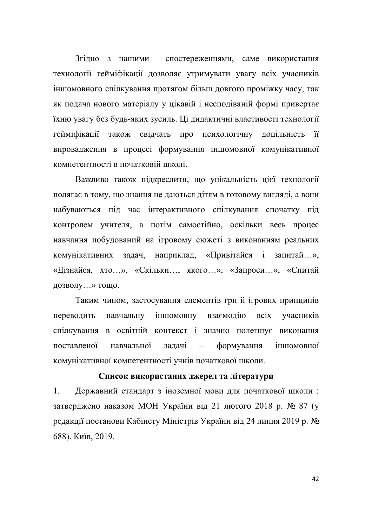Згідно з нашими спостереженнями, саме використання технології гейміфікації дозволяє утримувати увагу всіх учасників іншомовного спілкування протягом більш довгого проміжку часу, так як подача нового матеріалу у цікавій і несподіваній формі привертає їхню увагу без будь-яких зусиль. Ці дидактичні властивості технології гейміфікації також свідчать про психологічну доцільність її впровадження в процесі формування іншомовної комунікативної компетентності в початковій школі.

Важливо також підкреслити, що унікальність цієї технології полягає в тому, що знання не даються дітям в готовому вигляді, а вони набуваються під час інтерактивного спілкування спочатку під контролем учителя, а потім самостійно, оскільки весь процес навчання побудований на ігровому сюжеті з виконанням реальних комунікативних задач, наприклад, «Привітайся і запитай...», «Дізнайся, хто...», «Скільки..., якого...», «Запроси...», «Спитай дозволу...» тощо.

Таким чином, застосування елементів гри й ігрових принципів переводить навчальну іншомовну взаємодію всіх учасників спілкування в освітній контекст і значно полегшує виконання поставленої навчальної задачі – формування іншомовної комунікативної компетентності учнів початкової школи.

# Список використаних джерел та літератури

1. Державний стандарт з іноземної мови для початкової школи: затверджено наказом МОН України від 21 лютого 2018 р. № 87 (у редакції постанови Кабінету Міністрів України від 24 липня 2019 р. № 688). Київ, 2019.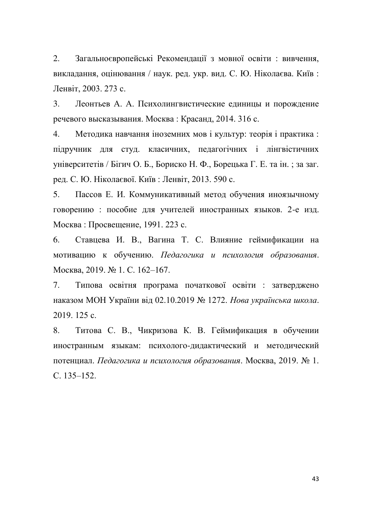2. Загальноєвропейські Рекомендації з мовної освіти : вивчення, викладання, оцінювання / наук. ред. укр. вид. С. Ю. Ніколаєва. Київ: Ленвіт, 2003. 273 с.

3. Леонтьев А. А. Психолингвистические единицы и порождение речевого высказывания. Москва: Красанд, 2014. 316 с.

4. Методика навчання іноземних мов і культур: теорія і практика: підручник для студ. класичних, педагогічних і лінгвістичних університетів / Бігич О. Б., Бориско Н. Ф., Борецька Г. Е. та ін.; за заг. ред. С. Ю. Ніколаєвої. Київ: Ленвіт, 2013. 590 с.

5. Пассов Е. И. Коммуникативный метод обучения иноязычному говорению : пособие для учителей иностранных языков. 2-е изд. Москва: Просвещение, 1991. 223 с.

6. Ставцева И. В., Вагина Т. С. Влияние геймификации на мотивацию к обучению. Педагогика и психология образования. Москва, 2019. № 1. С. 162-167.

7. Типова освітня програма початкової освіти : затверджено наказом МОН України від 02.10.2019 № 1272. Нова українська школа. 2019, 125 c.

8. Титова С. В., Чикризова К. В. Геймификация в обучении иностранным языкам: психолого-дидактический и методический потенциал. Педагогика и психология образования. Москва, 2019. № 1.  $C. 135 - 152.$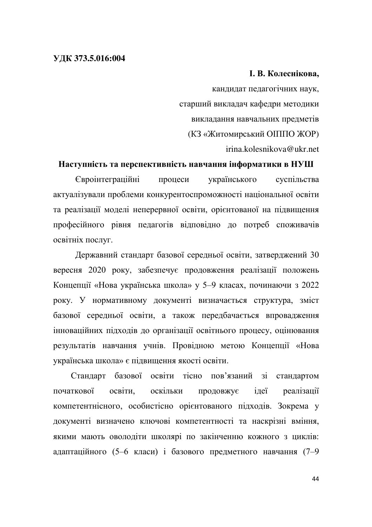### **ɍȾɄ 373.5.016:004**

# **І. В. Колеснікова,**

кандидат педагогічних наук, старший викладач кафедри методики викладання навчальних предметів (КЗ «Житомирський ОПППО ЖОР) irina.kolesnikova@ukr.net

### Наступність та перспективність навчання інформатики в НУШ

Свроінтеграційні процеси українського суспільства актуалізували проблеми конкурентоспроможності національної освіти та реалізації моделі неперервної освіти, орієнтованої на підвищення професійного рівня педагогів відповідно до потреб споживачів освітніх послуг.

Державний стандарт базової середньої освіти, затверджений 30 вересня 2020 року, забезпечує продовження реалізації положень Концепції «Нова українська школа» у 5-9 класах, починаючи з 2022 року. У нормативному документі визначається структура, зміст базової середньої освіти, а також передбачається впровадження інноваційних підходів до організації освітнього процесу, оцінювання результатів навчання учнів. Провідною метою Концепції «Нова українська школа» є підвищення якості освіти.

Стандарт базової освіти тісно пов'язаний зі стандартом початкової освіти, оскільки продовжує ідеї реалізації компетентнісного, особистісно орієнтованого підходів. Зокрема у документі визначено ключові компетентності та наскрізні вміння, якими мають оволодіти школярі по закінченню кожного з циклів: адаптаційного (5-6 класи) і базового предметного навчання (7-9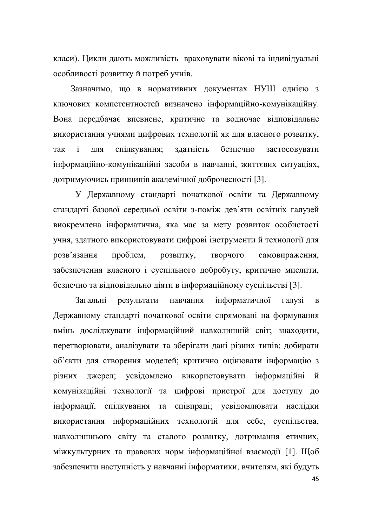класи). Цикли дають можливість враховувати вікові та індивідуальні особливості розвитку й потреб учнів.

Зазначимо, що в нормативних документах НУШ однією з ключових компетентностей визначено інформаційно-комунікаційну. Вона передбачає впевнене, критичне та водночас відповідальне використання учнями цифрових технологій як для власного розвитку, так і для спілкування; здатність безпечно застосовувати інформаційно-комунікаційні засоби в навчанні, життєвих ситуаціях, дотримуючись принципів академічної доброчесності [3].

У Державному стандарті початкової освіти та Державному стандарті базової середньої освіти з-поміж дев'яти освітніх галузей виокремлена інформатична, яка має за мету розвиток особистості учня, здатного використовувати цифрові інструменти й технології для розв'язання проблем, розвитку, творчого самовираження, забезпечення власного і суспільного добробуту, критично мислити, безпечно та відповідально діяти в інформаційному суспільстві [3].

Загальні результати навчання інформатичної галузі в Державному стандарті початкової освіти спрямовані на формування вмінь досліджувати інформаційний навколишній світ; знаходити, перетворювати, аналізувати та зберігати дані різних типів; добирати об'єкти для створення моделей; критично оцінювати інформацію з різних джерел; усвідомлено використовувати інформаційні й комунікаційні технології та цифрові пристрої для доступу до інформації, спілкування та співпраці; усвідомлювати наслідки використання інформаційних технологій для себе, суспільства, навколишнього світу та сталого розвитку, дотримання етичних, міжкультурних та правових норм інформаційної взаємодії [1]. Щоб забезпечити наступність у навчанні інформатики, вчителям, які будуть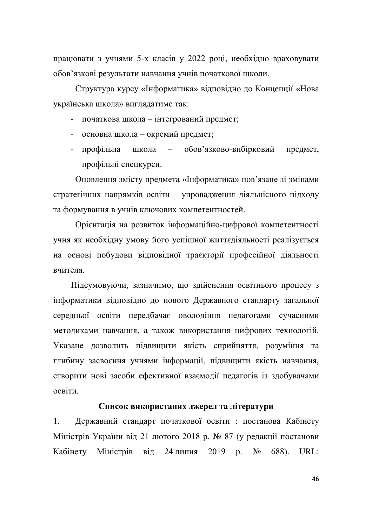працювати з учнями 5-х класів у 2022 році, необхідно враховувати обов'язкові результати навчання учнів початкової школи.

Структура курсу «Інформатика» відповідно до Концепції «Нова українська школа» виглядатиме так:

- початкова школа інтегрований предмет;
- основна школа окремий предмет;
- профільна школа обов'язково-вибірковий предмет, профільні спецкурси.

Оновлення змісту предмета «Інформатика» пов'язане зі змінами стратегічних напрямків освіти - упровадження діяльнісного підходу та формування в учнів ключових компетентностей.

Орієнтація на розвиток інформаційно-цифрової компетентності учня як необхідну умову його успішної життєдіяльності реалізується на основі побудови відповідної траєкторії професійної діяльності вчителя.

Підсумовуючи, зазначимо, що здійснення освітнього процесу з інформатики відповідно до нового Державного стандарту загальної середньої освіти передбачає оволодіння педагогами сучасними методиками навчання, а також використання цифрових технологій. Указане дозволить підвищити якість сприйняття, розуміння та глибину засвоєння учнями інформації, підвищити якість навчання, створити нові засоби ефективної взаємодії педагогів із здобувачами ocbitu

### Список використаних джерел та літератури

1. Державний стандарт початкової освіти : постанова Кабінету Міністрів України від 21 лютого 2018 р. № 87 (у редакції постанови Кабінету Міністрів від 24 липня 2019 р. № 688). URL: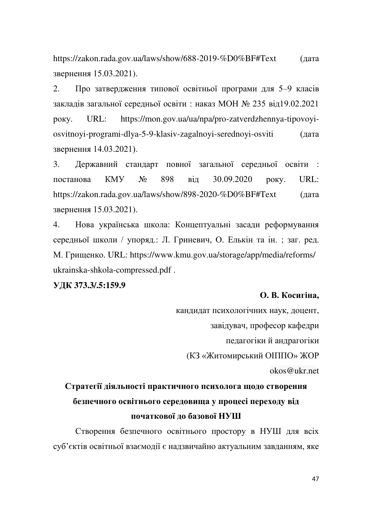https://zakon.rada.gov.ua/laws/show/688-2019-%D0%BF#Text (дата звернення 15.03.2021).

2. Про затвердження типової освітньої програми для 5-9 класів закладів загальної середньої освіти: наказ МОН № 235 від19.02.2021 року. URL: https://mon.gov.ua/ua/npa/pro-zatverdzhennya-tipovoyiosvitnoyi-programi-dlya-5-9-klasiv-zagalnoyi-serednoyi-osviti (дата звернення 14.03.2021).

3. Державний стандарт повної загальної середньої освіти : постанова KMУ № 898 від 30.09.2020 року. URL: https://zakon.rada.gov.ua/laws/show/898-2020-%D0%BF#Text (дата звернення 15.03.2021).

4. Нова українська школа: Концептуальні засади реформування середньої школи / упоряд.: Л. Гриневич, О. Елькін та ін. ; заг. ред. М. Грищенко. URL: https://www.kmu.gov.ua/storage/app/media/reforms/ ukrainska-shkola-compressed.pdf .

# **ɍȾɄ 373.3/.5:159.9**

### **О. В. Косигіна.**

кандидат психологічних наук, доцент, завідувач, професор кафедри педагогіки й андрагогіки (КЗ «Житомирський ОПППО» ЖОР okos@ukr.net

# Стратегії діяльності практичного психолога щодо створення безпечного освітнього середовища у процесі переходу від початкової до базової **H**YIII

Створення безпечного освітнього простору в НУШ для всіх суб'єктів освітньої взаємодії є надзвичайно актуальним завданням, яке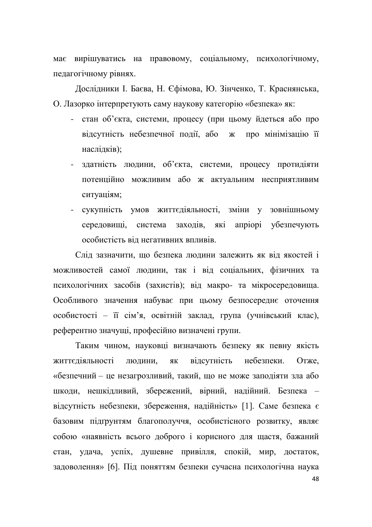має вирішуватись на правовому, соціальному, психологічному, педагогічному рівнях.

Дослідники І. Баєва, Н. Єфімова, Ю. Зінченко, Т. Краснянська, О. Лазорко інтерпретують саму наукову категорію «безпека» як:

- стан об'єкта, системи, процесу (при цьому йдеться або про відсутність небезпечної події, або ж про мінімізацію її наслідків);
- здатність людини, об'єкта, системи, процесу протидіяти потенційно можливим або ж актуальним несприятливим ситуаціям;
- сукупність умов життєдіяльності, зміни у зовнішньому середовищі, система заходів, які апріорі убезпечують особистість від негативних впливів.

Слід зазначити, що безпека людини залежить як від якостей і можливостей самої людини, так і від соціальних, фізичних та психологічних засобів (захистів); від макро- та мікросередовища. Особливого значення набуває при цьому безпосереднє оточення особистості – її сім'я, освітній заклад, група (учнівський клас), референтно значущі, професійно визначені групи.

Таким чином, науковці визначають безпеку як певну якість життєдіяльності людини, як відсутність небезпеки. Отже, «безпечний - це незагрозливий, такий, що не може заподіяти зла або шкоди, нешкідливий, збережений, вірний, надійний. Безпека відсутність небезпеки, збереження, надійність» [1]. Саме безпека є базовим підґрунтям благополуччя, особистісного розвитку, являє собою «наявність всього доброго і корисного для щастя, бажаний стан, удача, успіх, душевне привілля, спокій, мир, достаток, задоволення» [6]. Під поняттям безпеки сучасна психологічна наука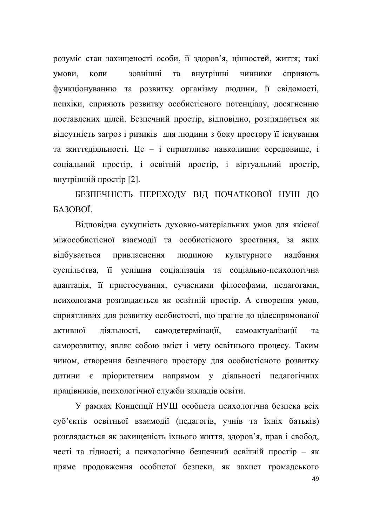розуміє стан захищеності особи, її здоров'я, цінностей, життя; такі умови, коли зовнішні та внутрішні чинники сприяють функціонуванню та розвитку організму людини, її свідомості, психіки, сприяють розвитку особистісного потенціалу, досягненню поставлених цілей. Безпечний простір, відповідно, розглядається як відсутність загроз і ризиків для людини з боку простору її існування та життєдіяльності. Це - і сприятливе навколишнє середовище, і соціальний простір, і освітній простір, і віртуальний простір, внутрішній простір [2].

БЕЗПЕЧНІСТЬ ПЕРЕХОДУ ВІД ПОЧАТКОВОЇ НУШ ДО БАЗОВОЇ.

Відповідна сукупність духовно-матеріальних умов для якісної міжособистісної взаємодії та особистісного зростання, за яких відбувається привласнення людиною культурного надбання суспільства, її успішна соціалізація та соціально-психологічна адаптація, її пристосування, сучасними філософами, педагогами, психологами розглядається як освітній простір. А створення умов, сприятливих для розвитку особистості, що прагне до цілеспрямованої активної діяльності, самодетермінації, самоактуалізації та саморозвитку, являє собою зміст і мету освітнього процесу. Таким чином, створення безпечного простору для особистісного розвитку дитини є пріоритетним напрямом у діяльності педагогічних працівників, психологічної служби закладів освіти.

У рамках Концепції НУШ особиста психологічна безпека всіх суб'єктів освітньої взаємодії (педагогів, учнів та їхніх батьків) розглядається як захищеність їхнього життя, здоров'я, прав і свобод, честі та гідності; а психологічно безпечний освітній простір - як пряме продовження особистої безпеки, як захист громадського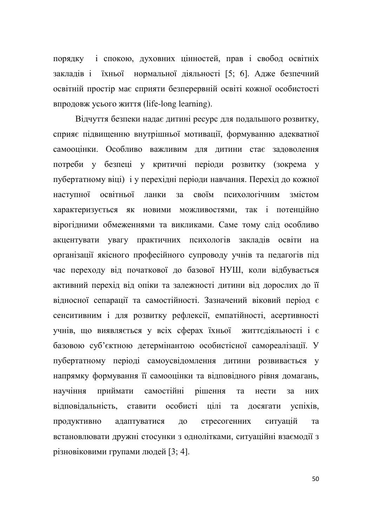порядку і спокою, духовних цінностей, прав і свобод освітніх закладів і їхньої нормальної діяльності [5; 6]. Адже безпечний освітній простір має сприяти безперервній освіті кожної особистості **впродовж усього життя (life-long learning).** 

Відчуття безпеки надає дитині ресурс для подальшого розвитку, сприяє підвищенню внутрішньої мотивації, формуванню адекватної самооцінки. Особливо важливим для дитини стає задоволення потреби у безпеці у критичні періоди розвитку (зокрема у пубертатному віці) і у перехідні періоди навчання. Перехід до кожної наступної освітньої ланки за своїм психологічним змістом характеризується як новими можливостями, так і потенційно вірогідними обмеженнями та викликами. Саме тому слід особливо акцентувати увагу практичних психологів закладів освіти на організації якісного професійного супроводу учнів та педагогів під час переходу від початкової до базової НУШ, коли відбувається активний перехід від опіки та залежності дитини від дорослих до її відносної сепарації та самостійності. Зазначений віковий період є сенситивним і для розвитку рефлексії, емпатійності, асертивності учнів, що виявляється у всіх сферах їхньої життєдіяльності і є базовою суб'єктною детермінантою особистісної самореалізації. У пубертатному періоді самоусвідомлення дитини розвивається у напрямку формування її самооцінки та відповідного рівня домагань, научіння приймати самостійні рішення та нести за них відповідальність, ставити особисті цілі та досягати успіхів, продуктивно адаптуватися до стресогенних ситуацій та встановлювати дружні стосунки з однолітками, ситуаційні взаємодії з різновіковими групами людей [3; 4].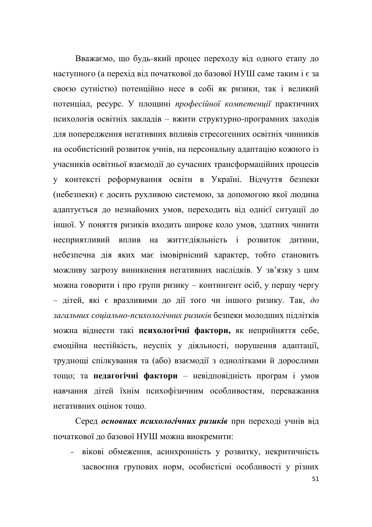Вважаємо, що будь-який процес переходу від одного етапу до наступного (а перехід від початкової до базової НУШ саме таким і є за своєю сутністю) потенційно несе в собі як ризики, так і великий потенціал, ресурс. У площині професійної компетенції практичних психологів освітніх закладів - вжити структурно-програмних заходів для попередження негативних впливів стресогенних освітніх чинників на особистісний розвиток учнів, на персональну адаптацію кожного із учасників освітньої взаємодії до сучасних трансформаційних процесів у контексті реформування освіти в Україні. Відчуття безпеки (небезпеки) є досить рухливою системою, за допомогою якої людина адаптується до незнайомих умов, переходить від однієї ситуації до іншої. У поняття ризиків входить широке коло умов, здатних чинити несприятливий вплив на життєдіяльність і розвиток дитини, небезпечна дія яких має імовірнісний характер, тобто становить можливу загрозу виникнення негативних наслідків. У зв'язку з цим можна говорити і про групи ризику – контингент осіб, у першу чергу  $-$  дітей, які є вразливими до дії того чи іншого ризику. Так, до загальних соціально-психологічних ризиків безпеки молодших підлітків можна віднести такі психологічні фактори, як неприйняття себе, емоційна нестійкість, неуспіх у діяльності, порушення адаптації, труднощі спілкування та (або) взаємодії з однолітками й дорослими тощо: та педагогічні фактори - невідповідність програм і умов навчання дітей їхнім психофізичним особливостям, переважання Heraturing online to the act of the set of the set of the set of the set of the set of the set of the set of the set of the set of the set of the set of the set of the set of the set of the set of the set of the set of the

Серед основних психологічних ризиків при переході учнів від початкової до базової НУШ можна виокремити:

- вікові обмеження, асинхронність у розвитку, некритичність засвоєння групових норм, особистісні особливості у різних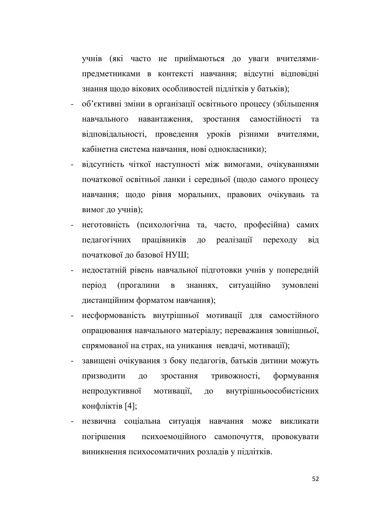учнів (які часто не приймаються до уваги вчителямипредметниками в контексті навчання; відсутні відповідні знання щодо вікових особливостей підлітків у батьків);

- об'єктивні зміни в організації освітнього процесу (збільшення навчального навантаження, зростання самостійності та відповідальності, проведення уроків різними вчителями, кабінетна система навчання, нові однокласники);
- відсутність чіткої наступності між вимогами, очікуваннями початкової освітньої ланки і середньої (щодо самого процесу навчання; щодо рівня моральних, правових очікувань та вимог до учнів);
- неготовність (психологічна та, часто, професійна) самих педагогічних працівників до реалізації переходу від початкової до базової НУШ;
- недостатній рівень навчальної підготовки учнів у попередній період (прогалини в знаннях, ситуаційно зумовлені дистанційним форматом навчання);
- несформованість внутрішньої мотивації для самостійного опрацювання навчального матеріалу; переважання зовнішньої, спрямованої на страх, на уникання невдачі, мотивації);
- завищені очікування з боку педагогів, батьків дитини можуть призводити до зростання тривожності, формування непродуктивної мотивації, до внутрішньоособистісних конфліктів $[4]$ ;
- незвична соціальна ситуація навчання може викликати погіршення психоемоційного самопочуття, провокувати виникнення психосоматичних розладів у підлітків.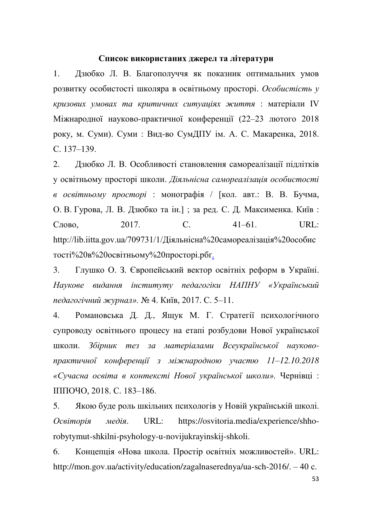# Список використаних джерел та літератури

1. Дзюбко Л. В. Благополуччя як показник оптимальних умов розвитку особистості школяра в освітньому просторі. Особистість у *Kpuзових умовах та критичних ситуаціях життя: матеріали IV* Міжнародної науково-практичної конференції (22-23 лютого 2018 року, м. Суми). Суми: Вид-во СумДПУ ім. А. С. Макаренка, 2018. C. 137–139.

2. Дзюбко Л. В. Особливості становлення самореалізації підлітків у освітньому просторі школи. Діяльнісна самореалізація особистості *в освітньому просторі* : монографія / [кол. авт.: В. В. Бучма, О. В. Гурова, Л. В. Дзюбко та ін.]; за ред. С. Д. Максименка. Київ: Слово, 2017. **С.** 41–61. URL: http://lib.iitta.gov.ua/709731/1/Діяльнісна%20самореалізація%20особис тості%20в%20освітньому%20просторі.рбг.

3. Глушко О. З. Європейський вектор освітніх реформ в Україні. Наукове видання *інституту педагогіки НАПНУ «Український педагогічний журнал».* № 4. Київ, 2017. С. 5-11.

4. Романовська Д. Д., Ящук М. Г. Стратегії психологічного супроводу освітнього процесу на етапі розбудови Нової української школи. Збірник тез за матеріалами Всеукраїнської науковопрактичної конференції з міжнародною участю 11–12.10.2018 «Сучасна освіта в контексті Нової української школи». Чернівці: ППОЧО, 2018. С. 183-186.

5. Якою буде роль шкільних психологів у Новій українській школі. *Oceimopiя медія*. URL: https://osvitoria.media/experience/shhorobytymut-shkilni-psyhology-u-novijukrayinskij-shkoli.

6. Концепція «Нова школа. Простір освітніх можливостей». URL: http://mon.gov.ua/activity/education/zagalnaserednya/ua-sch-2016/.  $-40$  c.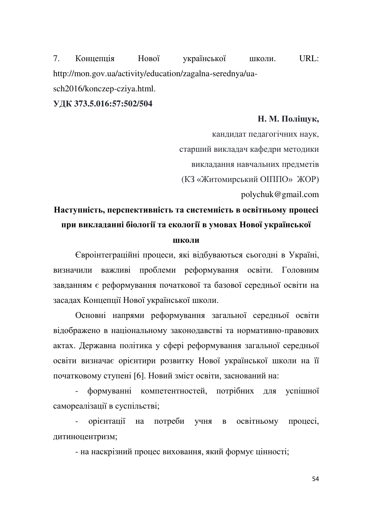7. Концепція Нової української школи. URL: http://mon.gov.ua/activity/education/zagalna-serednya/uasch2016/konczep-cziya.html.

# **ɍȾɄ 373.5.016:57:502/504**

### **Н. М. Поліщук,**

кандидат педагогічних наук,

старший викладач кафедри методики

викладання навчальних предметів

(КЗ «Житомирський ОПППО» ЖОР)

polychuk@gmail.com

# Наступність, перспективність та системність в освітньому процесі при викладанні біології та екології в умовах Нової української

# **ΠΙΚΟ.ΤΗ**

Свроінтеграційні процеси, які відбуваються сьогодні в Україні, визначили важливі проблеми реформування освіти. Головним завданням є реформування початкової та базової середньої освіти на засадах Концепції Нової української школи.

Основні напрями реформування загальної середньої освіти відображено в національному законодавстві та нормативно-правових актах. Державна політика у сфері реформування загальної середньої освіти визначає орієнтири розвитку Нової української школи на її початковому ступені [6]. Новий зміст освіти, заснований на:

формуванні компетентностей, потрібних для успішної самореалізації в суспільстві;

орієнтації на потреби учня в освітньому процесі, дитиноцентризм;

- на наскрізний процес виховання, який формує цінності;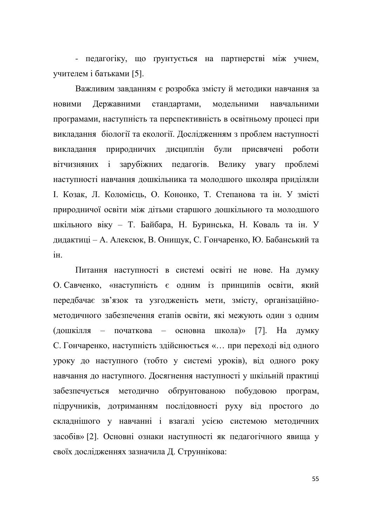- педагогіку, що грунтується на партнерстві між учнем, үчителем і батьками [5].

Важливим завданням є розробка змісту й методики навчання за новими Державними стандартами, модельними навчальними програмами, наступність та перспективність в освітньому процесі при викладання біології та екології. Дослідженням з проблем наступності викладання природничих дисциплін були присвячені роботи вітчизняних і зарубіжних педагогів. Велику увагу проблемі наступності навчання дошкільника та молодшого школяра приділяли I. Козак, Л. Коломієць, О. Кононко, Т. Степанова та ін. У змісті природничої освіти між дітьми старшого дошкільного та молодшого шкільного віку - Т. Байбара, Н. Буринська, Н. Коваль та ін. У дидактиці - А. Алексюк, В. Онищук, С. Гончаренко, Ю. Бабанський та i $H$ 

Питання наступності в системі освіті не нове. На думку О Савченко, «наступність є одним із принципів освіти, який передбачає зв'язок та узгодженість мети, змісту, організаційнометодичного забезпечення етапів освіти, які межують один з одним (дошкілля – початкова – основна школа)» [7]. На думку С. Гончаренко, наступність здійснюється «... при переході від одного уроку до наступного (тобто у системі уроків), від одного року навчання до наступного. Досягнення наступності у шкільній практиці забезпечується методично обґрунтованою побудовою програм, підручників, дотриманням послідовності руху від простого до складнішого у навчанні і взагалі усією системою методичних засобів» [2]. Основні ознаки наступності як педагогічного явища у своїх дослідженнях зазначила Д. Струннікова: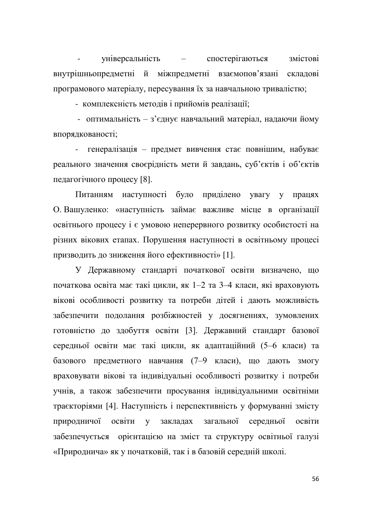үніверсальність - спостерігаються змістові внутрішньопредметні й міжпредметні взаємопов'язані складові програмового матеріалу, пересування їх за навчальною тривалістю;

- комплексність методів і прийомів реалізації;

- оптимальність – з'єднує навчальний матеріал, надаючи йому впорядкованості;

- генералізація – предмет вивчення стає повнішим, набуває реального значення своєрідність мети й завдань, суб'єктів і об'єктів педагогічного процесу [8].

Питанням наступності було приділено увагу у працях О Вашуленко: «наступність займає важливе місце в організації освітнього процесу і є умовою неперервного розвитку особистості на різних вікових етапах. Порушення наступності в освітньому процесі призводить до зниження його ефективності» [1].

У Державному стандарті початкової освіти визначено, що початкова освіта має такі цикли, як 1-2 та 3-4 класи, які враховують вікові особливості розвитку та потреби дітей і дають можливість забезпечити подолання розбіжностей у досягненнях, зумовлених готовністю до здобуття освіти [3]. Державний стандарт базової середньої освіти має такі цикли, як адаптаційний (5-6 класи) та базового предметного навчання (7-9 класи), що дають змогу враховувати вікові та індивідуальні особливості розвитку і потреби учнів, а також забезпечити просування індивідуальними освітніми траєкторіями [4]. Наступність і перспективність у формуванні змісту природничої освіти у закладах загальної середньої освіти забезпечується орієнтацією на зміст та структуру освітньої галузі «Природнича» як у початковій, так і в базовій середній школі.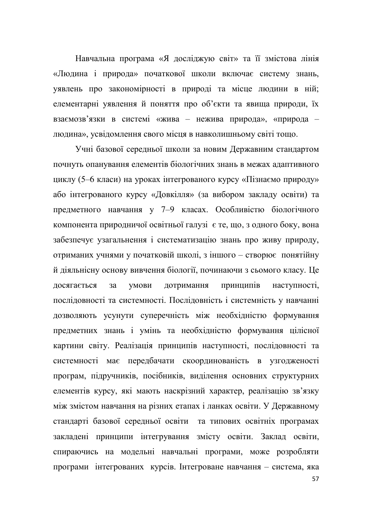Навчальна програма «Я досліджую світ» та її змістова лінія «Людина і природа» початкової школи включає систему знань, уявлень про закономірності в природі та місце людини в ній; елементарні уявлення й поняття про об'єкти та явища природи, їх взаємозв'язки в системі «жива - нежива природа», «природа людина», усвідомлення свого місця в навколишньому світі тощо.

Учні базової середньої школи за новим Державним стандартом почнуть опанування елементів біологічних знань в межах адаптивного циклу (5–6 класи) на уроках інтегрованого курсу «Пізнаємо природу» або інтегрованого курсу «Довкілля» (за вибором закладу освіти) та предметного навчання у 7-9 класах. Особливістю біологічного компонента природничої освітньої галузі є те, що, з одного боку, вона забезпечує узагальнення і систематизацію знань про живу природу, отриманих учнями у початковій школі, з іншого - створює понятійну й діяльнісну основу вивчення біології, починаючи з сьомого класу. Це досягається за умови дотримання принципів наступності, послідовності та системності. Послідовність і системність у навчанні дозволяють усунути суперечність між необхідністю формування предметних знань і умінь та необхідністю формування цілісної картини світу. Реалізація принципів наступності, послідовності та системності має передбачати скоординованість в узгодженості програм, підручників, посібників, виділення основних структурних елементів курсу, які мають наскрізний характер, реалізацію зв'язку між змістом навчання на різних етапах і ланках освіти. У Державному стандарті базової середньої освіти та типових освітніх програмах закладені принципи інтегрування змісту освіти. Заклад освіти, спираючись на модельні навчальні програми, може розробляти програми інтегрованих курсів. Інтегроване навчання – система, яка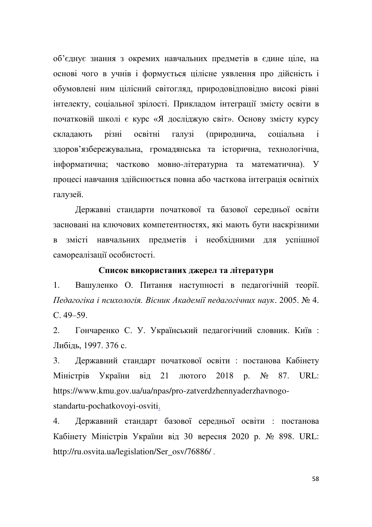об'єднує знання з окремих навчальних предметів в єдине ціле, на основі чого в учнів і формується цілісне уявлення про дійсність і обумовлені ним цілісний світогляд, природовідповідно високі рівні інтелекту, соціальної зрілості. Прикладом інтеграції змісту освіти в початковій школі є курс «Я досліджую світ». Основу змісту курсу складають різні освітні галузі (природнича, соціальна і здоров'язбережувальна, громадянська та історична, технологічна, інформатична; частково мовно-літературна та математична). У процесі навчання здійснюється повна або часткова інтеграція освітніх галузей.

Державні стандарти початкової та базової середньої освіти засновані на ключових компетентностях, які мають бути наскрізними в змісті навчальних предметів і необхідними для успішної самореалізації особистості.

# Список використаних джерел та літератури

1. Вашуленко О. Питання наступності в педагогічній теорії. Педагогіка і психологія. Вісник Академії педагогічних наук. 2005. № 4.  $C.49-59.$ 

2. Гончаренко С. У. Український педагогічний словник. Київ: Либіль. 1997. 376 с.

3. Державний стандарт початкової освіти : постанова Кабінету Міністрів України від 21 лютого 2018 р. № 87. URL: https://www.kmu.gov.ua/ua/npas/pro-zatverdzhennyaderzhavnogostandartu-pochatkovoyi-osviti.

4. Державний стандарт базової середньої освіти : постанова Кабінету Міністрів України від 30 вересня 2020 р. № 898. URL: http://ru.osvita.ua/legislation/Ser\_osv/76886/.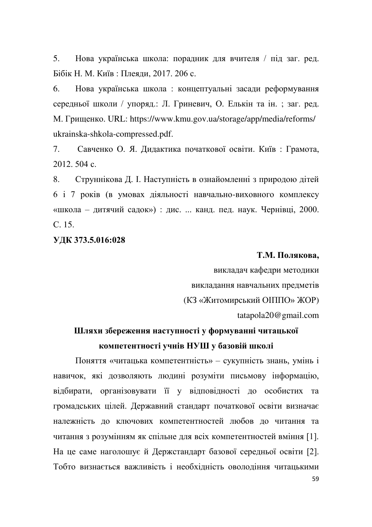5. Нова українська школа: порадник для вчителя / під заг. ред. Бібік Н. М. Київ: Плеяди, 2017. 206 с.

6. Нова українська школа: концептуальні засади реформування середньої школи / упоряд.: Л. Гриневич, О. Елькін та ін. ; заг. ред. М. Грищенко. URL: https://www.kmu.gov.ua/storage/app/media/reforms/ ukrainska-shkola-compressed.pdf.

7. Савченко О. Я. Дидактика початкової освіти. Київ: Грамота, 2012, 504 c.

8. Струннікова Д. І. Наступність в ознайомленні з природою дітей  $\overline{6}$  i  $\overline{7}$  років (в умовах діяльності навчально-виховного комплексу «школа – дитячий садок») : дис. ... канд. пед. наук. Чернівці, 2000.  $C$  15.

# УДК 373.5.016:028

#### Т.М. Полякова,

викладач кафедри методики викладання навчальних предметів (КЗ «Житомирський ОПППО» ЖОР) tatapola20@gmail.com

# Шляхи збереження наступності у формуванні читацької компетентності учнів НУШ у базовій школі

Поняття «читацька компетентність» - сукупність знань, умінь і навичок, які дозволяють людині розуміти письмову інформацію, відбирати, організовувати її у відповідності до особистих та громадських цілей. Державний стандарт початкової освіти визначає належність до ключових компетентностей любов до читання та читання з розумінням як спільне для всіх компетентностей вміння [1]. На це саме наголошує й Держстандарт базової середньої освіти [2]. Тобто визнається важливість і необхідність оволодіння читацькими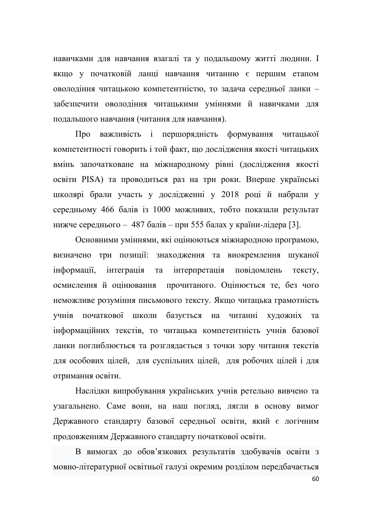навичками для навчання взагалі та у подальшому житті людини. І якщо у початковій ланці навчання читанню є першим етапом оволодіння читацькою компетентністю, то задача середньої ланки забезпечити оволодіння читацькими уміннями й навичками для подальшого навчання (читання для навчання).

Про важливість і першорядність формування читацької компетентності говорить і той факт, що дослідження якості читацьких вмінь започатковане на міжнародному рівні (дослідження якості освіти PISA) та проводиться раз на три роки. Вперше українські школярі брали участь у дослідженні у 2018 році й набрали у середньому 466 балів із 1000 можливих, тобто показали результат нижче середнього - 487 балів - при 555 балах у країни-лідера [3].

Основними уміннями, які оцінюються міжнародною програмою, визначено три позиції: знаходження та виокремлення шуканої інформації, інтеграція та інтерпретація повідомлень тексту, осмисленняй оцінювання прочитаного. Оцінюється те, без чого неможливе розуміння письмового тексту. Якщо читацька грамотність учнів початкової школи базується на читанні художніх та інформаційних текстів, то читацька компетентність учнів базової ланки поглиблюється та розглядається з точки зору читання текстів для особових цілей, для суспільних цілей, для робочих цілей і для отримання освіти.

Наслідки випробування українських учнів ретельно вивчено та узагальнено. Саме вони, на наш погляд, лягли в основу вимог Державного стандарту базової середньої освіти, який є логічним продовженням Державного стандарту початкової освіти.

В вимогах до обов'язкових результатів здобувачів освіти з мовно-літературної освітньої галузі окремим розділом передбачається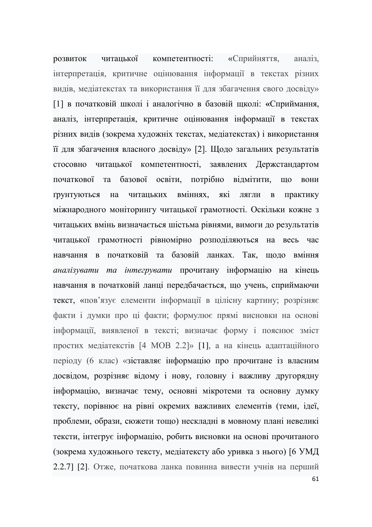розвиток читацької компетентності: «Сприйняття, аналіз, інтерпретація, критичне оцінювання інформації в текстах різних видів, медіатекстах та використання її для збагачення свого досвіду» [1] в початковій школі і аналогічно в базовій щколі: «Сприймання, аналіз, інтерпретація, критичне оцінювання інформації в текстах різних видів (зокрема художніх текстах, медіатекстах) і використання її для збагачення власного досвіду» [2]. Щодо загальних результатів стосовно читацької компетентності, заявлених Держстандартом початкової та базової освіти, потрібно відмітити, що вони грунтуються на читацьких вміннях, які лягли в практику міжнародного моніторингу читацької грамотності. Оскільки кожне з читацьких вмінь визначається шістьма рівнями, вимоги до результатів читацької грамотності рівномірно розподіляються на весь час навчання в початковій та базовій ланках. Так, щодо вміння *аналізувати та інтегрувати прочитану інформацію на кінець* навчання в початковій ланці передбачається, що учень, сприймаючи текст, «пов'язує елементи інформації в цілісну картину; розрізняє факти і думки про ці факти; формулює прямі висновки на основі інформації, виявленої в тексті; визначає форму і пояснює зміст простих медіатекстів [4 MOB 2.2]» [1], а на кінець адаптаційного періоду (6 клас) «зіставляє інформацію про прочитане із власним досвідом, розрізняє відому і нову, головну і важливу другорядну інформацію, визначає тему, основні мікротеми та основну думку тексту, порівнює на рівні окремих важливих елементів (теми, ідеї, проблеми, образи, сюжети тощо) нескладні в мовному плані невеликі тексти, інтегрує інформацію, робить висновки на основі прочитаного (зокрема художнього тексту, медіатексту або уривка з нього) [6 УМД 2.2.7] [2]. Отже, початкова ланка повинна вивести учнів на перший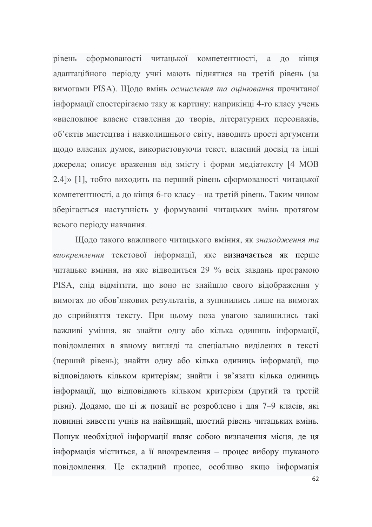рівень сформованості читацької компетентності, а до кінця адаптаційного періоду учні мають піднятися на третій рівень (за вимогами PISA). Щодо вмінь осмислення та оцінювання прочитаної інформації спостерігаємо таку ж картину: наприкінці 4-го класу учень «висловлює власне ставлення до творів, літературних персонажів, об'єктів мистецтва і навколишнього світу, наводить прості аргументи щодо власних думок, використовуючи текст, власний досвід та інші джерела; описує враження від змісту і форми медіатексту [4 МОВ 2.4]» [1], тобто виходить на перший рівень сформованості читацької компетентності, а до кінця 6-го класу – на третій рівень. Таким чином зберігається наступність у формуванні читацьких вмінь протягом всього періоду навчання.

Щодо такого важливого читацького вміння, як знаходження та виокремлення текстової інформації, яке визначається як перше читацьке вміння, на яке відводиться 29 % всіх завдань програмою PISA, слід відмітити, що воно не знайшло свого відображення у вимогах до обов'язкових результатів, а зупинились лише на вимогах до сприйняття тексту. При цьому поза увагою залишились такі важливі уміння, як знайти одну або кілька одиниць інформації, повідомлених в явному вигляді та спеціально виділених в тексті (перший рівень); знайти одну або кілька одиниць інформації, що відповідають кільком критеріям; знайти і зв'язати кілька одиниць інформації, що відповідають кільком критеріям (другий та третій рівні). Додамо, що ці ж позиції не розроблено і для 7–9 класів, які повинні вивести учнів на найвищий, шостий рівень читацьких вмінь. Пошук необхідної інформації являє собою визначення місця, де ця інформація міститься, а її виокремлення – процес вибору шуканого повідомлення. Це складний процес, особливо якщо інформація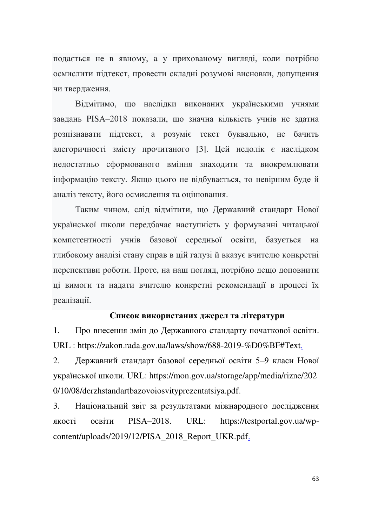подається не в явному, а у прихованому вигляді, коли потрібно осмислити підтекст, провести складні розумові висновки, допущення чи твердження.

Відмітимо, що наслідки виконаних українськими учнями завдань PISA-2018 показали, що значна кількість учнів не здатна розпізнавати підтекст, а розуміє текст буквально, не бачить алегоричності змісту прочитаного [3]. Цей недолік є наслідком недостатньо сформованого вміння знаходити та виокремлювати інформацію тексту. Якщо цього не відбувається, то невірним буде й аналіз тексту, його осмислення та оцінювання.

Таким чином, слід відмітити, що Державний стандарт Нової української школи передбачає наступність у формуванні читацької компетентності учнів базової середньої освіти, базується на глибокому аналізі стану справ в цій галузі й вказує вчителю конкретні перспективи роботи. Проте, на наш погляд, потрібно дещо доповнити ці вимоги та надати вчителю конкретні рекомендації в процесі їх реалізації.

# Список використаних джерел та літератури

1. Про внесення змін до Державного стандарту початкової освіти. URL : https://zakon.rada.gov.ua/laws/show/688-2019-%D0%BF#Text.

2. Державний стандарт базової середньої освіти 5-9 класи Нової української школи. URL: https://mon.gov.ua/storage/app/media/rizne/202 0/10/08/derzhstandartbazovoiosvityprezentatsiya.pdf.

3. Національний звіт за результатами міжнародного дослідження якості освіти PISA-2018. URL: https://testportal.gov.ua/wpcontent/uploads/2019/12/PISA\_2018\_Report\_UKR.pdf.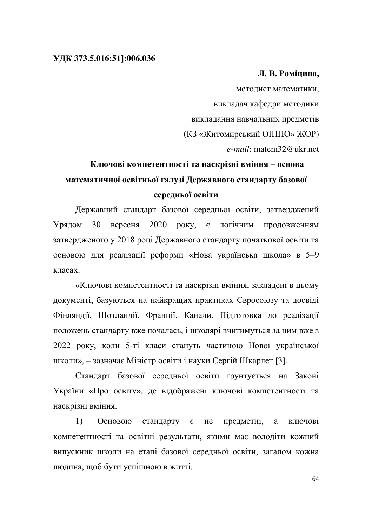### **ɍȾɄ 373.5.016:51]:006.036**

# **Л. В. Роміцина,**

методист математики, викладач кафедри методики викладання навчальних предметів (КЗ «Житомирський ОПППО» ЖОР) *e-mail*: matem32@ukr.net

# Ключові компетентності та наскрізні вміння – основа математичної освітньої галузі Державного стандарту базової середньої освіти

Державний стандарт базової середньої освіти, затверджений Урядом 30 вересня 2020 року, є логічним продовженням затвердженого у 2018 році Державного стандарту початкової освіти та основою для реалізації реформи «Нова українська школа» в 5-9 класах.

«Ключові компетентності та наскрізні вміння, закладені в цьому документі, базуються на найкращих практиках Євросоюзу та досвіді Фінляндії, Шотландії, Франції, Канади. Підготовка до реалізації положень стандарту вже почалась, і школярі вчитимуться за ним вже з 2022 року, коли 5-ті класи стануть частиною Нової української школи», – зазначає Міністр освіти і науки Сергій Шкарлет [3].

Стандарт базової середньої освіти ґрунтується на Законі України «Про освіту», де відображені ключові компетентності та наскрізні вміння.

1) Основою стандарту є не предметні, а ключові компетентності та освітні результати, якими має володіти кожний випускник школи на етапі базової середньої освіти, загалом кожна людина, щоб бути успішною в житті.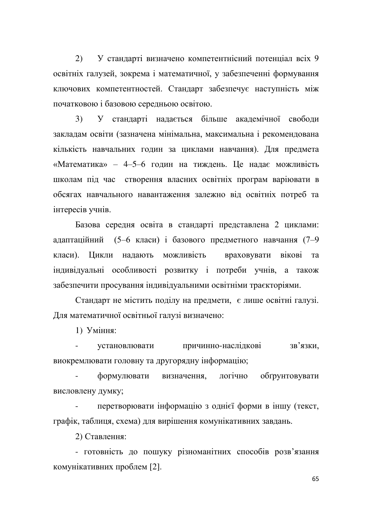2) У стандарті визначено компетентнісний потенціал всіх 9 освітніх галузей, зокрема і математичної, у забезпеченні формування ключових компетентностей. Стандарт забезпечує наступність між початковою і базовою середньою освітою.

3) У стандарті надається більше академічної свободи закладам освіти (зазначена мінімальна, максимальна і рекомендована кількість навчальних годин за циклами навчання). Для предмета «Математика» – 4-5-6 годин на тиждень. Це надає можливість школам під час створення власних освітніх програм варіювати в обсягах навчального навантаження залежно від освітніх потреб та iHTepecib VTHiB.

Базова середня освіта в стандарті представлена 2 циклами: адаптаційний (5-6 класи) і базового предметного навчання (7-9 класи). Цикли надають можливість враховувати вікові та індивідуальні особливості розвитку і потреби учнів, а також забезпечити просування індивідуальними освітніми траєкторіями.

Стандарт не містить поділу на предмети, є лише освітні галузі. Для математичної освітньої галузі визначено:

1) Уміння:

үстановлювати причинно-наслідкові зв'язки, виокремлювати головну та другорядну інформацію;

формулювати визначення, логічно обтрунтовувати висловлену думку;

перетворювати інформацію з однієї форми в іншу (текст, графік, таблиця, схема) для вирішення комунікативних завдань.

2) Ставлення:

- готовність до пошуку різноманітних способів розв'язання комунікативних проблем [2].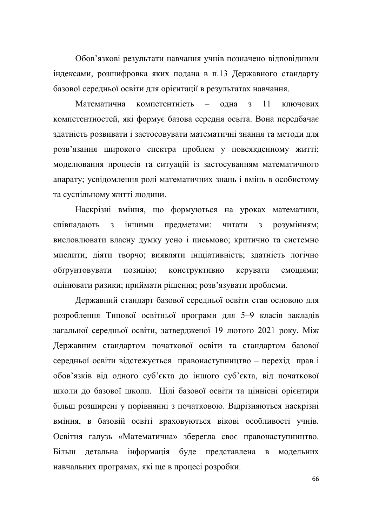Обов'язкові результати навчання учнів позначено відповідними індексами, розшифровка яких подана в п.13 Державного стандарту базової середньої освіти для орієнтації в результатах навчання.

Математична компетентність – одна з 11 ключових компетентностей, які формує базова середня освіта. Вона передбачає здатність розвивати і застосовувати математичні знання та методи для розв'язання широкого спектра проблем у повсякденному житті; моделювання процесів та ситуацій із застосуванням математичного апарату; усвідомлення ролі математичних знань і вмінь в особистому та суспільному житті людини.

Наскрізні вміння, що формуються на уроках математики, співпадають з іншими предметами: читати з розумінням; висловлювати власну думку усно і письмово; критично та системно мислити; діяти творчо; виявляти ініціативність; здатність логічно обтрунтовувати позицію; конструктивно керувати емоціями; оцінювати ризики; приймати рішення; розв'язувати проблеми.

Державний стандарт базової середньої освіти став основою для розроблення Типової освітньої програми для 5-9 класів закладів загальної середньої освіти, затвердженої 19 лютого 2021 року. Між Державним стандартом початкової освіти та стандартом базової середньої освіти відстежується правонаступництво - перехід прав і обов'язків від одного суб'єкта до іншого суб'єкта, від початкової школи до базової школи. Цілі базової освіти та ціннісні орієнтири більш розширені у порівнянні з початковою. Відрізняються наскрізні вміння, в базовій освіті враховуються вікові особливості учнів. Освітня галузь «Математична» зберегла своє правонаступництво. Більш детальна інформація буде представлена в модельних навчальних програмах, які ще в процесі розробки.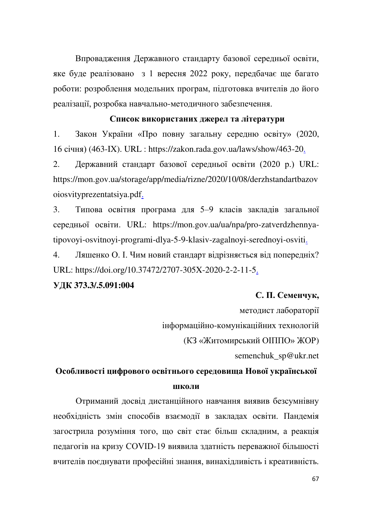Впровадження Державного стандарту базової середньої освіти, яке буде реалізовано з 1 вересня 2022 року, передбачає ще багато роботи: розроблення модельних програм, підготовка вчителів до його реалізації, розробка навчально-методичного забезпечення.

## Список використаних джерел та літератури

1. Закон України «Про повну загальну середню освіту» (2020, 16 січня) (463-IX). URL : https://zakon.rada.gov.ua/laws/show/463-20.

2. Державний стандарт базової середньої освіти (2020 р.) URL: https://mon.gov.ua/storage/app/media/rizne/2020/10/08/derzhstandartbazov oiosvityprezentatsiya.pdf.

3. Типова освітня програма для 5-9 класів закладів загальної середньої освіти. URL: https://mon.gov.ua/ua/npa/pro-zatverdzhennyatipovoyi-osvitnoyi-programi-dlya-5-9-klasiv-zagalnoyi-serednoyi-osviti.

4. Ляшенко О. І. Чим новий стандарт відрізняється від попередніх? URL: https://doi.org/10.37472/2707-305X-2020-2-2-11-5.

# **ɍȾɄ373.3/.5.091:004**

#### $C$ **.** П. Семенчук,

методист лабораторії

інформаційно-комунікаційних технологій

(КЗ «Житомирський ОПППО» ЖОР)

semenchuk\_sp@ukr.net

# Особливості цифрового освітнього середовища Нової української **ШКОЛИ**

Отриманий досвід дистанційного навчання виявив безсумнівну необхідність змін способів взаємодії в закладах освіти. Пандемія загострила розуміння того, що світ стає більш складним, а реакція педагогів на кризу COVID-19 виявила здатність переважної більшості вчителів поєднувати професійні знання, винахідливість і креативність.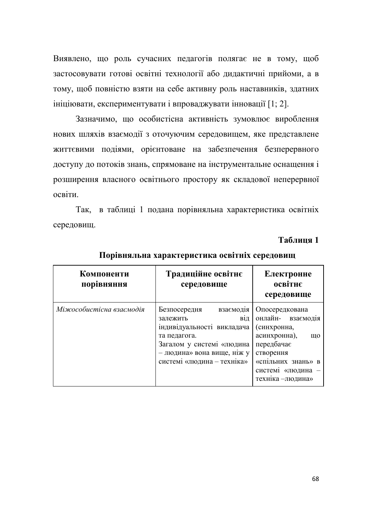Виявлено, що роль сучасних педагогів полягає не в тому, щоб застосовувати готові освітні технології або дидактичні прийоми, а в тому, щоб повністю взяти на себе активну роль наставників, здатних ініціювати, експериментувати і впроваджувати інновації [1; 2].

Зазначимо, що особистісна активність зумовлює вироблення нових шляхів взаємодії з оточуючим середовищем, яке представлене життєвими подіями, орієнтоване на забезпечення безперервного доступу до потоків знань, спрямоване на інструментальне оснащення і розширення власного освітнього простору як складової неперервної освіти.

Так, в таблиці 1 подана порівняльна характеристика освітніх середовищ.

## **Таблиня** 1

| Компоненти<br>порівняння | Традиційне освітнє<br>середовище                                                                                                                                                    | Електронне<br>освітнє<br>середовище                                                                                                                                 |
|--------------------------|-------------------------------------------------------------------------------------------------------------------------------------------------------------------------------------|---------------------------------------------------------------------------------------------------------------------------------------------------------------------|
| Міжособистісна взаємодія | Безпосередня<br>взаємодія<br>В1Д<br>залежить<br>індивідуальності викладача<br>та педагога.<br>Загалом у системі «людина<br>- людина» вона вище, ніж у<br>системі «людина - техніка» | Опосередкована<br>онлайн- взаємодія<br>(синхронна,<br>асинхронна),<br>ШО<br>передбачає<br>створення<br>«спільних знань» в<br>системі «людина -<br>техніка - людина» |

Порівняльна характеристика освітніх середовищ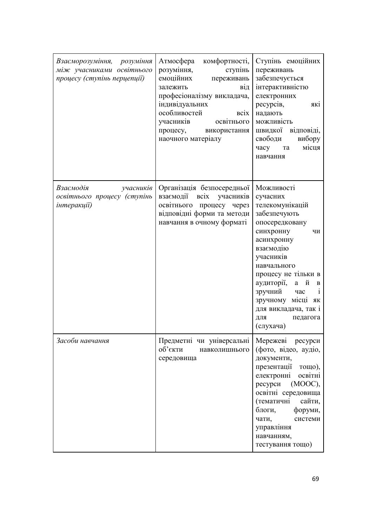| Взаєморозуміння, розуміння<br>між учасниками освітнього<br>процесу (ступінь перцепції) | комфортності,<br>Атмосфера<br>розуміння,<br>ступінь<br>емоційних<br>переживань<br>залежить<br>від<br>професіоналізму викладача,<br>індивідуальних<br>особливостей<br><b>BCIX</b><br>учасників<br>освітнього<br>процесу, використання<br>наочного матеріалу | Ступінь емоційних<br>переживань<br>забезпечується<br>інтерактивністю<br>електронних<br>ресурсів,<br>які<br>надають<br>можливість<br>швидкої відповіді,<br>свободи<br>вибору<br>місця<br>часу та<br>навчання                                                                                                              |
|----------------------------------------------------------------------------------------|------------------------------------------------------------------------------------------------------------------------------------------------------------------------------------------------------------------------------------------------------------|--------------------------------------------------------------------------------------------------------------------------------------------------------------------------------------------------------------------------------------------------------------------------------------------------------------------------|
| Взаємодія<br>учасників<br>освітнього процесу (ступінь<br>інтеракції)                   | Організація безпосередньої<br>взаємодії<br>$\overline{bc}$ ix<br>учасників<br>освітнього процесу через<br>відповідні форми та методи<br>навчання в очному форматі                                                                                          | Можливості<br>сучасних<br>телекомунікацій<br>забезпечують<br>опосередковану<br>синхронну<br>ЧИ<br>асинхронну<br>взаємодію<br>учасників<br>навчального<br>процесу не тільки в<br>аудиторії,<br>а й<br>B<br>зручний<br>$\mathbf{i}$<br>час<br>зручному місці<br>ЯК<br>для викладача, так і<br>ДЛЯ<br>педагога<br>(слухача) |
| Засоби навчання                                                                        | Предметні чи універсальні<br>об'єкти<br>навколишнього<br>середовища                                                                                                                                                                                        | Мережеві ресурси<br>(фото, відео, аудіо,<br>документи,<br>презентації тощо),<br>електронні<br>освітні<br>ресурси<br>$(MOOC)$ ,<br>освітні середовища<br>(тематичні<br>сайти,<br>блоги,<br>форуми,<br>чати,<br>системи<br>управління<br>навчанням,<br>тестування тощо)                                                    |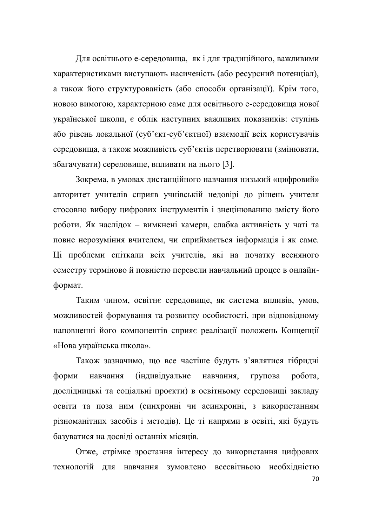Для освітнього е-середовища, як і для традиційного, важливими характеристиками виступають насиченість (або ресурсний потенціал), а також його структурованість (або способи організації). Крім того, новою вимогою, характерною саме для освітнього е-середовища нової української школи, є облік наступних важливих показників: ступінь або рівень локальної (суб'єкт-суб'єктної) взаємодії всіх користувачів середовища, а також можливість суб'єктів перетворювати (змінювати, збагачувати) середовище, впливати на нього [3].

Зокрема, в умовах дистанційного навчання низький «цифровий» авторитет учителів сприяв учнівській недовірі до рішень учителя стосовно вибору цифрових інструментів і знецінюванню змісту його роботи. Як наслідок – вимкнені камери, слабка активність у чаті та повне нерозуміння вчителем, чи сприймається інформація і як саме. Ці проблеми спіткали всіх учителів, які на початку весняного семестру терміново й повністю перевели навчальний процес в онлайнформат.

Таким чином, освітнє середовище, як система впливів, умов, можливостей формування та розвитку особистості, при відповідному наповненні його компонентів сприяє реалізації положень Концепції «Нова українська школа».

Також зазначимо, що все частіше будуть з'являтися гібридні форми навчання (індивідуальне навчання, групова робота, дослідницькі та соціальні проєкти) в освітньому середовищі закладу освіти та поза ним (синхронні чи асинхронні, з використанням різноманітних засобів і методів). Це ті напрями в освіті, які будуть базуватися на досвіді останніх місяців.

Отже, стрімке зростання інтересу до використання цифрових технологій для навчання зумовлено всесвітньою необхідністю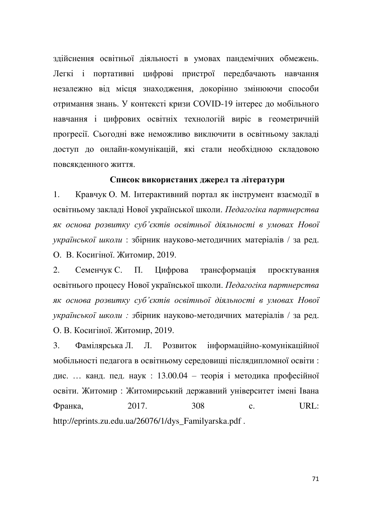здійснення освітньої діяльності в умовах пандемічних обмежень. Легкі і портативні цифрові пристрої передбачають навчання незалежно від місця знаходження, докорінно змінюючи способи отримання знань. У контексті кризи COVID-19 інтерес до мобільного навчання і цифрових освітніх технологій виріс в геометричній прогресії. Сьогодні вже неможливо виключити в освітньому закладі доступ до онлайн-комунікацій, які стали необхідною складовою повсякденного життя.

#### Список використаних джерел та літератури

1. Кравчук О. М. Інтерактивний портал як інструмент взаємодії в освітньому закладі Нової української школи. Педагогіка партнерства як основа розвитку суб'єктів освітньої діяльності в умовах Нової *української школи* : збірник науково-методичних матеріалів / за ред. О. В. Косигіної. Житомир, 2019.

2. Семенчук С. П. Цифрова трансформація проєктування освітнього процесу Нової української школи. Педагогіка партнерства як основа розвитку суб'єктів освітньої діяльності в умовах Нової *української школи: з*бірник науково-методичних матеріалів / за ред. О. В. Косигіної. Житомир, 2019.

3. Фамілярська Л. Л. Розвиток інформаційно-комунікаційної мобільності педагога в освітньому середовищі післядипломної освіти: дис. ... канд. пед. наук : 13.00.04 - теорія і методика професійної освіти. Житомир : Житомирський державний університет імені Івана Франка, 2017. 308 с. URL: http://eprints.zu.edu.ua/26076/1/dys\_Familyarska.pdf .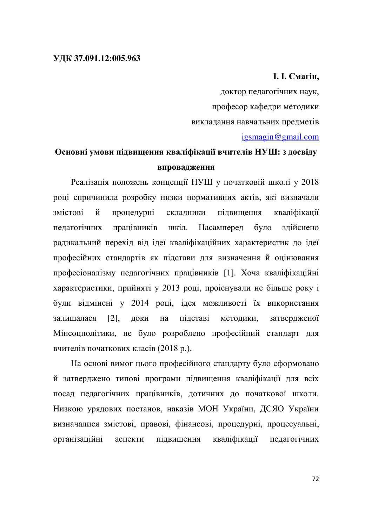# **l. l. C**магін,

доктор педагогічних наук, професор кафедри методики викладання навчальних предметів igsmagin@gmail.com

# Основні умови підвищення кваліфікації вчителів НУШ: з досвіду **впровадження**

Реалізація положень концепції НУШ у початковій школі у 2018 році спричинила розробку низки нормативних актів, які визначали змістові й процедурні складники підвищення кваліфікації педагогічних працівників шкіл. Насамперед було здійснено радикальний перехід від ідеї кваліфікаційних характеристик до ідеї професійних стандартів як підстави для визначення й оцінювання професіоналізму педагогічних працівників [1]. Хоча кваліфікаційні характеристики, прийняті у 2013 році, проіснували не більше року і були відмінені у 2014 році, ідея можливості їх використання залишалася [2], доки на підставі методики, затвердженої Мінсоцполітики, не було розроблено професійний стандарт для вчителів початкових класів (2018 р.).

На основі вимог цього професійного стандарту було сформовано й затверджено типові програми підвищення кваліфікації для всіх посад педагогічних працівників, дотичних до початкової школи. Низкою урядових постанов, наказів МОН України, ДСЯО України визначалися змістові, правові, фінансові, процедурні, процесуальні, організаційні аспекти підвищення кваліфікації педагогічних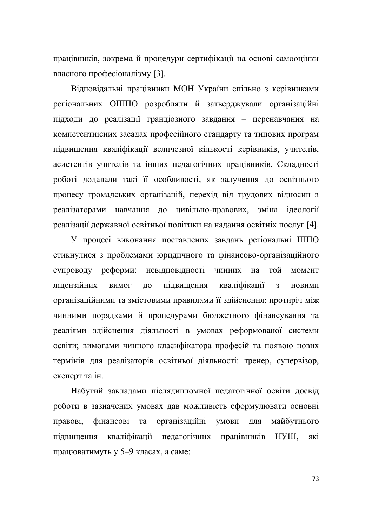працівників, зокрема й процедури сертифікації на основі самооцінки власного професіоналізму [3].

Відповідальні працівники МОН України спільно з керівниками регіональних ОІППО розробляли й затверджували організаційні підходи до реалізації грандіозного завдання - перенавчання на компетентнісних засадах професійного стандарту та типових програм підвищення кваліфікації величезної кількості керівників, учителів, асистентів учителів та інших педагогічних працівників. Складності роботі додавали такі її особливості, як залучення до освітнього процесу громадських організацій, перехід від трудових відносин з реалізаторами навчання до цивільно-правових, зміна ідеології реалізації державної освітньої політики на надання освітніх послуг [4].

У процесі виконання поставлених завдань регіональні ІППО стикнулися з проблемами юридичного та фінансово-організаційного супроводу реформи: невідповідності чинних на той момент ліцензійних вимог до підвищення кваліфікації з новими організаційними та змістовими правилами її здійснення; протиріч між чинними порядками й процедурами бюджетного фінансування та реаліями здійснення діяльності в умовах реформованої системи освіти; вимогами чинного класифікатора професій та появою нових термінів для реалізаторів освітньої діяльності: тренер, супервізор, експерт та ін.

Набутий закладами післядипломної педагогічної освіти досвід роботи в зазначених умовах дав можливість сформулювати основні правові, фінансові та організаційні умови для майбутнього підвищення кваліфікації педагогічних працівників НУШ, які працюватимуть у 5-9 класах, а саме: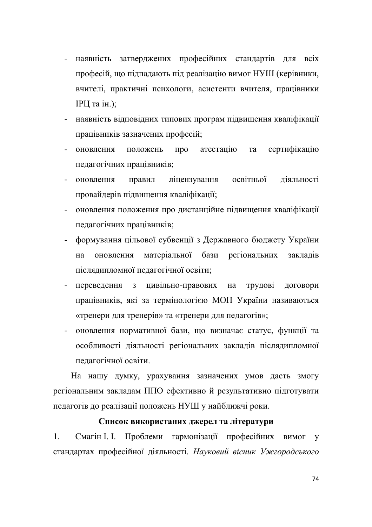- наявність затверджених професійних стандартів для всіх професій, що підпадають під реалізацію вимог НУШ (керівники, вчителі, практичні психологи, асистенти вчителя, працівники **ІРЦ** та ін.);
- наявність відповідних типових програм підвищення кваліфікації працівників зазначених професій;
- оновлення положень про атестацію та сертифікацію педагогічних працівників;
- оновлення правил ліцензування освітньої діяльності провайдерів підвищення кваліфікації;
- оновлення положення про дистанційне підвищення кваліфікації педагогічних працівників;
- формування цільової субвенції з Державного бюджету України на оновлення матеріальної бази регіональних закладів післядипломної педагогічної освіти:
- переведення з цивільно-правових на трудові договори працівників, які за термінологією МОН України називаються «тренери для тренерів» та «тренери для педагогів»;
- оновлення нормативної бази, що визначає статус, функції та особливості діяльності регіональних закладів післядипломної пелагогічної освіти.

На нашу думку, урахування зазначених умов дасть змогу регіональним закладам ППО ефективно й результативно підготувати педагогів до реалізації положень НУШ у найближчі роки.

### Список використаних джерел та літератури

1. Смагін І. І. Проблеми гармонізації професійних вимог у стандартах професійної діяльності. Науковий вісник Ужгородського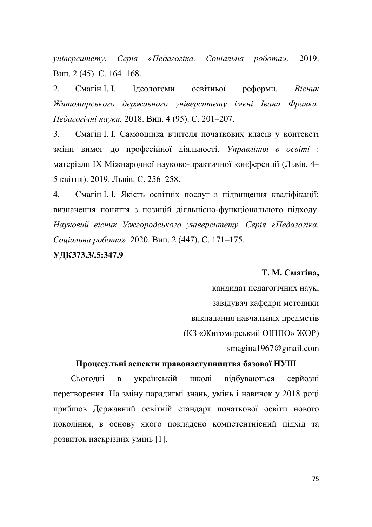yніверситету. Серія «Педагогіка. Соціальна робота». 2019. Вип. 2 (45). С. 164-168.

2. Смагін I. I. Iдеологеми освітньої реформи. *Вісник* Житомирського державного університету імені Івана Франка.  $\Pi$ едагогічні науки. 2018. Вип. 4 (95). С. 201–207.

3. Смагін І. І. Самооцінка вчителя початкових класів у контексті зміни вимог до професійної діяльності. Управління в освіті : матеріали IX Міжнародної науково-практичної конференції (Львів, 4-5 квітня). 2019. Львів. С. 256-258.

4. Смагін І. І. Якість освітніх послуг з підвищення кваліфікації: визначення поняття з позицій діяльнісно-функціонального підходу. Науковий вісник Ужгородського університету. Серія «Педагогіка. Coціальна робота». 2020. Вип. 2 (447). С. 171-175.

### **ɍȾɄ373.3/.5:347.9**

#### Т. М. Смагіна,

кандидат педагогічних наук, завідувач кафедри методики викладання навчальних предметів (КЗ «Житомирський ОПППО» ЖОР) smagina1967@gmail.com

### Процесульні аспекти правонаступництва базової НУШ

Сьогодні в українській школі відбуваються серйозні перетворення. На зміну парадигмі знань, умінь і навичок у 2018 році прийшов Державний освітній стандарт початкової освіти нового покоління, в основу якого покладено компетентнісний підхід та розвиток наскрізних умінь [1].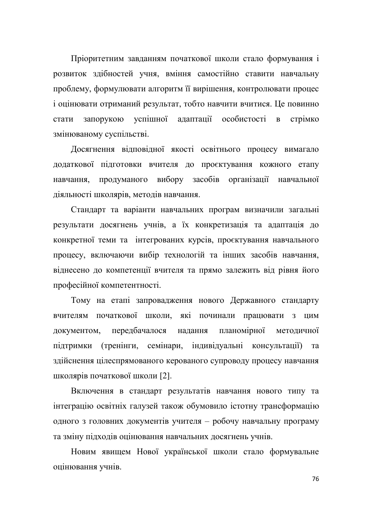Пріоритетним завданням початкової школи стало формування і розвиток здібностей учня, вміння самостійно ставити навчальну проблему, формулювати алгоритм її вирішення, контролювати процес і оцінювати отриманий результат, тобто навчити вчитися. Це повинно стати запорукою успішної адаптації особистості в стрімко змінюваному суспільстві.

Досягнення відповідної якості освітнього процесу вимагало додаткової підготовки вчителя до проєктування кожного етапу навчання, продуманого вибору засобів організації навчальної діяльності школярів, методів навчання.

Стандарт та варіанти навчальних програм визначили загальні результати досягнень учнів, а їх конкретизація та адаптація до конкретної теми та інтегрованих курсів, проєктування навчального процесу, включаючи вибір технологій та інших засобів навчання, віднесено до компетенції вчителя та прямо залежить від рівня його професійної компетентності.

Тому на етапі запровадження нового Державного стандарту вчителям початкової школи, які починали працювати з цим документом, передбачалося надання планомірної методичної підтримки (тренінги, семінари, індивідуальні консультації) та здійснення цілеспрямованого керованого супроводу процесу навчання школярів початкової школи [2].

Включення в стандарт результатів навчання нового типу та інтеграцію освітніх галузей також обумовило істотну трансформацію одного з головних документів учителя – робочу навчальну програму та зміну підходів оцінювання навчальних досягнень учнів.

Новим явищем Нової української школи стало формувальне оцінювання учнів.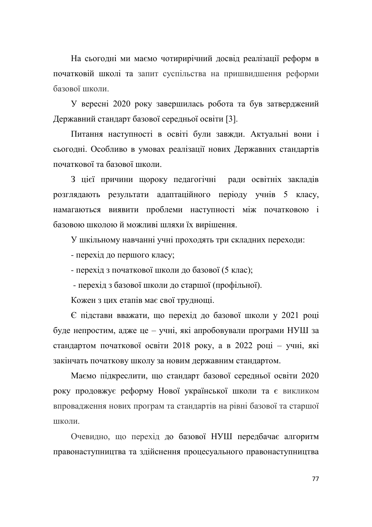На сьогодні ми маємо чотирирічний досвід реалізації реформ в початковій школі та запит суспільства на пришвидшення реформи базової школи.

У вересні 2020 року завершилась робота та був затверджений Державний стандарт базової середньої освіти [3].

Питання наступності в освіті були завжди. Актуальні вони і сьогодні. Особливо в умовах реалізації нових Державних стандартів початкової та базової школи.

З цієї причини щороку педагогічні ради освітніх закладів розглядають результати адаптаційного періоду учнів 5 класу, намагаються виявити проблеми наступності між початковою і базовою школою й можливі шляхи їх вирішення.

У шкільному навчанні учні проходять три складних переходи:

- перехід до першого класу;

- перехід з початкової школи до базової (5 клас):

- перехід з базової школи до старшої (профільної).

Кожен з цих етапів має свої труднощі.

 $\epsilon$  підстави вважати, що перехід до базової школи у 2021 році буде непростим, адже це – учні, які апробовували програми НУШ за стандартом початкової освіти 2018 року, а в 2022 році - учні, які закінчать початкову школу за новим державним стандартом.

Маємо підкреслити, що стандарт базової середньої освіти 2020 року продовжує реформу Нової української школи та є викликом впровадження нових програм та стандартів на рівні базової та старшої школи.

Очевидно, що перехід до базової НУШ передбачає алгоритм правонаступництва та здійснення процесуального правонаступництва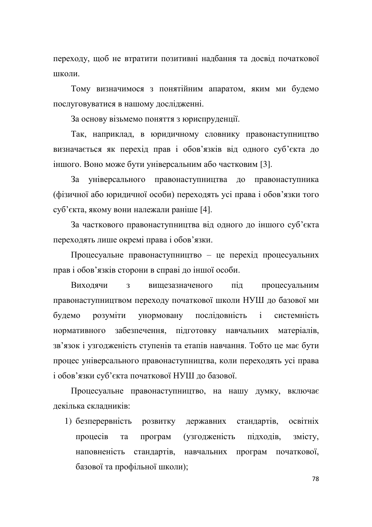переходу, щоб не втратити позитивні надбання та досвід початкової **IIIKOJIH** 

Тому визначимося з понятійним апаратом, яким ми будемо послуговуватися в нашому дослідженні.

За основу візьмемо поняття з юриспруденції.

Так, наприклад, в юридичному словнику правонаступництво визначається як перехід прав і обов'язків від одного суб'єкта до іншого. Воно може бути універсальним або частковим [3].

За універсального правонаступництва до правонаступника (фізичної або юридичної особи) переходять усі права і обов'язки того суб'єкта, якому вони належали раніше [4].

За часткового правонаступництва від одного до іншого суб'єкта переходять лише окремі права і обов'язки.

Процесуальне правонаступництво - це перехід процесуальних прав і обов'язків сторони в справі до іншої особи.

Виходячи з вищезазначеного під процесуальним правонаступництвом переходу початкової школи НУШ до базової ми будемо розуміти унормовану послідовність і системність нормативного забезпечення, підготовку навчальних матеріалів, зв'язок і узгодженість ступенів та етапів навчання. Тобто це має бути процес універсального правонаступництва, коли переходять усі права і обов'язки суб'єкта початкової НУШ до базової.

Процесуальне правонаступництво, на нашу думку, включає декілька складників:

1) безперервність розвитку державних стандартів, освітніх процесів та програм (узгодженість підходів, змісту, наповненість стандартів, навчальних програм початкової, базової та профільної школи);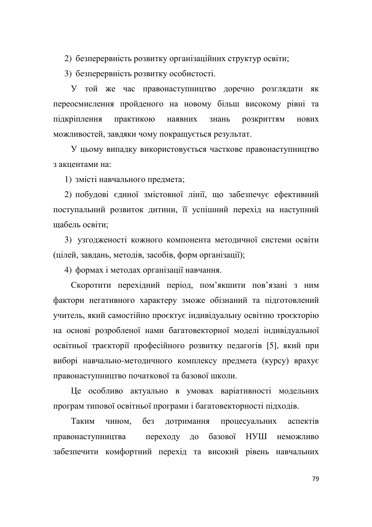2) безперервність розвитку організаційних структур освіти;

3) безперервність розвитку особистості.

У той же час правонаступництво доречно розглядати як переосмислення пройденого на новому більш високому рівні та підкріплення практикою наявних знань розкриттям нових можливостей, завдяки чому покращується результат.

У цьому випадку використовується часткове правонаступництво з акцентами на:

1) змісті навчального предмета;

2) побудові єдиної змістовної лінії, що забезпечує ефективний поступальний розвиток дитини, її успішний перехід на наступний щабель освіти;

3) узгодженості кожного компонента методичної системи освіти (цілей, завдань, методів, засобів, форм організації);

4) формах і методах організації навчання.

Скоротити перехідний період, пом'якшити пов'язані з ним фактори негативного характеру зможе обізнаний та підготовлений учитель, який самостійно проєктує індивідуальну освітню троєкторію на основі розробленої нами багатовекторної моделі індивідуальної освітньої траєкторії професійного розвитку педагогів [5], який при виборі навчально-методичного комплексу предмета (курсу) врахує правонаступництво початкової та базової школи.

Це особливо актуально в умовах варіативності модельних програм типової освітньої програми і багатовекторності підходів.

Таким чином, без дотримання процесуальних аспектів правонаступництва переходу до базової НУШ неможливо забезпечити комфортний перехід та високий рівень навчальних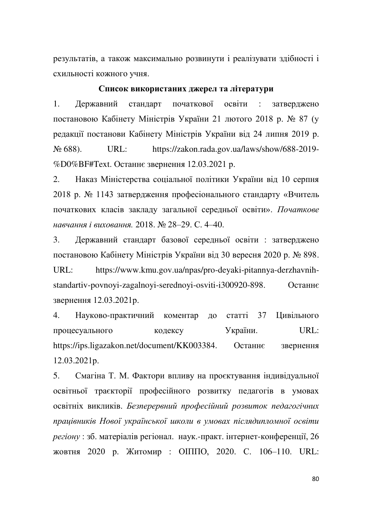результатів, а також максимально розвинути і реалізувати здібності і схильності кожного учня.

### Список використаних джерел та літератури

1. Державний стандарт початкової освіти : затверджено постановою Кабінету Міністрів України 21 лютого 2018 р. № 87 (у редакції постанови Кабінету Міністрів України від 24 липня 2019 р. N<sub>2</sub> 688). URL: https://zakon.rada.gov.ua/laws/show/688-2019-%D0%BF#Text. Останнє звернення 12.03.2021 р.

2. Наказ Міністерства соціальної політики України від 10 серпня 2018 р. № 1143 затвердження професіонального стандарту «Вчитель початкових класів закладу загальної середньої освіти». Початкове *навчання і виховання*. 2018. № 28-29. С. 4-40.

3. Державний стандарт базової середньої освіти : затверджено постановою Кабінету Міністрів України від 30 вересня 2020 р. № 898. URL: https://www.kmu.gov.ua/npas/pro-deyaki-pitannya-derzhavnihstandartiv-povnoyi-zagalnoyi-serednoyi-osviti-i300920-898. Останнє звернення 12.03.2021 р.

4. Науково-практичний коментар до статті 37 Цивільного процесуального кодексу України. URL: https://ips.ligazakon.net/document/KK003384. Останнє звернення 12.03.2021p.

5. Смагіна Т. М. Фактори впливу на проєктування індивідуальної освітньої траєкторії професійного розвитку педагогів в умовах освітніх викликів. Безперервний професійний розвиток педагогічних працівників Нової української школи в умовах післядипломної освіти *регіону* : зб. матеріалів регіонал. наук.-практ. інтернет-конференції, 26 жовтня 2020 р. Житомир : ОПППО, 2020. С. 106-110. URL: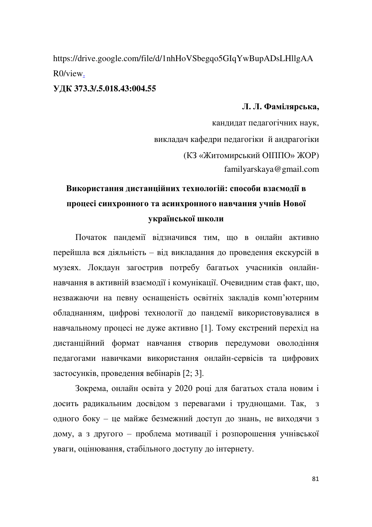https://drive.google.com/file/d/1nhHoVSbegqo5GIqYwBupADsLHllgAA R0/view.

### **ɍȾɄ373.3/.5.018.43:004.55**

### **Л. Л. Фамілярська.**

кандидат педагогічних наук, викладач кафедри педагогіки й андрагогіки (КЗ «Житомирський ОПППО» ЖОР) familyarskaya@gmail.com

# Використання дистанційних технологій: способи взаємодії в процесі синхронного та асинхронного навчання учнів Нової української школи

Початок пандемії відзначився тим, що в онлайн активно перейшла вся діяльність - від викладання до проведення екскурсій в музеях. Локдаун загострив потребу багатьох учасників онлайннавчання в активній взаємодії і комунікації. Очевидним став факт, що, незважаючи на певну оснащеність освітніх закладів комп'ютерним обладнанням, цифрові технології до пандемії використовувалися в навчальному процесі не дуже активно [1]. Тому екстрений перехід на дистанційний формат навчання створив передумови оволодіння педагогами навичками використання онлайн-сервісів та цифрових застосунків, проведення вебінарів [2; 3].

Зокрема, онлайн освіта у 2020 році для багатьох стала новим і досить радикальним досвідом з перевагами і труднощами. Так, з одного боку - це майже безмежний доступ до знань, не виходячи з дому, а з другого - проблема мотивації і розпорошення учнівської уваги, оцінювання, стабільного доступу до інтернету.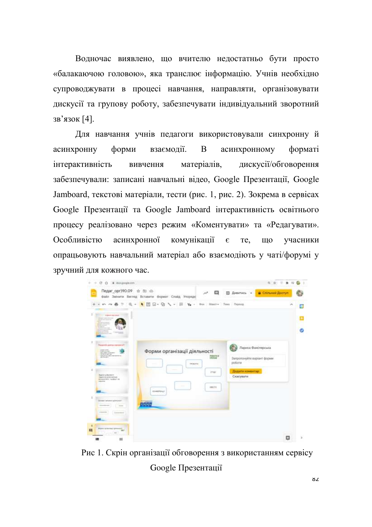Водночас виявлено, що вчителю недостатньо бути просто «балакаючою головою», яка транслює інформацію. Учнів необхідно супроводжувати в процесі навчання, направляти, організовувати дискусії та групову роботу, забезпечувати індивідуальний зворотний 3в'язок [4].

Для навчання учнів педагоги використовували синхронну й асинхронну форми взаємодії. В асинхронному форматі інтерактивність вивчення матеріалів, дискусії/обговорення забезпечували: записані навчальні відео, Google Презентації, Google Jamboard, текстові матеріали, тести (рис. 1, рис. 2). Зокрема в сервісах Google Презентації та Google Jamboard інтерактивність освітнього процесу реалізовано через режим «Коментувати» та «Редагувати». Особливістю асинхронної комунікації є те, що учасники опрацьовують навчальний матеріал або взаємодіють у чаті/форумі у зручний для кожного час.

| Педаг_орг)90.09 а по ⊚                                                                                                                                                                        | файл Змінити Вигляд Вставити Формат Слайд Упорядк                                                                                              | $\lambda^{\beta}$<br>o  | <b>В Дивитись -</b>                                                                          | <b>B</b> Chinamii Bootyn |        |
|-----------------------------------------------------------------------------------------------------------------------------------------------------------------------------------------------|------------------------------------------------------------------------------------------------------------------------------------------------|-------------------------|----------------------------------------------------------------------------------------------|--------------------------|--------|
| 以外药<br>$\mathcal{D}$<br>Ŧ.<br>120110-004                                                                                                                                                      | $0.$ - $\bullet$ $\overline{R}$ $\overline{\omega}$ - $Q_1 \searrow$ - $\overline{\omega}$ $\gamma_0$ - $\omega$ - $\omega$ - Macry Issn Doesn |                         |                                                                                              | ×                        | Ξ<br>ø |
| Daugereits gemigs eigengenen!<br><b>NUMBER</b><br><b>STATISTICS</b><br><b>CALCULATION</b><br><b>Read of synderman to</b><br><b>NAMES OF ASSESSED</b><br><b>Announced State Translater car</b> | Форми організації діяльності<br>$\sim$<br><b>INSERTS</b>                                                                                       | POBUTA IL<br><b>COL</b> | Лариса Фамілярська<br>Запропонуйте варіант форми<br>po6eria<br>Додати конкнизо:<br>Cxacysana |                          |        |
| adapted.<br>Simpley with the address of<br><b>Service</b><br><b>Commercial</b>                                                                                                                | OWNER<br><b>COSE</b>                                                                                                                           | 199274                  |                                                                                              |                          |        |
| Fines by terms) general?<br>$\equiv$<br>$-$                                                                                                                                                   |                                                                                                                                                |                         |                                                                                              |                          |        |

Рис 1. Скрін організації обговорення з використанням сервісу Google Презентації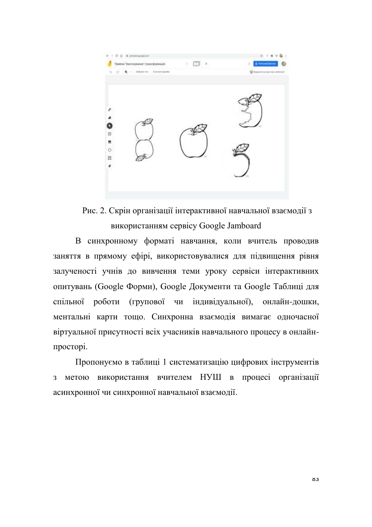

Рис. 2. Скрін організації інтерактивної навчальної взаємодії з використанням сервісу Google Jamboard

В синхронному форматі навчання, коли вчитель проводив заняття в прямому ефірі, використовувалися для підвищення рівня залученості учнів до вивчення теми уроку сервіси інтерактивних опитувань (Google Форми), Google Документи та Google Таблиці для спільної роботи (групової чи індивідуальної), онлайн-дошки, ментальні карти тощо. Синхронна взаємодія вимагає одночасної віртуальної присутності всіх учасників навчального процесу в онлайнпросторі.

Пропонуємо в таблиці 1 систематизацію цифрових інструментів з метою використання вчителем НУШ в процесі організації асинхронної чи синхронної навчальної взаємодії.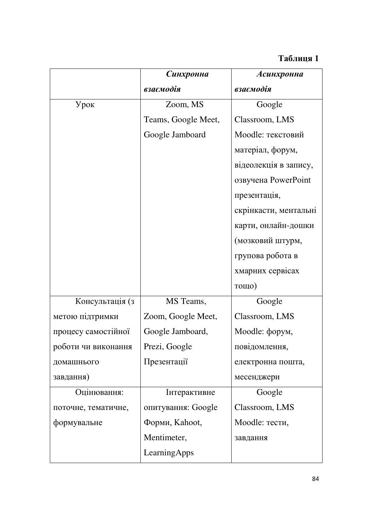### **Таблиця 1**

|                     | Синхронна           | Асинхронна            |
|---------------------|---------------------|-----------------------|
|                     | взаємодія           | взаємодія             |
| Урок                | Zoom, MS            | Google                |
|                     | Teams, Google Meet, | Classroom, LMS        |
|                     | Google Jamboard     | Moodle: текстовий     |
|                     |                     | матеріал, форум,      |
|                     |                     | відеолекція в запису, |
|                     |                     | озвучена PowerPoint   |
|                     |                     | презентація,          |
|                     |                     | скрінкасти, ментальні |
|                     |                     | карти, онлайн-дошки   |
|                     |                     | (мозковий штурм,      |
|                     |                     | групова робота в      |
|                     |                     | хмарних сервісах      |
|                     |                     | тощо)                 |
| Консультація (з     | MS Teams,           | Google                |
| метою підтримки     | Zoom, Google Meet,  | Classroom, LMS        |
| процесу самостійної | Google Jamboard,    | Moodle: форум,        |
| роботи чи виконання | Prezi, Google       | повідомлення,         |
| домашнього          | Презентації         | електронна пошта,     |
| завдання)           |                     | месенджери            |
| Оцінювання:         | Інтерактивне        | Google                |
| поточне, тематичне, | опитування: Google  | Classroom, LMS        |
| формувальне         | Форми, Kahoot,      | Moodle: тести,        |
|                     | Mentimeter,         | завдання              |
|                     | LearningApps        |                       |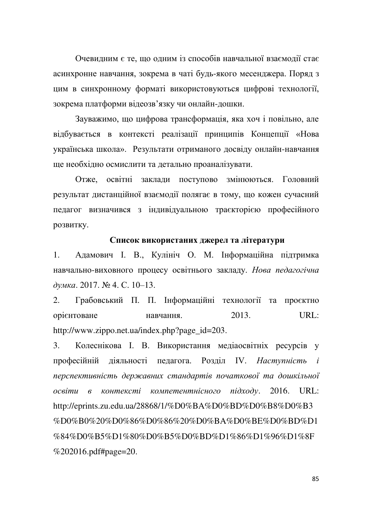Очевидним є те, що одним із способів навчальної взаємодії стає асинхронне навчання, зокрема в чаті будь-якого месенджера. Поряд з цим в синхронному форматі використовуються цифрові технології, зокрема платформи відеозв'язку чи онлайн-дошки.

Зауважимо, що цифрова трансформація, яка хоч і повільно, але відбувається в контексті реалізації принципів Концепції «Нова українська школа». Результати отриманого досвіду онлайн-навчання ще необхідно осмислити та детально проаналізувати.

Отже, освітні заклади поступово змінюються. Головний результат дистанційної взаємодії полягає в тому, що кожен сучасний педагог визначився з індивідуальною траєкторією професійного розвитку.

#### Список використаних джерел та літератури

1. Адамович І. В., Кулініч О. М. Інформаційна підтримка навчально-виховного процесу освітнього закладу. Нова педагогічна  $∂γμκα. 2017. N<sup>6</sup> 4. C. 10-13.$ 

2. Грабовський П. П. Інформаційні технології та проєктно **орієнтоване** навчання. 2013. URL: http://www.zippo.net.ua/index.php?page\_id=203.

3. Колеснікова І. В. Використання медіаосвітніх ресурсів у професійній діяльності педагога. Розділ IV. Наступність і перспективність державних стандартів початкової та дошкільної *oceimu в контексті компетентнісного підходу.* **2016. URL:** http://eprints.zu.edu.ua/28868/1/%D0%BA%D0%BD%D0%B8%D0%B3 %D0%B0%20%D0%86%D0%86%20%D0%BA%D0%BE%D0%BD%D1 %84%D0%B5%D1%80%D0%B5%D0%BD%D1%86%D1%96%D1%8F %202016.pdf#page=20.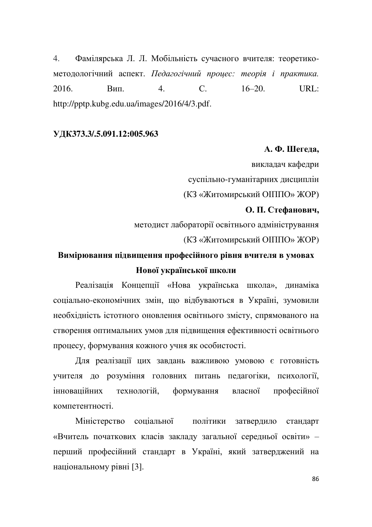4. Фамілярська Л. Л. Мобільність сучасного вчителя: теоретикометодологічний аспект. Педагогічний процес: теорія і практика. 2016. Вип. 4. С. 16–20. URL: http://pptp.kubg.edu.ua/images/2016/4/3.pdf.

### **ɍȾɄ373.3/.5.091.12:005.963**

### **А. Ф. Шегеда.**

викладач кафедри суспільно-гуманітарних дисциплін (КЗ «Житомирський ОПППО» ЖОР)

### О. П. Стефанович.

методист лабораторії освітнього адміністрування (КЗ «Житомирський ОПППО» ЖОР)

# Вимірювання підвищення професійного рівня вчителя в умовах Нової української школи

Реалізація Концепції «Нова українська школа», динаміка соціально-економічних змін, що відбуваються в Україні, зумовили необхідність істотного оновлення освітнього змісту, спрямованого на створення оптимальних умов для підвищення ефективності освітнього процесу, формування кожного учня як особистості.

Для реалізації цих завдань важливою умовою є готовність учителя до розуміння головних питань педагогіки, психології, інноваційних технологій, формування власної професійної компетентності

Міністерство соціальної політики затвердило стандарт «Вчитель початкових класів закладу загальної середньої освіти» перший професійний стандарт в Україні, який затверджений на національному рівні [3].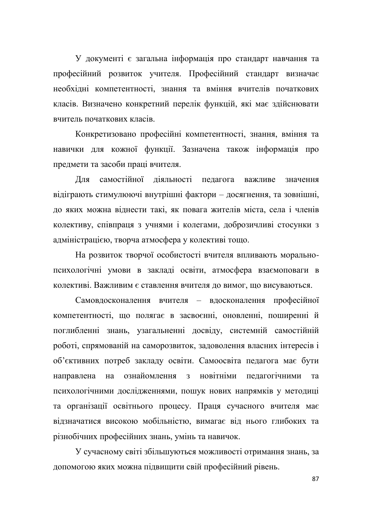У документі є загальна інформація про стандарт навчання та професійний розвиток учителя. Професійний стандарт визначає необхідні компетентності, знання та вміння вчителів початкових класів. Визначено конкретний перелік функцій, які має здійснювати вчитель початкових класів.

Конкретизовано професійні компетентності, знання, вміння та навички для кожної функції. Зазначена також інформація про предмети та засоби праці вчителя.

Для самостійної ліяльності пелагога важливе значення відіграють стимулюючі внутрішні фактори – досягнення, та зовнішні, до яких можна віднести такі, як повага жителів міста, села і членів колективу, співпраця з учнями і колегами, доброзичливі стосунки з адміністрацією, творча атмосфера у колективі тощо.

На розвиток творчої особистості вчителя впливають моральнопсихологічні умови в закладі освіти, атмосфера взаємоповаги в колективі. Важливим є ставлення вчителя до вимог, що висуваються.

Самовдосконалення вчителя - вдосконалення професійної компетентності, що полягає в засвоєнні, оновленні, поширенні й поглибленні знань, узагальненні досвіду, системній самостійній роботі, спрямованій на саморозвиток, задоволення власних інтересів і об'єктивних потреб закладу освіти. Самоосвіта педагога має бути направлена на ознайомлення з новітніми педагогічними та психологічними дослідженнями, пошук нових напрямків у методиці та організації освітнього процесу. Праця сучасного вчителя має відзначатися високою мобільністю, вимагає від нього глибоких та різнобічних професійних знань, умінь та навичок.

У сучасному світі збільшуються можливості отримання знань, за допомогою яких можна підвищити свій професійний рівень.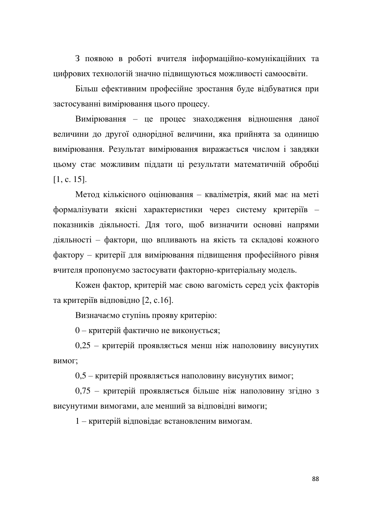З появою в роботі вчителя інформаційно-комунікаційних та цифрових технологій значно підвищуються можливості самоосвіти.

Більш ефективним професійне зростання буде відбуватися при застосуванні вимірювання цього процесу.

Вимірювання - це процес знаходження відношення даної величини до другої однорідної величини, яка прийнята за одиницю вимірювання. Результат вимірювання виражається числом і завдяки цьому стає можливим піддати ці результати математичній обробці  $[1, c. 15]$ .

Метод кількісного оцінювання - кваліметрія, який має на меті формалізувати якісні характеристики через систему критеріїв показників діяльності. Для того, щоб визначити основні напрями діяльності - фактори, що впливають на якість та складові кожного фактору – критерії для вимірювання підвищення професійного рівня вчителя пропонуємо застосувати факторно-критеріальну модель.

Кожен фактор, критерій має свою вагомість серед усіх факторів та критеріїв відповідно [2, с.16].

Визначаємо ступінь прояву критерію:

0 - критерій фактично не виконується;

0,25 - критерій проявляється менш ніж наполовину висунутих вимог:

0,5 – критерій проявляється наполовину висунутих вимог;

0,75 - критерій проявляється більше ніж наполовину згідно з висунутими вимогами, але менший за відповідні вимоги;

1 – критерій відповідає встановленим вимогам.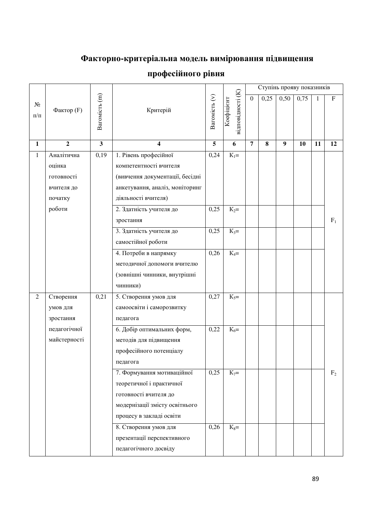## Факторно-критеріальна модель вимірювання підвищення

|                    |                |                           |                                 |                |                                 |                  | Ступінь прояву показників |      |      |    |                           |
|--------------------|----------------|---------------------------|---------------------------------|----------------|---------------------------------|------------------|---------------------------|------|------|----|---------------------------|
| $N_2$<br>$\Pi/\Pi$ | Фактор (F)     | Baromicr <sub>b</sub> (m) | Критерій                        | Вагомість (v)  | відповідності (К)<br>Коефіцієнт | $\boldsymbol{0}$ | 0,25                      | 0,50 | 0,75 | 1  | $\boldsymbol{\mathrm{F}}$ |
| $\mathbf{1}$       | $\overline{2}$ | $\mathbf{3}$              | $\overline{\mathbf{4}}$         | $\overline{5}$ | 6                               | $\overline{7}$   | 8                         | 9    | 10   | 11 | 12                        |
| $\mathbf{1}$       | Аналітична     | 0,19                      | 1. Рівень професійної           | 0,24           | $K_1 =$                         |                  |                           |      |      |    |                           |
|                    | оцінка         |                           | компетентності вчителя          |                |                                 |                  |                           |      |      |    |                           |
|                    | готовності     |                           | (вивчення документації, бесідні |                |                                 |                  |                           |      |      |    |                           |
|                    | вчителя до     |                           | анкетування, аналіз, моніторинг |                |                                 |                  |                           |      |      |    |                           |
|                    | початку        |                           | діяльності вчителя)             |                |                                 |                  |                           |      |      |    |                           |
|                    | роботи         |                           | 2. Здатність учителя до         | 0,25           | $K_2=$                          |                  |                           |      |      |    |                           |
|                    |                |                           | зростання                       |                |                                 |                  |                           |      |      |    | $F_1$                     |
|                    |                |                           | 3. Здатність учителя до         | 0,25           | $K_3=$                          |                  |                           |      |      |    |                           |
|                    |                |                           | самостійної роботи              |                |                                 |                  |                           |      |      |    |                           |
|                    |                |                           | 4. Потреби в напрямку           | 0,26           | $K_4=$                          |                  |                           |      |      |    |                           |
|                    |                |                           | методичної допомоги вчителю     |                |                                 |                  |                           |      |      |    |                           |
|                    |                |                           | (зовнішні чинники, внутрішні    |                |                                 |                  |                           |      |      |    |                           |
|                    |                |                           | чинники)                        |                |                                 |                  |                           |      |      |    |                           |
| $\overline{2}$     | Створення      | 0,21                      | 5. Створення умов для           | 0,27           | $K_5=$                          |                  |                           |      |      |    |                           |
|                    | умов для       |                           | самоосвіти і саморозвитку       |                |                                 |                  |                           |      |      |    |                           |
|                    | зростання      |                           | педагога                        |                |                                 |                  |                           |      |      |    |                           |
|                    | педагогічної   |                           | 6. Добір оптимальних форм,      | 0,22           | $K_6=$                          |                  |                           |      |      |    |                           |
|                    | майстерності   |                           | методів для підвищення          |                |                                 |                  |                           |      |      |    |                           |
|                    |                |                           | професійного потенціалу         |                |                                 |                  |                           |      |      |    |                           |
|                    |                |                           | педагога                        |                |                                 |                  |                           |      |      |    |                           |
|                    |                |                           | 7. Формування мотиваційної      | 0,25           | $K_7=$                          |                  |                           |      |      |    | F <sub>2</sub>            |
|                    |                |                           | теоретичної і практичної        |                |                                 |                  |                           |      |      |    |                           |
|                    |                |                           | готовності вчителя до           |                |                                 |                  |                           |      |      |    |                           |
|                    |                |                           | модернізації змісту освітнього  |                |                                 |                  |                           |      |      |    |                           |
|                    |                |                           | процесу в закладі освіти        |                |                                 |                  |                           |      |      |    |                           |
|                    |                |                           | 8. Створення умов для           | 0,26           | $K_8=$                          |                  |                           |      |      |    |                           |
|                    |                |                           | презентації перспективного      |                |                                 |                  |                           |      |      |    |                           |
|                    |                |                           | педагогічного досвіду           |                |                                 |                  |                           |      |      |    |                           |

# професійного рівня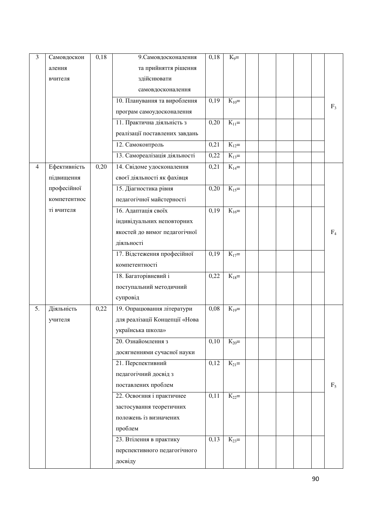| 3              | Самовдоскон  | 0,18 | 9. Самовдосконалення           | 0,18 | $K_9=$                |  |  |                |
|----------------|--------------|------|--------------------------------|------|-----------------------|--|--|----------------|
|                | алення       |      | та прийняття рішення           |      |                       |  |  |                |
|                | вчителя      |      | здійснювати                    |      |                       |  |  |                |
|                |              |      | самовдосконалення              |      |                       |  |  |                |
|                |              |      | 10. Планування та вироблення   | 0,19 | $K_{10} =$            |  |  |                |
|                |              |      | програм самоудосконалення      |      |                       |  |  | F <sub>3</sub> |
|                |              |      | 11. Практична діяльність з     | 0,20 | $K_{11} =$            |  |  |                |
|                |              |      | реалізації поставлених завдань |      |                       |  |  |                |
|                |              |      | 12. Самоконтроль               | 0,21 | $K_{12}$ =            |  |  |                |
|                |              |      | 13. Самореалізація діяльності  | 0,22 | $K_{13}$ =            |  |  |                |
| $\overline{4}$ | Ефективність | 0,20 | 14. Свідоме удосконалення      | 0,21 | $K_{14}$ =            |  |  |                |
|                | підвищення   |      | своєї діяльності як фахівця    |      |                       |  |  |                |
|                | професійної  |      | 15. Діагностика рівня          | 0,20 | $K_{15}$ =            |  |  |                |
|                | компетентнос |      | педагогічної майстерності      |      |                       |  |  |                |
|                | ті вчителя   |      | 16. Адаптація своїх            | 0,19 | $\overline{K}_{16}$ = |  |  |                |
|                |              |      | індивідуальних неповторних     |      |                       |  |  |                |
|                |              |      | якостей до вимог педагогічної  |      |                       |  |  | $F_4$          |
|                |              |      | діяльності                     |      |                       |  |  |                |
|                |              |      | 17. Відстеження професійної    | 0,19 | $K_{17}$ =            |  |  |                |
|                |              |      | компетентності                 |      |                       |  |  |                |
|                |              |      | 18. Багаторівневий і           | 0,22 | $K_{18} =$            |  |  |                |
|                |              |      | поступальний методичний        |      |                       |  |  |                |
|                |              |      | супровід                       |      |                       |  |  |                |
| 5.             | Діяльність   | 0,22 | 19. Опрацювання літератури     | 0,08 | $K_{19} =$            |  |  |                |
|                | учителя      |      | для реалізації Концепції «Нова |      |                       |  |  |                |
|                |              |      | українська школа»              |      |                       |  |  |                |
|                |              |      | 20. Ознайомлення з             | 0,10 | $K_{20}$ =            |  |  |                |
|                |              |      | досягненнями сучасної науки    |      |                       |  |  |                |
|                |              |      | 21. Перспективний              | 0,12 | $K_{21}$ =            |  |  |                |
|                |              |      | педагогічний досвід з          |      |                       |  |  |                |
|                |              |      | поставлених проблем            |      |                       |  |  | $F_5$          |
|                |              |      | 22. Освоєння і практичнее      | 0,11 | $K_{22}$ =            |  |  |                |
|                |              |      | застосування теоретичних       |      |                       |  |  |                |
|                |              |      | положень із визначених         |      |                       |  |  |                |
|                |              |      | проблем                        |      |                       |  |  |                |
|                |              |      | 23. Втілення в практику        | 0,13 | $K_{23}$ =            |  |  |                |
|                |              |      | перспективного педагогічного   |      |                       |  |  |                |
|                |              |      | досвіду                        |      |                       |  |  |                |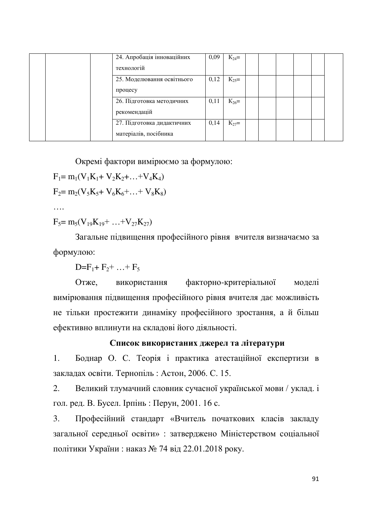| 24. Апробація інноваційних | 0,09 | $K_{24}$ = |  |  |  |
|----------------------------|------|------------|--|--|--|
| технологій                 |      |            |  |  |  |
| 25. Моделювання освітнього | 0,12 | $K_{25}$ = |  |  |  |
| процесу                    |      |            |  |  |  |
| 26. Підготовка методичних  | 0,11 | $K_{26}$ = |  |  |  |
| рекомендацій               |      |            |  |  |  |
| 27. Підготовка дидактичних | 0,14 | $K_{27}$ = |  |  |  |
| матеріалів, посібника      |      |            |  |  |  |

Окремі фактори вимірюємо за формулою:

$$
F_1 = m_1(V_1K_1 + V_2K_2 + ... + V_4K_4)
$$

$$
F_2 = m_2(V_5K_5 + V_6K_6 + ... + V_8K_8)
$$

«

$$
F_5 = m_5(V_{19}K_{19} + ... + V_{27}K_{27})
$$

Загальне підвищення професійного рівня вчителя визначаємо за формулою:

D= $F_1 + F_2 + ... + F_5$ 

Отже, використання факторно-критеріальної моделі вимірювання підвищення професійного рівня вчителя дає можливість не тільки простежити динаміку професійного зростання, а й більш ефективно вплинути на складові його діяльності.

### Список використаних джерел та літератури

1. Боднар О. С. Теорія і практика атестаційної експертизи в закладах освіти. Тернопіль: Астон, 2006. С. 15.

2. Великий тлумачний словник сучасної української мови / уклад. і гол. ред. В. Бусел. Ірпінь : Перун, 2001. 16 с.

3. Професійний стандарт «Вчитель початкових класів закладу загальної середньої освіти» : затверджено Міністерством соціальної політики України: наказ № 74 від 22.01.2018 року.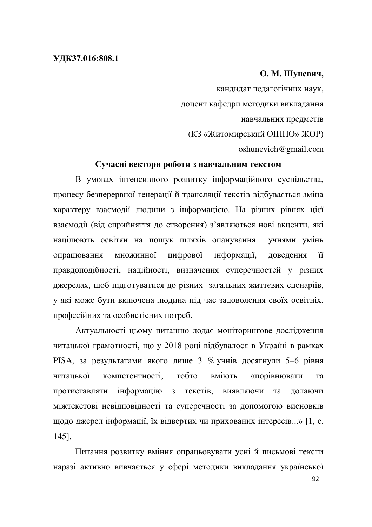### **ɍȾɄ37.016:808.1**

### $O. M.$  Шуневич,

кандидат педагогічних наук, доцент кафедри методики викладання навчальних предметів (КЗ «Житомирський ОПППО» ЖОР) oshunevich@gmail.com

### Сучасні вектори роботи з навчальним текстом

В умовах інтенсивного розвитку інформаційного суспільства, процесу безперервної генерації й трансляції текстів відбувається зміна характеру взаємодії людини з інформацією. На різних рівнях цієї взаємодії (від сприйняття до створення) з'являються нові акценти, які націлюють освітян на пошук шляхів опанування учнями умінь опрацювання множинної цифрової інформації, доведення її правдоподібності, надійності, визначення суперечностей у різних джерелах, щоб підготуватися до різних загальних життєвих сценаріїв, у які може бути включена людина під час задоволення своїх освітніх, професійних та особистісних потреб.

Актуальності цьому питанню додає моніторингове дослідження читацької грамотності, що у 2018 році відбувалося в Україні в рамках PISA, за результатами якого лише 3 % учнів досягнули 5-6 рівня читацької компетентності, тобто вміють «порівнювати та протиставляти інформацію з текстів, виявляючи та долаючи міжтекстові невідповідності та суперечності за допомогою висновків щодо джерел інформації, їх відвертих чи прихованих інтересів...» [1, с. 145].

Питання розвитку вміння опрацьовувати усні й письмові тексти наразі активно вивчається у сфері методики викладання української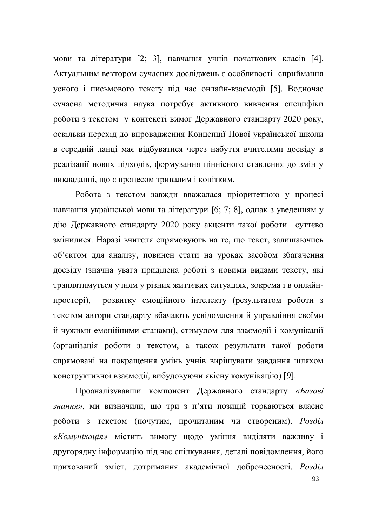мови та літератури [2; 3], навчання учнів початкових класів [4]. Актуальним вектором сучасних досліджень є особливості сприймання усного і письмового тексту під час онлайн-взаємодії [5]. Водночас сучасна методична наука потребує активного вивчення специфіки роботи з текстом у контексті вимог Державного стандарту 2020 року, оскільки перехід до впровадження Концепції Нової української школи в середній ланці має відбуватися через набуття вчителями досвіду в реалізації нових підходів, формування ціннісного ставлення до змін у викладанні, що є процесом тривалим і копітким.

Робота з текстом завжди вважалася пріоритетною у процесі навчання української мови та літератури [6; 7; 8], однак з уведенням у дію Державного стандарту 2020 року акценти такої роботи суттєво змінилися. Наразі вчителя спрямовують на те, що текст, залишаючись об'єктом для аналізу, повинен стати на уроках засобом збагачення досвіду (значна увага приділена роботі з новими видами тексту, які траплятимуться учням у різних життєвих ситуаціях, зокрема і в онлайнпросторі), розвитку емоційного інтелекту (результатом роботи з текстом автори стандарту вбачають усвідомлення й управління своїми й чужими емоційними станами), стимулом для взаємодії і комунікації (організація роботи з текстом, а також результати такої роботи спрямовані на покращення умінь учнів вирішувати завдання шляхом конструктивної взаємодії, вибудовуючи якісну комунікацію) [9].

Проаналізувавши компонент Державного стандарту «Базові знання», ми визначили, що три з п'яти позицій торкаються власне роботи з текстом (почутим, прочитаним чи створеним). Розділ «Комунікація» містить вимогу щодо уміння виділяти важливу і другорядну інформацію під час спілкування, деталі повідомлення, його прихований зміст, дотримання академічної доброчесності. Розділ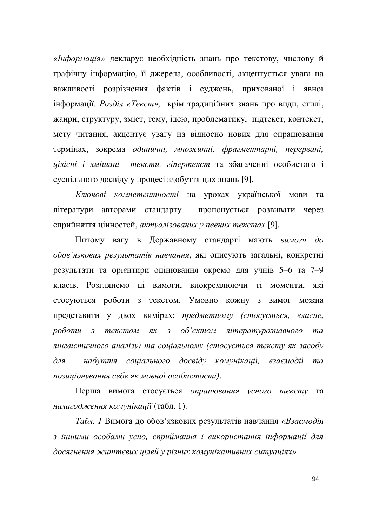«*Інформація»* декларує необхідність знань про текстову, числову й графічну інформацію, її джерела, особливості, акцентується увага на важливості розрізнення фактів і суджень, прихованої і явної інформації. Розділ «Текст», крім традиційних знань про види, стилі, жанри, структуру, зміст, тему, ідею, проблематику, підтекст, контекст, мету читання, акцентує увагу на відносно нових для опрацювання термінах, зокрема *одиничні, множинні, фрагментарні, перервані*, *цілісні і змішані тексти, гіпертекст* та збагаченні особистого і суспільного досвіду у процесі здобуття цих знань [9].

K*лючові компетентності* на уроках української мови та літератури авторами стандарту пропонується розвивати через сприйняття цінностей, актуалізованих у певних текстах [9].

Питому вагу в Державному стандарті мають вимоги до *обов'язкових результатів навчання*, які описують загальні, конкретні результати та орієнтири оцінювання окремо для учнів 5–6 та 7–9 класів. Розглянемо ці вимоги, виокремлюючи ті моменти, які стосуються роботи з текстом. Умовно кожну з вимог можна представити у двох вимірах: предметному (стосується, власне, роботи з текстом як з об'єктом літературознавчого та дінгвістичного аналізу) та соціальному (стосується тексту як засобу для набуття соціального досвіду комунікації, взаємодії та позиціонування себе як мовної особистості).

Перша вимога стосується *опрацювання усного тексту* та *налагодження комунікації* (табл. 1).

*Табл. 1* Вимога до обов'язкових результатів навчання «Взаємодія з іншими особами усно, сприймання *і використання інформації для* досягнення життєвих цілей у різних комунікативних ситуаціях»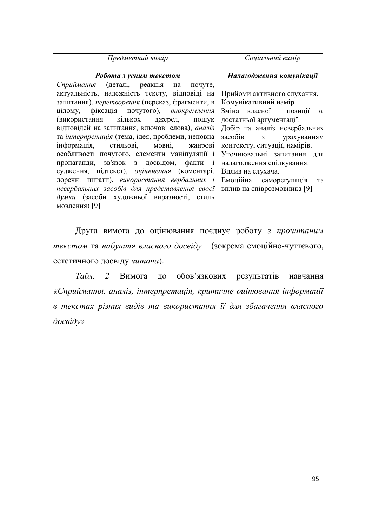| Предметний вимір                                | Соціальний вимір                           |
|-------------------------------------------------|--------------------------------------------|
| Робота з усним текстом                          | Налагодження комунікації                   |
| Сприймання (деталі, реакція на почуте,          |                                            |
| актуальність, належність тексту, відповіді на   | Прийоми активного слухання.                |
| запитання), перетворення (переказ, фрагменти, в | Комунікативний намір.                      |
| цілому, фіксація почутого), виокремлення        | Зміна власної<br>позиції<br>3 <sub>3</sub> |
| (використання кількох<br>джерел, пошук          | достатньої аргументації.                   |
| відповідей на запитання, ключові слова), аналіз | Добір та аналіз невербальних               |
| та інтерпретація (тема, ідея, проблеми, неповна | $3a \circ 6iB$ $3$<br>урахуванням          |
| інформація, стильові, мовні,<br>жанрові         | контексту, ситуації, намірів.              |
| особливості почутого, елементи маніпуляції і    | Уточнювальні запитання для                 |
| пропаганди, зв'язок з досвідом, факти і         | налагодження спілкування.                  |
| судження, підтекст), оцінювання (коментарі,     | Вплив на слухача.                          |
| доречні цитати), використання вербальних і      | Емоційна саморегуляція<br>Tδ               |
| невербальних засобів для представлення своєї    | вплив на співрозмовника [9]                |
| думки (засоби художньої виразності, стиль       |                                            |
| мовлення) [9]                                   |                                            |

Друга вимога до оцінювання поєднує роботу *з прочитаним* текстом та набуття власного досвіду (зокрема емоційно-чуттєвого, естетичного досвіду читача).

*Табл.* 2 Вимога до обов'язкових результатів навчання «Сприймання, аналіз, інтерпретація, критичне оцінювання інформації в текстах різних видів та використання її для збагачення власного  $\partial$ *oceidy*»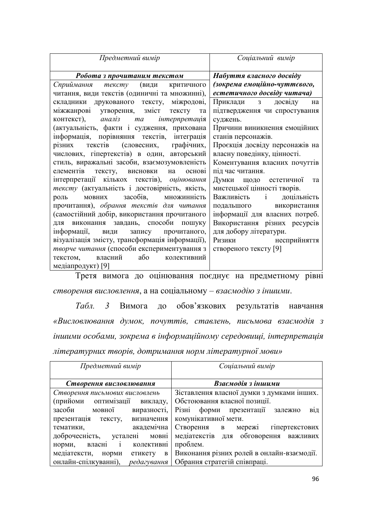| Предметний вимір                                | Соціальний вимір               |
|-------------------------------------------------|--------------------------------|
| Робота з прочитаним текстом                     | Набуття власного досвіду       |
| Сприймання тексту<br>(види<br>критичного        | (зокрема емоційно-чуттєвого,   |
| читання, види текстів (одиничні та множинні),   | естетичного досвіду читача)    |
| складники друкованого тексту, міжродові,        | Приклади з досвіду<br>Ha       |
| міжжанрові утворення, зміст тексту<br>та        | підтвердження чи спростування  |
| контекст), аналіз та інтерпретація              | суджень.                       |
| (актуальність, факти і судження, прихована      | Причини виникнення емоційних   |
| інформація, порівняння текстів, інтеграція      | станів персонажів.             |
| текстів (словесних, графічних,<br>різних        | Проєкція досвіду персонажів на |
| числових, гіпертекстів) в один, авторський      | власну поведінку, цінності.    |
| стиль, виражальні засоби, взаємозумовленість    | Коментування власних почуттів  |
| елементів тексту, висновки на основі            | під час читання.               |
| інтерпретації кількох текстів), оцінювання      | Думки щодо естетичної<br>та    |
| тексту (актуальність і достовірність, якість,   | мистецької цінності творів.    |
| мовних засобів, множинність<br>роль             | Важливість і доцільність       |
| прочитання), обрання текстів для читання        | подальшого використання        |
| (самостійний добір, використання прочитаного    | інформації для власних потреб. |
| для виконання завдань, способи пошуку           | Використання різних ресурсів   |
| інформації, види запису прочитаного,            | для добору літератури.         |
| візуалізація змісту, трансформація інформації), | несприйняття<br>Ризики         |
| творче читання (способи експериментування з     | створеного тексту [9]          |
| або колективний<br>власний<br>текстом,          |                                |
| медіапродукт) [9]                               |                                |

Третя вимога до оцінювання поєднує на предметному рівні створення висловлення, а на соціальному - взаємодію з іншими.

*Табл. 3* Вимога до обов'язкових результатів навчання «Висловлювання думок, почуттів, ставлень, письмова взаємодія з iншими особами, зокрема в iнформацiйному середовищi, iнтерпретацiя дiтературних творів, дотримання норм літературної мови»

| Предметний вимір                                 | Соціальний вимір                                    |
|--------------------------------------------------|-----------------------------------------------------|
| Створення висловлювання                          | Взаємодія з іншими                                  |
| Створення письмових висловлень                   | Зіставлення власної думки з думками інших.          |
| оптимізації<br>(прийоми<br>викладу,              | Обстоювання власної позиції.                        |
| засоби<br>мовної<br>виразності,                  | Різні форми презентації залежно<br>$B1\overline{A}$ |
| презентація тексту, визначення                   | комунікативної мети.                                |
| академічна<br>тематики,                          | Створення в мережі<br>гіпертекстових                |
| доброчесність,<br>усталені мовні                 | медіатекстів для обговорення важливих               |
| власні і<br>колективні<br>норми,                 | проблем.                                            |
| медіатексти,<br>етикету<br>$\, {\bf B}$<br>норми | Виконання різних ролей в онлайн-взаємодії.          |
| онлайн-спілкуванні), редагування                 | Обрання стратегій співпраці.                        |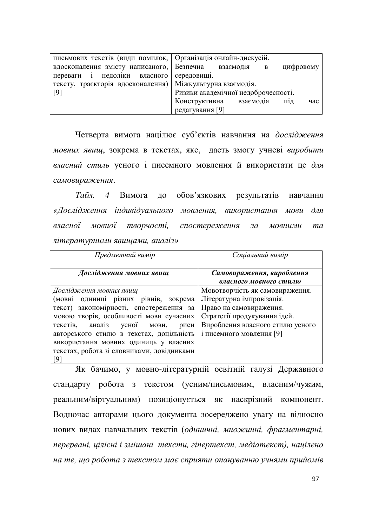| письмових текстів (види помилок,   Організація онлайн-дискусій. |                                          |
|-----------------------------------------------------------------|------------------------------------------|
| вдосконалення змісту написаного,                                | Безпечна<br>взаємодія<br>цифровому<br>B  |
| переваги <i>і</i><br>недоліки власного                          | середовищі.                              |
| тексту, траєкторія вдосконалення)                               | Міжкультурна взаємодія.                  |
| [9]                                                             | Ризики академічної недоброчесності.      |
|                                                                 | Конструктивна<br>взаємодія<br>П1Д<br>час |
|                                                                 | редагування [9]                          |

Четверта вимога націлює суб'єктів навчання на дослідження *мовних явищ*, зокрема в текстах, яке, дасть змогу учневі виробити власний стиль усного *i* писемного мовлення й використати це для самовираження.

*Табл. 4* Вимога до обов'язкових результатів навчання «Дослідження індивідуального мовлення, використання мови для власної мовної творчості, спостереження за мовними та дiтературними явищами, аналіз»

| Предметний вимір                             | Соціальний вимір                 |
|----------------------------------------------|----------------------------------|
| Дослідження мовних явищ                      | Самовираження, вироблення        |
|                                              | власного мовного стилю           |
| Дослідження мовних явищ                      | Мовотворчість як самовираження.  |
| (мовні одиниці різних рівнів, зокрема        | Літературна імпровізація.        |
| текст) закономірності, спостереження за      | Право на самовираження.          |
| мовою творів, особливості мови сучасних      | Стратегії продукування ідей.     |
| текстів,<br>аналіз<br>усної<br>мови,<br>риси | Вироблення власного стилю усного |
| авторського стилю в текстах, доцільність     | і писемного мовлення [9]         |
| використання мовних одиниць у власних        |                                  |
| текстах, робота зі словниками, довідниками   |                                  |
| [9]                                          |                                  |

Як бачимо, у мовно-літературній освітній галузі Державного стандарту робота з текстом (усним/письмовим, власним/чужим, реальним/віртуальним) позиціонується як наскрізний компонент. Водночас авторами цього документа зосереджено увагу на відносно нових видах навчальних текстів (одиничні, множинні, фрагментарні, перервані, цілісні і змішані тексти, гіпертекст, медіатекст), націлено на те, що робота з текстом має сприяти опануванню учнями прийомів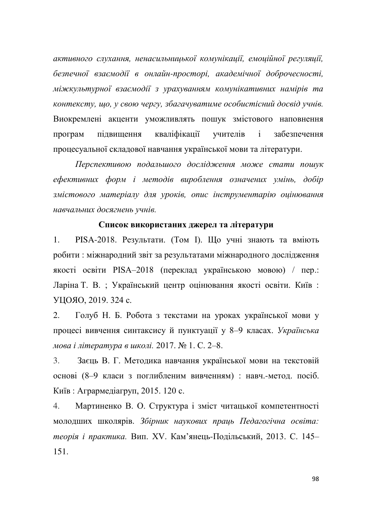активного слухання, ненасильницької комунікації, емоційної регуляції, безпечної взаємодії в онлайн-просторі, академічної доброчесності, міжкультурної взаємодії з урахуванням комунікативних намірів та контексту, що, у свою чергу, збагачуватиме особистісний досвід учнів. Виокремлені акценти уможливлять пошук змістового наповнення програм підвищення кваліфікації учителів і забезпечення процесуальної складової навчання української мови та літератури.

Перспективою подальшого дослідження може стати пошук ефективних форм *і методів вироблення означених умінь*, добір змістового матеріалу для уроків, опис інструментарію оцінювання навчальних досягнень учнів.

### Список використаних джерел та літератури

1. PISA-2018. Результати. (Том I). Що учні знають та вміють робити: міжнародний звіт за результатами міжнародного дослідження якості освіти PISA-2018 (переклад українською мовою) / пер.: Ларіна Т. В. ; Український центр оцінювання якості освіти. Київ : УЦОЯО, 2019. 324 с.

2. Голуб Н. Б. Робота з текстами на уроках української мови у процесі вивчення синтаксису й пунктуації у 8-9 класах. Українська *мова і література в школі.* 2017. № 1. С. 2-8.

3. Заєць В. Г. Методика навчання української мови на текстовій основі (8-9 класи з поглибленим вивченням) : навч.-метод. посіб. Київ: Агрармедіагруп, 2015. 120 с.

4. Мартиненко В. О. Структура і зміст читацької компетентності молодших школярів. Збірник наукових праць Педагогічна освіта: теорія і практика. Вип. XV. Кам'янець-Подільський, 2013. С. 145-151.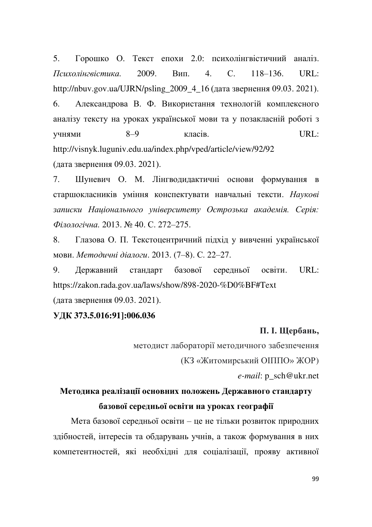5. Горошко О. Текст епохи 2.0: психолінгвістичний аналіз. *<u><i><del>Психолінгвістика*</u>. 2009. Вип. 4. С. 118–136. URL:</u></del> http://nbuv.gov.ua/UJRN/psling\_2009\_4\_16 (дата звернення 09.03. 2021). 6. Александрова В. Ф. Використання технологій комплексного аналізу тексту на уроках української мови та у позакласній роботі з учнями  $8-9$  класів. URL: http://visnyk.luguniv.edu.ua/index.php/vped/article/view/92/92 (дата звернення 09.03. 2021).

7. Шуневич О. М. Лінгводидактичні основи формування в старшокласників уміння конспектувати навчальні тексти. Наvкові записки Національного університету Острозька академія. Серія:  $\Phi$ *iлологічна*, 2013. № 40. С. 272–275.

8. Глазова О. П. Текстоцентричний підхід у вивченні української мови. *Методичні діалоги*. 2013. (7-8). С. 22-27.

9. Державний стандарт базової середньої освіти. URL: https://zakon.rada.gov.ua/laws/show/898-2020-%D0%BF#Text (дата звернення 09.03. 2021).

### **ɍȾɄ 373.5.016:91]:006.036**

### П. І. Щербань,

методист лабораторії методичного забезпечення

(КЗ «Житомирський ОПППО» ЖОР)

*e-mail*: p\_sch@ukr.net

# Методика реалізації основних положень Державного стандарту **базової середньої освіти на уроках географії**

Мета базової середньої освіти – це не тільки розвиток природних здібностей, інтересів та обдарувань учнів, а також формування в них компетентностей, які необхідні для соціалізації, прояву активної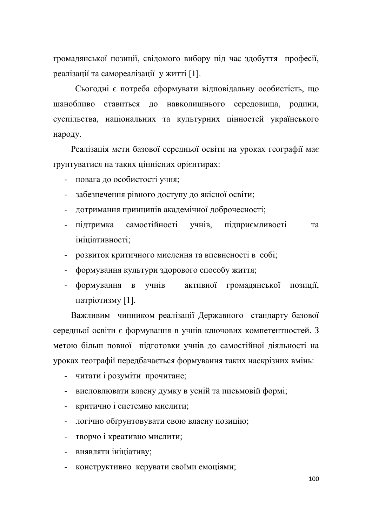громадянської позиції, свідомого вибору під час здобуття професії, реалізації та самореалізації у житті [1].

Сьогодні є потреба сформувати відповідальну особистість, що шанобливо ставиться до навколишнього середовища, родини, суспільства, національних та культурних цінностей українського народу.

Реалізація мети базової середньої освіти на уроках географії має грунтуватися на таких ціннісних орієнтирах:

- повага до особистості учня;

- забезпечення рівного доступу до якісної освіти;
- дотримання принципів академічної доброчесності;
- підтримка самостійності учнів, підприємливості та ініціативності;
- розвиток критичного мислення та впевненості в собі;
- формування культури здорового способу життя;
- формування в учнів активної громадянської позиції, патріотизму $[1]$ .

Важливим чинником реалізації Державного стандарту базової середньої освіти є формування в учнів ключових компетентностей. З метою більш повної підготовки учнів до самостійної діяльності на уроках географії передбачається формування таких наскрізних вмінь:

- читати і розуміти прочитане;
- висловлювати власну думку в усній та письмовій формі;
- критично і системно мислити;
- логічно обґрунтовувати свою власну позицію;
- творчо *і* креативно мислити;
- виявляти ініціативу;
- конструктивно керувати своїми емоціями;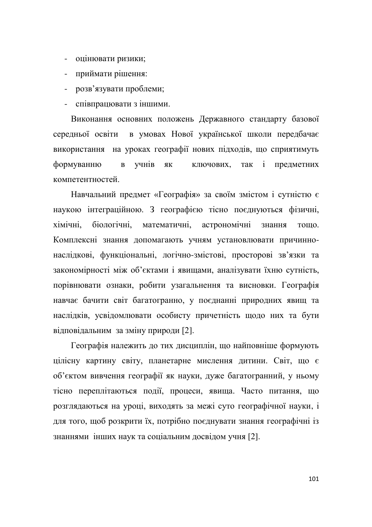- оцінювати ризики;
- приймати рішення:
- розв'язувати проблеми;
- співпрацювати з іншими.

Виконання основних положень Державного стандарту базової середньої освіти в умовах Нової української школи передбачає використання на уроках географії нових підходів, що сприятимуть формуванню в учнів як ключових, так і предметних компетентностей.

Навчальний предмет «Географія» за своїм змістом і сутністю є наукою інтеграційною. З географією тісно поєднуються фізичні, хімічні, біологічні, математичні, астрономічні знання тощо. Комплексні знання допомагають учням установлювати причиннонаслідкові, функціональні, логічно-змістові, просторові зв'язки та закономірності між об'єктами і явищами, аналізувати їхню сутність, порівнювати ознаки, робити узагальнення та висновки. Географія навчає бачити світ багатогранно, у поєднанні природних явищ та наслідків, усвідомлювати особисту причетність щодо них та бути відповідальним за зміну природи [2].

Географія належить до тих дисциплін, що найповніше формують цілісну картину світу, планетарне мислення дитини. Світ, що є об'єктом вивчення географії як науки, дуже багатогранний, у ньому тісно переплітаються події, процеси, явища. Часто питання, що розглядаються на уроці, виходять за межі суто географічної науки, і для того, щоб розкрити їх, потрібно поєднувати знання географічні із знаннями інших наук та соціальним досвідом учня [2].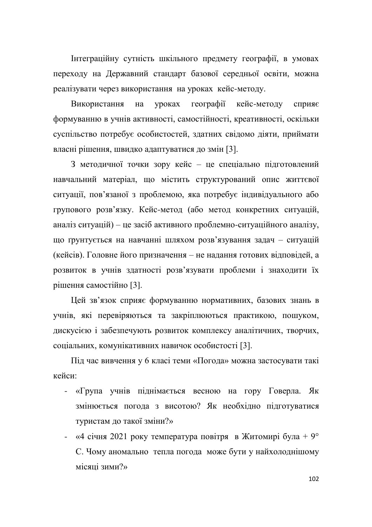Інтеграційну сутність шкільного предмету географії, в умовах переходу на Державний стандарт базової середньої освіти, можна реалізувати через використання на уроках кейс-методу.

Використання на уроках географії кейс-методу сприяє формуванню в учнів активності, самостійності, креативності, оскільки суспільство потребує особистостей, здатних свідомо діяти, приймати власні рішення, швидко адаптуватися до змін [3].

3 методичної точки зору кейс - це спеціально підготовлений навчальний матеріал, що містить структурований опис життєвої ситуації, пов'язаної з проблемою, яка потребує індивідуального або групового розв'язку. Кейс-метод (або метод конкретних ситуацій, аналіз ситуацій) – це засіб активного проблемно-ситуаційного аналізу, що ґрунтується на навчанні шляхом розв'язування задач - ситуацій (кейсів). Головне його призначення – не надання готових відповідей, а розвиток в учнів здатності розв'язувати проблеми і знаходити їх рішення самостійно [3].

Цей зв'язок сприяє формуванню нормативних, базових знань в учнів, які перевіряються та закріплюються практикою, пошуком, дискусією і забезпечують розвиток комплексу аналітичних, творчих, соціальних, комунікативних навичок особистості [3].

Під час вивчення у 6 класі теми «Погода» можна застосувати такі кейси<sup>.</sup>

- «Група учнів піднімається весною на гору Говерла. Як змінюється погода з висотою? Як необхідно підготуватися туристам до такої зміни?»
- «4 січня 2021 року температура повітря в Житомирі була + 9° С. Чому аномально тепла погода може бути у найхолоднішому місяці зими?»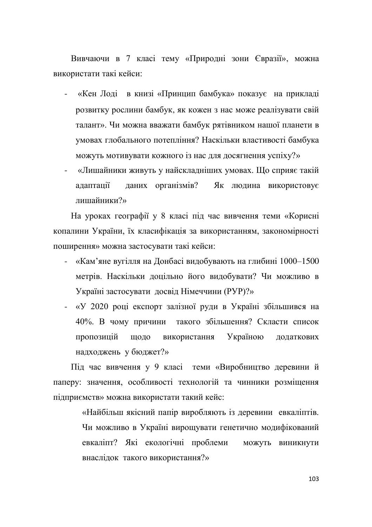Вивчаючи в 7 класі тему «Природні зони Євразії», можна використати такі кейси:

- «Кен Лоді в книзі «Принцип бамбука» показує на прикладі розвитку рослини бамбук, як кожен з нас може реалізувати свій талант». Чи можна вважати бамбук рятівником нашої планети в умовах глобального потепління? Наскільки властивості бамбука можуть мотивувати кожного із нас для досягнення успіху?»
- «Лишайники живуть у найскладніших умовах. Що сприяє такій адаптації даних організмів? Як людина використовує  $\pi$ ишайники?»

На уроках географії у 8 класі під час вивчення теми «Корисні копалини України, їх класифікація за використанням, закономірності поширення» можна застосувати такі кейси:

- «Кам'яне вугілля на Донбасі видобувають на глибині 1000–1500 метрів. Наскільки доцільно його видобувати? Чи можливо в Україні застосувати досвід Німеччини (РУР)?»
- «У 2020 році експорт залізної руди в Україні збільшився на 40%. В чому причини такого збільшення? Скласти список пропозицій щодо використання Україною додаткових надходжень у бюджет?»

Під час вивчення у 9 класі теми «Виробництво деревини й паперу: значення, особливості технологій та чинники розміщення підприємств» можна використати такий кейс:

> «Найбільш якісний папір виробляють із деревини евкаліптів. Чи можливо в Україні вирощувати генетично модифікований евкаліпт? Які екологічні проблеми можуть виникнути внаслідок такого використання?»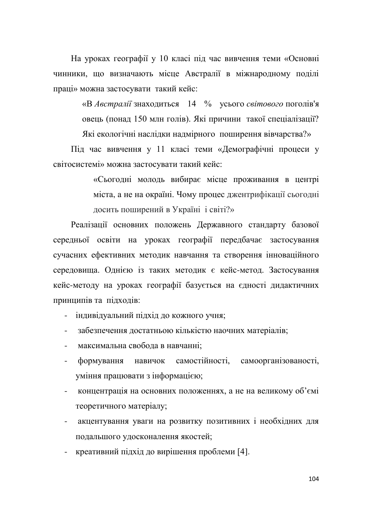На уроках географії у 10 класі під час вивчення теми «Основні чинники, що визначають місце Австралії в міжнародному поділі праці» можна застосувати такий кейс:

> «В Австралії знаходиться 14 % усього світового поголів'я овець (понад 150 млн голів). Які причини такої спеціалізації? Які екологічні наслідки надмірного поширення вівчарства?»

Під час вивчення у 11 класі теми «Демографічні процеси у світосистемі» можна застосувати такий кейс:

> «Сьогодні молодь вибирає місце проживання в центрі міста, а не на окраїні. Чому процес джентрифікації сьогодні досить поширений в Україні *і* світі?»

Реалізації основних положень Державного стандарту базової середньої освіти на уроках географії передбачає застосування сучасних ефективних методик навчання та створення інноваційного середовища. Однією із таких методик є кейс-метод. Застосування кейс-методу на уроках географії базується на єдності дидактичних принципів та підходів:

- індивідуальний підхід до кожного учня;

- забезпечення достатньою кількістю наочних матеріалів;
- максимальна свобола в навчанні:
- формування навичок самостійності, самоорганізованості, уміння працювати з інформацією;
- концентрація на основних положеннях, а не на великому об'ємі теоретичного матеріалу;
- акцентування уваги на розвитку позитивних і необхідних для подальшого удосконалення якостей;
- креативний підхід до вирішення проблеми [4].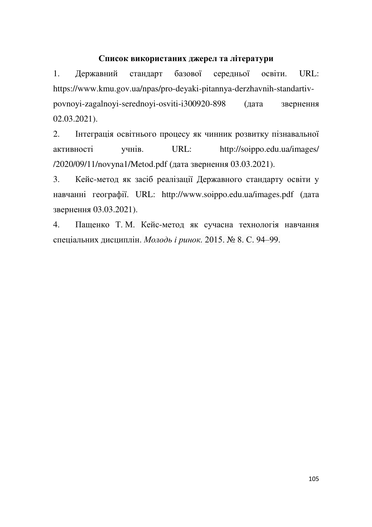### Список використаних джерел та літератури

1. Державний стандарт базової середньої освіти. URL: https://www.kmu.gov.ua/npas/pro-deyaki-pitannya-derzhavnih-standartivpovnoyi-zagalnoyi-serednoyi-osviti-i300920-898 (дата звернення 02.03.2021).

2. Інтеграція освітнього процесу як чинник розвитку пізнавальної aктивності учнів. URL: http://soippo.edu.ua/images/ /2020/09/11/novyna1/Metod.pdf (дата звернення 03.03.2021).

3. Кейс-метод як засіб реалізації Державного стандарту освіти у навчанні географії. URL: http://www.soippo.edu.ua/images.pdf (дата звернення 03.03.2021).

4. Пащенко Т. М. Кейс-метод як сучасна технологія навчання спеціальних дисциплін. Молодь і ринок. 2015. № 8. С. 94–99.